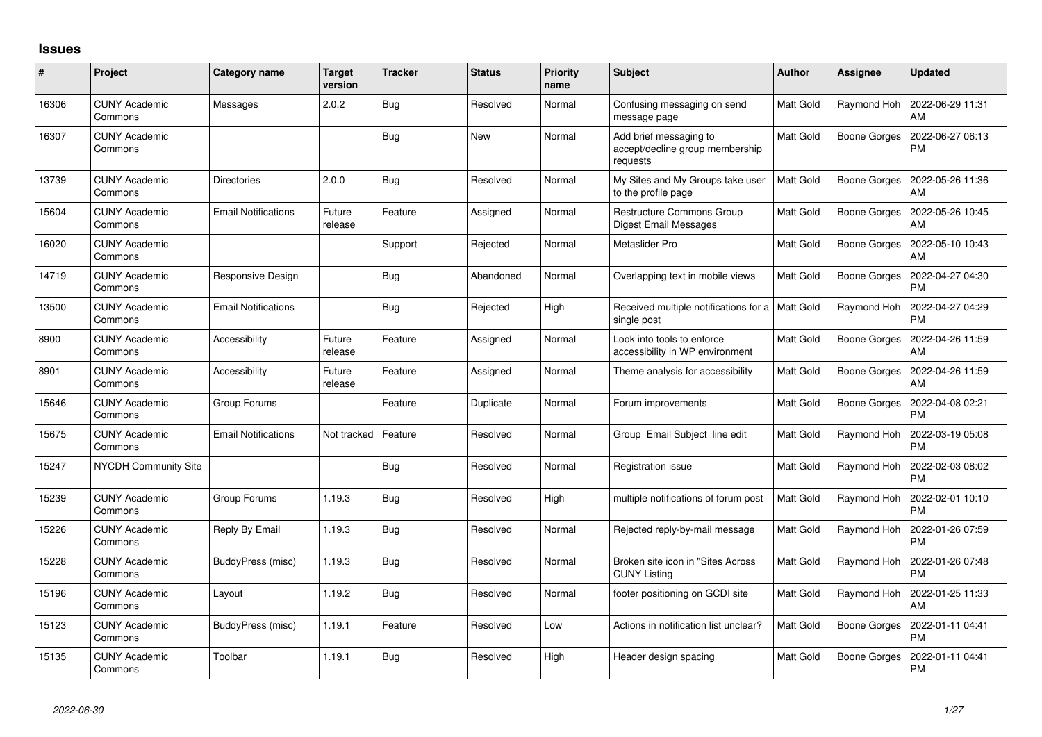## **Issues**

| #     | Project                         | Category name              | <b>Target</b><br>version | <b>Tracker</b> | <b>Status</b> | <b>Priority</b><br>name | Subject                                                               | Author           | Assignee            | <b>Updated</b>                |
|-------|---------------------------------|----------------------------|--------------------------|----------------|---------------|-------------------------|-----------------------------------------------------------------------|------------------|---------------------|-------------------------------|
| 16306 | <b>CUNY Academic</b><br>Commons | Messages                   | 2.0.2                    | Bug            | Resolved      | Normal                  | Confusing messaging on send<br>message page                           | <b>Matt Gold</b> | Raymond Hoh         | 2022-06-29 11:31<br>AM        |
| 16307 | <b>CUNY Academic</b><br>Commons |                            |                          | <b>Bug</b>     | <b>New</b>    | Normal                  | Add brief messaging to<br>accept/decline group membership<br>requests | Matt Gold        | Boone Gorges        | 2022-06-27 06:13<br><b>PM</b> |
| 13739 | <b>CUNY Academic</b><br>Commons | <b>Directories</b>         | 2.0.0                    | Bug            | Resolved      | Normal                  | My Sites and My Groups take user<br>to the profile page               | <b>Matt Gold</b> | <b>Boone Gorges</b> | 2022-05-26 11:36<br>AM        |
| 15604 | <b>CUNY Academic</b><br>Commons | <b>Email Notifications</b> | Future<br>release        | Feature        | Assigned      | Normal                  | Restructure Commons Group<br>Digest Email Messages                    | <b>Matt Gold</b> | <b>Boone Gorges</b> | 2022-05-26 10:45<br>AM        |
| 16020 | <b>CUNY Academic</b><br>Commons |                            |                          | Support        | Rejected      | Normal                  | Metaslider Pro                                                        | Matt Gold        | Boone Gorges        | 2022-05-10 10:43<br>AM        |
| 14719 | <b>CUNY Academic</b><br>Commons | Responsive Design          |                          | <b>Bug</b>     | Abandoned     | Normal                  | Overlapping text in mobile views                                      | Matt Gold        | Boone Gorges        | 2022-04-27 04:30<br><b>PM</b> |
| 13500 | <b>CUNY Academic</b><br>Commons | <b>Email Notifications</b> |                          | Bug            | Rejected      | High                    | Received multiple notifications for a   Matt Gold<br>single post      |                  | Raymond Hoh         | 2022-04-27 04:29<br><b>PM</b> |
| 8900  | <b>CUNY Academic</b><br>Commons | Accessibility              | Future<br>release        | Feature        | Assigned      | Normal                  | Look into tools to enforce<br>accessibility in WP environment         | Matt Gold        | Boone Gorges        | 2022-04-26 11:59<br>AM        |
| 8901  | <b>CUNY Academic</b><br>Commons | Accessibility              | Future<br>release        | Feature        | Assigned      | Normal                  | Theme analysis for accessibility                                      | <b>Matt Gold</b> | Boone Gorges        | 2022-04-26 11:59<br>AM        |
| 15646 | <b>CUNY Academic</b><br>Commons | Group Forums               |                          | Feature        | Duplicate     | Normal                  | Forum improvements                                                    | <b>Matt Gold</b> | <b>Boone Gorges</b> | 2022-04-08 02:21<br><b>PM</b> |
| 15675 | <b>CUNY Academic</b><br>Commons | <b>Email Notifications</b> | Not tracked              | Feature        | Resolved      | Normal                  | Group Email Subject line edit                                         | <b>Matt Gold</b> | Raymond Hoh         | 2022-03-19 05:08<br><b>PM</b> |
| 15247 | NYCDH Community Site            |                            |                          | Bug            | Resolved      | Normal                  | Registration issue                                                    | <b>Matt Gold</b> | Raymond Hoh         | 2022-02-03 08:02<br><b>PM</b> |
| 15239 | <b>CUNY Academic</b><br>Commons | Group Forums               | 1.19.3                   | Bug            | Resolved      | High                    | multiple notifications of forum post                                  | Matt Gold        | Raymond Hoh         | 2022-02-01 10:10<br><b>PM</b> |
| 15226 | <b>CUNY Academic</b><br>Commons | Reply By Email             | 1.19.3                   | Bug            | Resolved      | Normal                  | Rejected reply-by-mail message                                        | <b>Matt Gold</b> | Raymond Hoh         | 2022-01-26 07:59<br><b>PM</b> |
| 15228 | <b>CUNY Academic</b><br>Commons | BuddyPress (misc)          | 1.19.3                   | Bug            | Resolved      | Normal                  | Broken site icon in "Sites Across<br><b>CUNY Listing</b>              | Matt Gold        | Raymond Hoh         | 2022-01-26 07:48<br><b>PM</b> |
| 15196 | <b>CUNY Academic</b><br>Commons | Layout                     | 1.19.2                   | Bug            | Resolved      | Normal                  | footer positioning on GCDI site                                       | Matt Gold        | Raymond Hoh         | 2022-01-25 11:33<br>AM        |
| 15123 | <b>CUNY Academic</b><br>Commons | BuddyPress (misc)          | 1.19.1                   | Feature        | Resolved      | Low                     | Actions in notification list unclear?                                 | <b>Matt Gold</b> | <b>Boone Gorges</b> | 2022-01-11 04:41<br>PM        |
| 15135 | CUNY Academic<br>Commons        | Toolbar                    | 1.19.1                   | Bug            | Resolved      | High                    | Header design spacing                                                 | <b>Matt Gold</b> | <b>Boone Gorges</b> | 2022-01-11 04:41<br><b>PM</b> |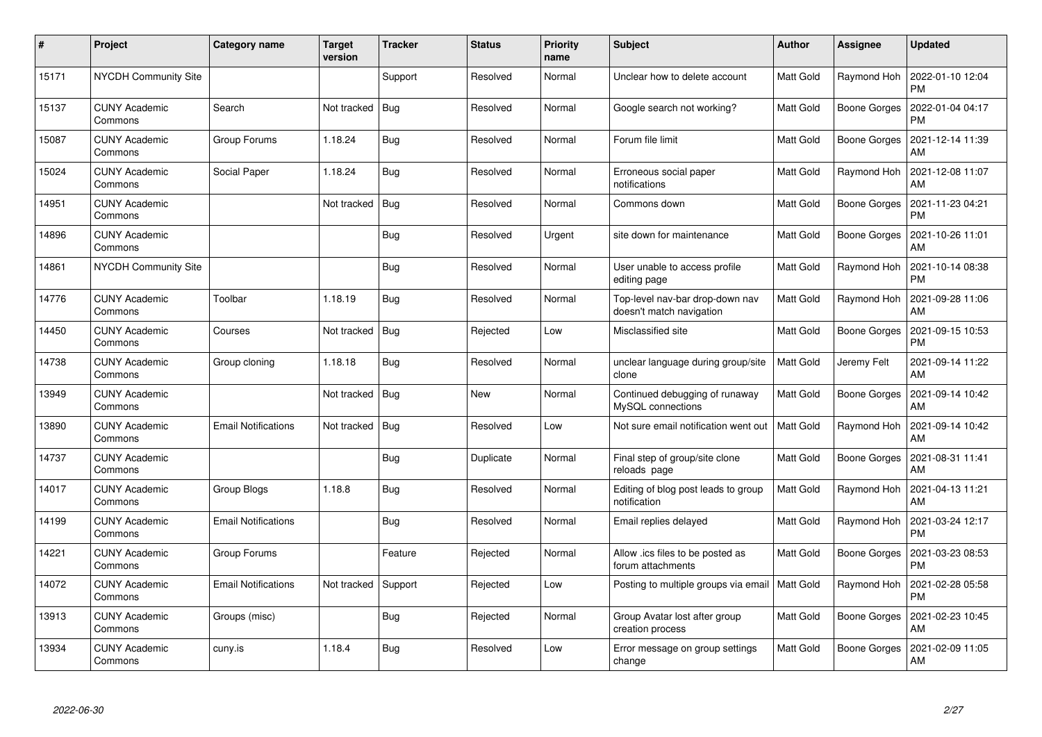| $\pmb{\sharp}$ | Project                         | <b>Category name</b>       | <b>Target</b><br>version | <b>Tracker</b> | <b>Status</b> | <b>Priority</b><br>name | <b>Subject</b>                                              | <b>Author</b>    | <b>Assignee</b>     | <b>Updated</b>                |
|----------------|---------------------------------|----------------------------|--------------------------|----------------|---------------|-------------------------|-------------------------------------------------------------|------------------|---------------------|-------------------------------|
| 15171          | <b>NYCDH Community Site</b>     |                            |                          | Support        | Resolved      | Normal                  | Unclear how to delete account                               | <b>Matt Gold</b> | Raymond Hoh         | 2022-01-10 12:04<br><b>PM</b> |
| 15137          | <b>CUNY Academic</b><br>Commons | Search                     | Not tracked              | <b>Bug</b>     | Resolved      | Normal                  | Google search not working?                                  | Matt Gold        | Boone Gorges        | 2022-01-04 04:17<br><b>PM</b> |
| 15087          | <b>CUNY Academic</b><br>Commons | Group Forums               | 1.18.24                  | <b>Bug</b>     | Resolved      | Normal                  | Forum file limit                                            | <b>Matt Gold</b> | <b>Boone Gorges</b> | 2021-12-14 11:39<br>AM        |
| 15024          | <b>CUNY Academic</b><br>Commons | Social Paper               | 1.18.24                  | Bug            | Resolved      | Normal                  | Erroneous social paper<br>notifications                     | Matt Gold        | Raymond Hoh         | 2021-12-08 11:07<br>AM        |
| 14951          | <b>CUNY Academic</b><br>Commons |                            | Not tracked              | Bug            | Resolved      | Normal                  | Commons down                                                | Matt Gold        | Boone Gorges        | 2021-11-23 04:21<br><b>PM</b> |
| 14896          | <b>CUNY Academic</b><br>Commons |                            |                          | Bug            | Resolved      | Urgent                  | site down for maintenance                                   | Matt Gold        | Boone Gorges        | 2021-10-26 11:01<br>AM        |
| 14861          | <b>NYCDH Community Site</b>     |                            |                          | Bug            | Resolved      | Normal                  | User unable to access profile<br>editing page               | Matt Gold        | Raymond Hoh         | 2021-10-14 08:38<br><b>PM</b> |
| 14776          | <b>CUNY Academic</b><br>Commons | Toolbar                    | 1.18.19                  | Bug            | Resolved      | Normal                  | Top-level nav-bar drop-down nav<br>doesn't match navigation | Matt Gold        | Raymond Hoh         | 2021-09-28 11:06<br>AM        |
| 14450          | <b>CUNY Academic</b><br>Commons | Courses                    | Not tracked              | <b>Bug</b>     | Rejected      | Low                     | Misclassified site                                          | Matt Gold        | Boone Gorges        | 2021-09-15 10:53<br><b>PM</b> |
| 14738          | <b>CUNY Academic</b><br>Commons | Group cloning              | 1.18.18                  | Bug            | Resolved      | Normal                  | unclear language during group/site<br>clone                 | <b>Matt Gold</b> | Jeremy Felt         | 2021-09-14 11:22<br>AM        |
| 13949          | <b>CUNY Academic</b><br>Commons |                            | Not tracked              | <b>Bug</b>     | <b>New</b>    | Normal                  | Continued debugging of runaway<br>MySQL connections         | Matt Gold        | Boone Gorges        | 2021-09-14 10:42<br>AM        |
| 13890          | <b>CUNY Academic</b><br>Commons | <b>Email Notifications</b> | Not tracked              | Bug            | Resolved      | Low                     | Not sure email notification went out                        | Matt Gold        | Raymond Hoh         | 2021-09-14 10:42<br>AM        |
| 14737          | <b>CUNY Academic</b><br>Commons |                            |                          | Bug            | Duplicate     | Normal                  | Final step of group/site clone<br>reloads page              | Matt Gold        | Boone Gorges        | 2021-08-31 11:41<br>AM        |
| 14017          | <b>CUNY Academic</b><br>Commons | <b>Group Blogs</b>         | 1.18.8                   | <b>Bug</b>     | Resolved      | Normal                  | Editing of blog post leads to group<br>notification         | Matt Gold        | Raymond Hoh         | 2021-04-13 11:21<br>AM        |
| 14199          | <b>CUNY Academic</b><br>Commons | Email Notifications        |                          | <b>Bug</b>     | Resolved      | Normal                  | Email replies delayed                                       | Matt Gold        | Raymond Hoh         | 2021-03-24 12:17<br><b>PM</b> |
| 14221          | <b>CUNY Academic</b><br>Commons | Group Forums               |                          | Feature        | Rejected      | Normal                  | Allow .ics files to be posted as<br>forum attachments       | Matt Gold        | Boone Gorges        | 2021-03-23 08:53<br><b>PM</b> |
| 14072          | <b>CUNY Academic</b><br>Commons | Email Notifications        | Not tracked              | Support        | Rejected      | Low                     | Posting to multiple groups via email   Matt Gold            |                  | Raymond Hoh         | 2021-02-28 05:58<br><b>PM</b> |
| 13913          | <b>CUNY Academic</b><br>Commons | Groups (misc)              |                          | Bug            | Rejected      | Normal                  | Group Avatar lost after group<br>creation process           | Matt Gold        | Boone Gorges        | 2021-02-23 10:45<br>AM        |
| 13934          | <b>CUNY Academic</b><br>Commons | cuny.is                    | 1.18.4                   | <b>Bug</b>     | Resolved      | Low                     | Error message on group settings<br>change                   | Matt Gold        | Boone Gorges        | 2021-02-09 11:05<br>AM        |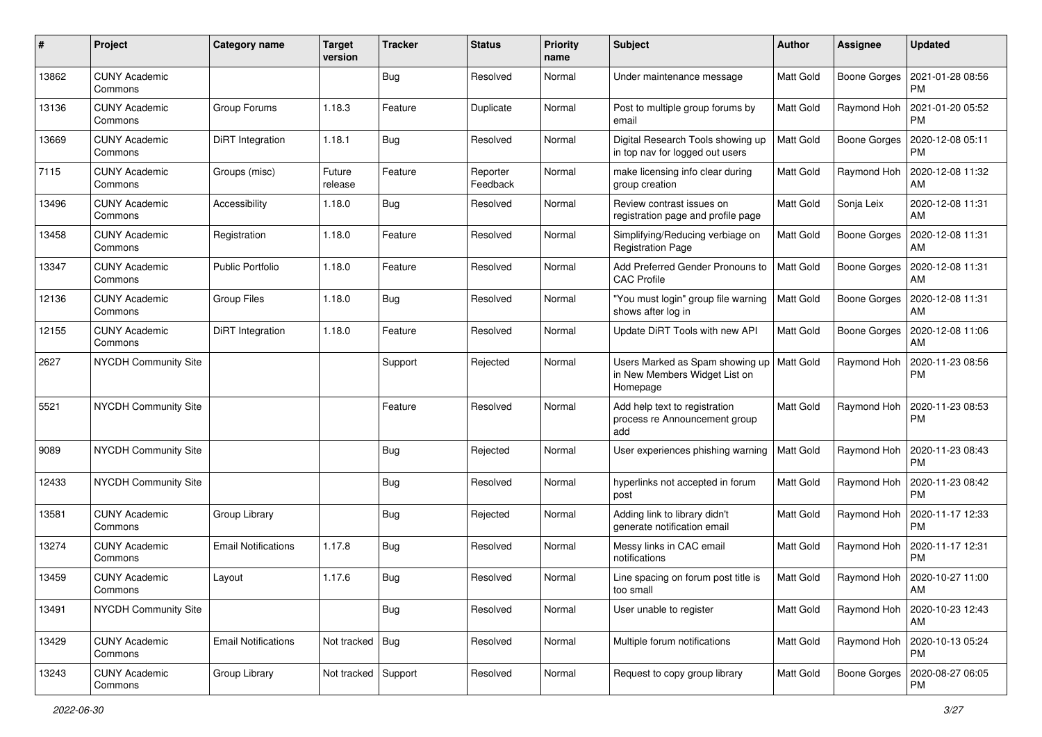| #     | Project                         | <b>Category name</b>       | <b>Target</b><br>version | <b>Tracker</b> | <b>Status</b>        | <b>Priority</b><br>name | Subject                                                                      | Author           | <b>Assignee</b>     | <b>Updated</b>                |
|-------|---------------------------------|----------------------------|--------------------------|----------------|----------------------|-------------------------|------------------------------------------------------------------------------|------------------|---------------------|-------------------------------|
| 13862 | <b>CUNY Academic</b><br>Commons |                            |                          | <b>Bug</b>     | Resolved             | Normal                  | Under maintenance message                                                    | Matt Gold        | <b>Boone Gorges</b> | 2021-01-28 08:56<br><b>PM</b> |
| 13136 | <b>CUNY Academic</b><br>Commons | Group Forums               | 1.18.3                   | Feature        | Duplicate            | Normal                  | Post to multiple group forums by<br>email                                    | Matt Gold        | Raymond Hoh         | 2021-01-20 05:52<br><b>PM</b> |
| 13669 | <b>CUNY Academic</b><br>Commons | DiRT Integration           | 1.18.1                   | Bug            | Resolved             | Normal                  | Digital Research Tools showing up<br>in top nav for logged out users         | Matt Gold        | <b>Boone Gorges</b> | 2020-12-08 05:11<br><b>PM</b> |
| 7115  | <b>CUNY Academic</b><br>Commons | Groups (misc)              | Future<br>release        | Feature        | Reporter<br>Feedback | Normal                  | make licensing info clear during<br>group creation                           | Matt Gold        | Raymond Hoh         | 2020-12-08 11:32<br>AM        |
| 13496 | <b>CUNY Academic</b><br>Commons | Accessibility              | 1.18.0                   | Bug            | Resolved             | Normal                  | Review contrast issues on<br>registration page and profile page              | Matt Gold        | Sonja Leix          | 2020-12-08 11:31<br>AM        |
| 13458 | <b>CUNY Academic</b><br>Commons | Registration               | 1.18.0                   | Feature        | Resolved             | Normal                  | Simplifying/Reducing verbiage on<br><b>Registration Page</b>                 | Matt Gold        | Boone Gorges        | 2020-12-08 11:31<br>AM        |
| 13347 | <b>CUNY Academic</b><br>Commons | <b>Public Portfolio</b>    | 1.18.0                   | Feature        | Resolved             | Normal                  | Add Preferred Gender Pronouns to<br><b>CAC Profile</b>                       | Matt Gold        | Boone Gorges        | 2020-12-08 11:31<br>AM        |
| 12136 | <b>CUNY Academic</b><br>Commons | <b>Group Files</b>         | 1.18.0                   | <b>Bug</b>     | Resolved             | Normal                  | "You must login" group file warning<br>shows after log in                    | <b>Matt Gold</b> | Boone Gorges        | 2020-12-08 11:31<br>AM        |
| 12155 | <b>CUNY Academic</b><br>Commons | DiRT Integration           | 1.18.0                   | Feature        | Resolved             | Normal                  | Update DiRT Tools with new API                                               | Matt Gold        | <b>Boone Gorges</b> | 2020-12-08 11:06<br>AM        |
| 2627  | <b>NYCDH Community Site</b>     |                            |                          | Support        | Rejected             | Normal                  | Users Marked as Spam showing up<br>in New Members Widget List on<br>Homepage | Matt Gold        | Raymond Hoh         | 2020-11-23 08:56<br><b>PM</b> |
| 5521  | <b>NYCDH Community Site</b>     |                            |                          | Feature        | Resolved             | Normal                  | Add help text to registration<br>process re Announcement group<br>add        | Matt Gold        | Raymond Hoh         | 2020-11-23 08:53<br><b>PM</b> |
| 9089  | <b>NYCDH Community Site</b>     |                            |                          | Bug            | Rejected             | Normal                  | User experiences phishing warning                                            | Matt Gold        | Raymond Hoh         | 2020-11-23 08:43<br><b>PM</b> |
| 12433 | <b>NYCDH Community Site</b>     |                            |                          | Bug            | Resolved             | Normal                  | hyperlinks not accepted in forum<br>post                                     | Matt Gold        | Raymond Hoh         | 2020-11-23 08:42<br><b>PM</b> |
| 13581 | <b>CUNY Academic</b><br>Commons | Group Library              |                          | Bug            | Rejected             | Normal                  | Adding link to library didn't<br>generate notification email                 | Matt Gold        | Raymond Hoh         | 2020-11-17 12:33<br><b>PM</b> |
| 13274 | <b>CUNY Academic</b><br>Commons | <b>Email Notifications</b> | 1.17.8                   | <b>Bug</b>     | Resolved             | Normal                  | Messy links in CAC email<br>notifications                                    | Matt Gold        | Raymond Hoh         | 2020-11-17 12:31<br><b>PM</b> |
| 13459 | <b>CUNY Academic</b><br>Commons | Layout                     | 1.17.6                   | Bug            | Resolved             | Normal                  | Line spacing on forum post title is<br>too small                             | Matt Gold        | Raymond Hoh         | 2020-10-27 11:00<br>AM        |
| 13491 | NYCDH Community Site            |                            |                          | Bug            | Resolved             | Normal                  | User unable to register                                                      | Matt Gold        | Raymond Hoh         | 2020-10-23 12:43<br>AM        |
| 13429 | <b>CUNY Academic</b><br>Commons | <b>Email Notifications</b> | Not tracked   Bug        |                | Resolved             | Normal                  | Multiple forum notifications                                                 | Matt Gold        | Raymond Hoh         | 2020-10-13 05:24<br><b>PM</b> |
| 13243 | <b>CUNY Academic</b><br>Commons | Group Library              | Not tracked Support      |                | Resolved             | Normal                  | Request to copy group library                                                | Matt Gold        | Boone Gorges        | 2020-08-27 06:05<br><b>PM</b> |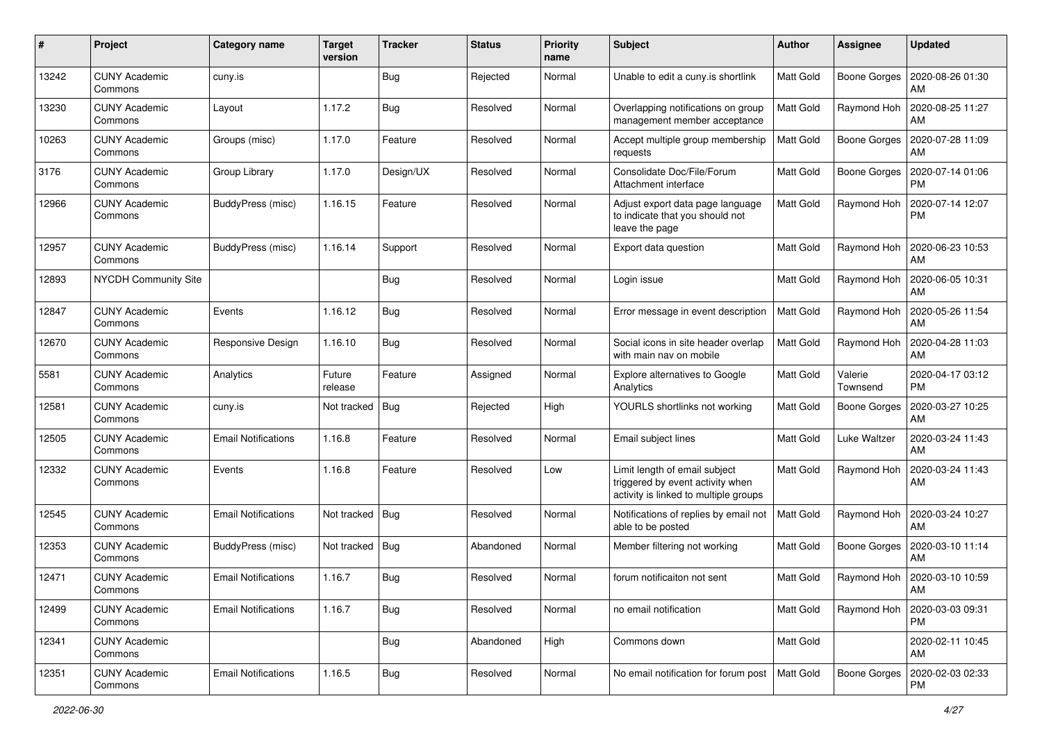| #     | Project                         | <b>Category name</b>       | <b>Target</b><br>version | <b>Tracker</b> | <b>Status</b> | <b>Priority</b><br>name | <b>Subject</b>                                                                                             | Author           | Assignee            | <b>Updated</b>                |
|-------|---------------------------------|----------------------------|--------------------------|----------------|---------------|-------------------------|------------------------------------------------------------------------------------------------------------|------------------|---------------------|-------------------------------|
| 13242 | <b>CUNY Academic</b><br>Commons | cuny.is                    |                          | <b>Bug</b>     | Rejected      | Normal                  | Unable to edit a cuny.is shortlink                                                                         | <b>Matt Gold</b> | <b>Boone Gorges</b> | 2020-08-26 01:30<br>AM        |
| 13230 | <b>CUNY Academic</b><br>Commons | Layout                     | 1.17.2                   | Bug            | Resolved      | Normal                  | Overlapping notifications on group<br>management member acceptance                                         | <b>Matt Gold</b> | Raymond Hoh         | 2020-08-25 11:27<br>AM        |
| 10263 | <b>CUNY Academic</b><br>Commons | Groups (misc)              | 1.17.0                   | Feature        | Resolved      | Normal                  | Accept multiple group membership<br>requests                                                               | Matt Gold        | <b>Boone Gorges</b> | 2020-07-28 11:09<br>AM        |
| 3176  | <b>CUNY Academic</b><br>Commons | Group Library              | 1.17.0                   | Design/UX      | Resolved      | Normal                  | Consolidate Doc/File/Forum<br>Attachment interface                                                         | <b>Matt Gold</b> | <b>Boone Gorges</b> | 2020-07-14 01:06<br><b>PM</b> |
| 12966 | <b>CUNY Academic</b><br>Commons | BuddyPress (misc)          | 1.16.15                  | Feature        | Resolved      | Normal                  | Adjust export data page language<br>to indicate that you should not<br>leave the page                      | Matt Gold        | Raymond Hoh         | 2020-07-14 12:07<br><b>PM</b> |
| 12957 | <b>CUNY Academic</b><br>Commons | BuddyPress (misc)          | 1.16.14                  | Support        | Resolved      | Normal                  | Export data question                                                                                       | Matt Gold        | Raymond Hoh         | 2020-06-23 10:53<br>AM        |
| 12893 | <b>NYCDH Community Site</b>     |                            |                          | Bug            | Resolved      | Normal                  | Login issue                                                                                                | <b>Matt Gold</b> | Raymond Hoh         | 2020-06-05 10:31<br>AM        |
| 12847 | <b>CUNY Academic</b><br>Commons | Events                     | 1.16.12                  | Bug            | Resolved      | Normal                  | Error message in event description                                                                         | Matt Gold        | Raymond Hoh         | 2020-05-26 11:54<br>AM        |
| 12670 | <b>CUNY Academic</b><br>Commons | Responsive Design          | 1.16.10                  | <b>Bug</b>     | Resolved      | Normal                  | Social icons in site header overlap<br>with main nav on mobile                                             | Matt Gold        | Raymond Hoh         | 2020-04-28 11:03<br>AM        |
| 5581  | <b>CUNY Academic</b><br>Commons | Analytics                  | Future<br>release        | Feature        | Assigned      | Normal                  | Explore alternatives to Google<br>Analytics                                                                | <b>Matt Gold</b> | Valerie<br>Townsend | 2020-04-17 03:12<br><b>PM</b> |
| 12581 | <b>CUNY Academic</b><br>Commons | cuny.is                    | Not tracked              | Bug            | Rejected      | High                    | YOURLS shortlinks not working                                                                              | <b>Matt Gold</b> | <b>Boone Gorges</b> | 2020-03-27 10:25<br>AM        |
| 12505 | <b>CUNY Academic</b><br>Commons | <b>Email Notifications</b> | 1.16.8                   | Feature        | Resolved      | Normal                  | Email subject lines                                                                                        | <b>Matt Gold</b> | Luke Waltzer        | 2020-03-24 11:43<br>AM        |
| 12332 | <b>CUNY Academic</b><br>Commons | Events                     | 1.16.8                   | Feature        | Resolved      | Low                     | Limit length of email subject<br>triggered by event activity when<br>activity is linked to multiple groups | Matt Gold        | Raymond Hoh         | 2020-03-24 11:43<br>AM        |
| 12545 | <b>CUNY Academic</b><br>Commons | <b>Email Notifications</b> | Not tracked              | Bug            | Resolved      | Normal                  | Notifications of replies by email not<br>able to be posted                                                 | Matt Gold        | Raymond Hoh         | 2020-03-24 10:27<br>AM        |
| 12353 | <b>CUNY Academic</b><br>Commons | BuddyPress (misc)          | Not tracked              | Bug            | Abandoned     | Normal                  | Member filtering not working                                                                               | <b>Matt Gold</b> | Boone Gorges        | 2020-03-10 11:14<br>AM        |
| 12471 | <b>CUNY Academic</b><br>Commons | Email Notifications        | 1.16.7                   | Bug            | Resolved      | Normal                  | forum notificaiton not sent                                                                                | <b>Matt Gold</b> | Raymond Hoh         | 2020-03-10 10:59<br>AM        |
| 12499 | <b>CUNY Academic</b><br>Commons | <b>Email Notifications</b> | 1.16.7                   | <b>Bug</b>     | Resolved      | Normal                  | no email notification                                                                                      | Matt Gold        | Raymond Hoh         | 2020-03-03 09:31<br>PM        |
| 12341 | <b>CUNY Academic</b><br>Commons |                            |                          | <b>Bug</b>     | Abandoned     | High                    | Commons down                                                                                               | Matt Gold        |                     | 2020-02-11 10:45<br>AM        |
| 12351 | <b>CUNY Academic</b><br>Commons | <b>Email Notifications</b> | 1.16.5                   | Bug            | Resolved      | Normal                  | No email notification for forum post                                                                       | Matt Gold        | <b>Boone Gorges</b> | 2020-02-03 02:33<br>PM.       |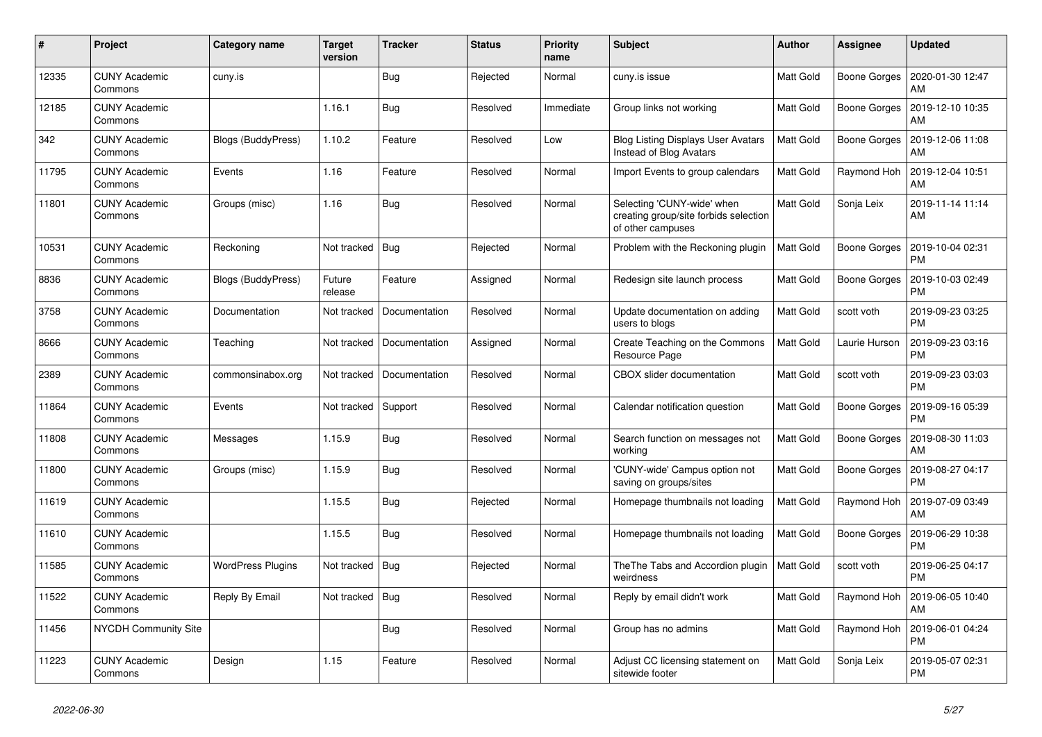| $\#$  | Project                         | Category name            | <b>Target</b><br>version | <b>Tracker</b> | <b>Status</b> | <b>Priority</b><br>name | <b>Subject</b>                                                                           | <b>Author</b>    | <b>Assignee</b> | <b>Updated</b>                |
|-------|---------------------------------|--------------------------|--------------------------|----------------|---------------|-------------------------|------------------------------------------------------------------------------------------|------------------|-----------------|-------------------------------|
| 12335 | <b>CUNY Academic</b><br>Commons | cuny.is                  |                          | <b>Bug</b>     | Rejected      | Normal                  | cuny.is issue                                                                            | Matt Gold        | Boone Gorges    | 2020-01-30 12:47<br>AM        |
| 12185 | <b>CUNY Academic</b><br>Commons |                          | 1.16.1                   | Bug            | Resolved      | Immediate               | Group links not working                                                                  | Matt Gold        | Boone Gorges    | 2019-12-10 10:35<br>AM        |
| 342   | <b>CUNY Academic</b><br>Commons | Blogs (BuddyPress)       | 1.10.2                   | Feature        | Resolved      | Low                     | <b>Blog Listing Displays User Avatars</b><br>Instead of Blog Avatars                     | Matt Gold        | Boone Gorges    | 2019-12-06 11:08<br>AM        |
| 11795 | <b>CUNY Academic</b><br>Commons | Events                   | 1.16                     | Feature        | Resolved      | Normal                  | Import Events to group calendars                                                         | Matt Gold        | Raymond Hoh     | 2019-12-04 10:51<br>AM        |
| 11801 | <b>CUNY Academic</b><br>Commons | Groups (misc)            | 1.16                     | <b>Bug</b>     | Resolved      | Normal                  | Selecting 'CUNY-wide' when<br>creating group/site forbids selection<br>of other campuses | Matt Gold        | Sonja Leix      | 2019-11-14 11:14<br>AM        |
| 10531 | <b>CUNY Academic</b><br>Commons | Reckoning                | Not tracked              | Bug            | Rejected      | Normal                  | Problem with the Reckoning plugin                                                        | <b>Matt Gold</b> | Boone Gorges    | 2019-10-04 02:31<br><b>PM</b> |
| 8836  | <b>CUNY Academic</b><br>Commons | Blogs (BuddyPress)       | Future<br>release        | Feature        | Assigned      | Normal                  | Redesign site launch process                                                             | Matt Gold        | Boone Gorges    | 2019-10-03 02:49<br><b>PM</b> |
| 3758  | <b>CUNY Academic</b><br>Commons | Documentation            | Not tracked              | Documentation  | Resolved      | Normal                  | Update documentation on adding<br>users to blogs                                         | <b>Matt Gold</b> | scott voth      | 2019-09-23 03:25<br><b>PM</b> |
| 8666  | <b>CUNY Academic</b><br>Commons | Teaching                 | Not tracked              | Documentation  | Assigned      | Normal                  | Create Teaching on the Commons<br>Resource Page                                          | Matt Gold        | Laurie Hurson   | 2019-09-23 03:16<br><b>PM</b> |
| 2389  | <b>CUNY Academic</b><br>Commons | commonsinabox.org        | Not tracked              | Documentation  | Resolved      | Normal                  | <b>CBOX</b> slider documentation                                                         | Matt Gold        | scott voth      | 2019-09-23 03:03<br><b>PM</b> |
| 11864 | <b>CUNY Academic</b><br>Commons | Events                   | Not tracked              | Support        | Resolved      | Normal                  | Calendar notification question                                                           | Matt Gold        | Boone Gorges    | 2019-09-16 05:39<br><b>PM</b> |
| 11808 | <b>CUNY Academic</b><br>Commons | Messages                 | 1.15.9                   | Bug            | Resolved      | Normal                  | Search function on messages not<br>working                                               | Matt Gold        | Boone Gorges    | 2019-08-30 11:03<br>AM        |
| 11800 | <b>CUNY Academic</b><br>Commons | Groups (misc)            | 1.15.9                   | <b>Bug</b>     | Resolved      | Normal                  | 'CUNY-wide' Campus option not<br>saving on groups/sites                                  | Matt Gold        | Boone Gorges    | 2019-08-27 04:17<br><b>PM</b> |
| 11619 | <b>CUNY Academic</b><br>Commons |                          | 1.15.5                   | <b>Bug</b>     | Rejected      | Normal                  | Homepage thumbnails not loading                                                          | Matt Gold        | Raymond Hoh     | 2019-07-09 03:49<br>AM        |
| 11610 | <b>CUNY Academic</b><br>Commons |                          | 1.15.5                   | <b>Bug</b>     | Resolved      | Normal                  | Homepage thumbnails not loading                                                          | <b>Matt Gold</b> | Boone Gorges    | 2019-06-29 10:38<br><b>PM</b> |
| 11585 | <b>CUNY Academic</b><br>Commons | <b>WordPress Plugins</b> | Not tracked              | <b>Bug</b>     | Rejected      | Normal                  | The The Tabs and Accordion plugin<br>weirdness                                           | <b>Matt Gold</b> | scott voth      | 2019-06-25 04:17<br><b>PM</b> |
| 11522 | <b>CUNY Academic</b><br>Commons | Reply By Email           | Not tracked              | <b>Bug</b>     | Resolved      | Normal                  | Reply by email didn't work                                                               | Matt Gold        | Raymond Hoh     | 2019-06-05 10:40<br>AM        |
| 11456 | <b>NYCDH Community Site</b>     |                          |                          | Bug            | Resolved      | Normal                  | Group has no admins                                                                      | Matt Gold        | Raymond Hoh     | 2019-06-01 04:24<br><b>PM</b> |
| 11223 | <b>CUNY Academic</b><br>Commons | Design                   | 1.15                     | Feature        | Resolved      | Normal                  | Adjust CC licensing statement on<br>sitewide footer                                      | Matt Gold        | Sonja Leix      | 2019-05-07 02:31<br><b>PM</b> |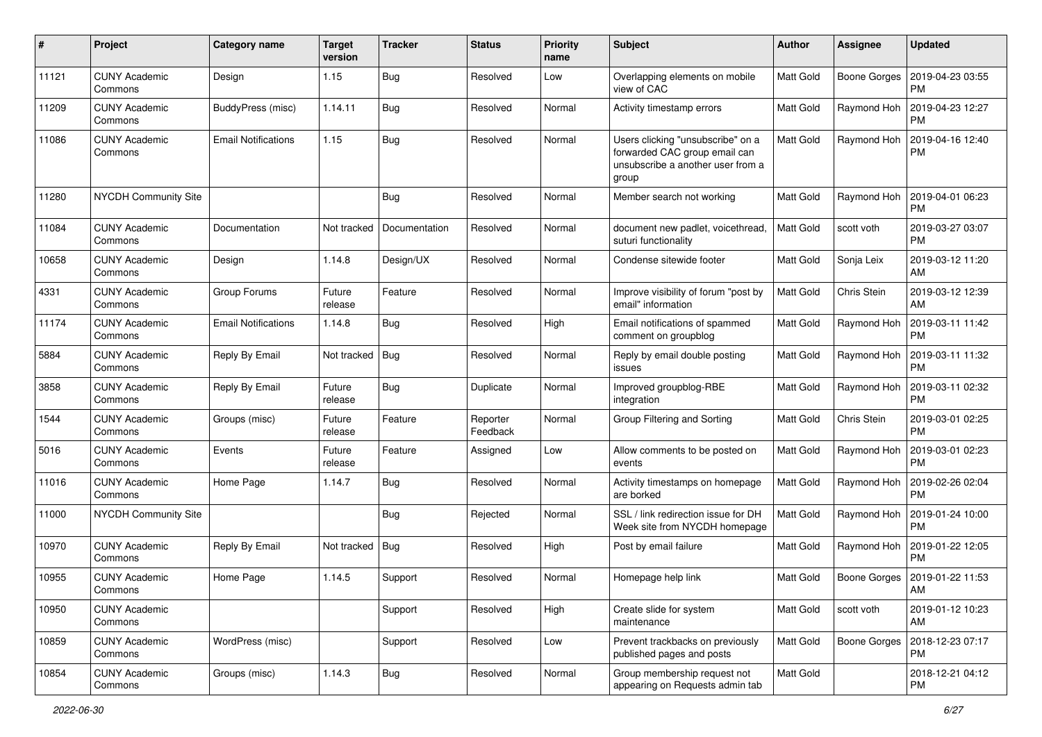| #     | Project                         | Category name              | <b>Target</b><br>version | <b>Tracker</b> | <b>Status</b>        | <b>Priority</b><br>name | <b>Subject</b>                                                                                                   | Author           | Assignee     | <b>Updated</b>                |
|-------|---------------------------------|----------------------------|--------------------------|----------------|----------------------|-------------------------|------------------------------------------------------------------------------------------------------------------|------------------|--------------|-------------------------------|
| 11121 | <b>CUNY Academic</b><br>Commons | Design                     | 1.15                     | <b>Bug</b>     | Resolved             | Low                     | Overlapping elements on mobile<br>view of CAC                                                                    | Matt Gold        | Boone Gorges | 2019-04-23 03:55<br><b>PM</b> |
| 11209 | <b>CUNY Academic</b><br>Commons | BuddyPress (misc)          | 1.14.11                  | <b>Bug</b>     | Resolved             | Normal                  | Activity timestamp errors                                                                                        | Matt Gold        | Raymond Hoh  | 2019-04-23 12:27<br><b>PM</b> |
| 11086 | <b>CUNY Academic</b><br>Commons | <b>Email Notifications</b> | 1.15                     | <b>Bug</b>     | Resolved             | Normal                  | Users clicking "unsubscribe" on a<br>forwarded CAC group email can<br>unsubscribe a another user from a<br>group | Matt Gold        | Raymond Hoh  | 2019-04-16 12:40<br><b>PM</b> |
| 11280 | <b>NYCDH Community Site</b>     |                            |                          | Bug            | Resolved             | Normal                  | Member search not working                                                                                        | Matt Gold        | Raymond Hoh  | 2019-04-01 06:23<br><b>PM</b> |
| 11084 | <b>CUNY Academic</b><br>Commons | Documentation              | Not tracked              | Documentation  | Resolved             | Normal                  | document new padlet, voicethread,<br>suturi functionality                                                        | Matt Gold        | scott voth   | 2019-03-27 03:07<br><b>PM</b> |
| 10658 | <b>CUNY Academic</b><br>Commons | Design                     | 1.14.8                   | Design/UX      | Resolved             | Normal                  | Condense sitewide footer                                                                                         | Matt Gold        | Sonja Leix   | 2019-03-12 11:20<br>AM        |
| 4331  | <b>CUNY Academic</b><br>Commons | Group Forums               | Future<br>release        | Feature        | Resolved             | Normal                  | Improve visibility of forum "post by<br>email" information                                                       | Matt Gold        | Chris Stein  | 2019-03-12 12:39<br>AM        |
| 11174 | <b>CUNY Academic</b><br>Commons | <b>Email Notifications</b> | 1.14.8                   | Bug            | Resolved             | High                    | Email notifications of spammed<br>comment on groupblog                                                           | Matt Gold        | Raymond Hoh  | 2019-03-11 11:42<br><b>PM</b> |
| 5884  | <b>CUNY Academic</b><br>Commons | Reply By Email             | Not tracked              | Bug            | Resolved             | Normal                  | Reply by email double posting<br>issues                                                                          | Matt Gold        | Raymond Hoh  | 2019-03-11 11:32<br><b>PM</b> |
| 3858  | <b>CUNY Academic</b><br>Commons | Reply By Email             | Future<br>release        | <b>Bug</b>     | Duplicate            | Normal                  | Improved groupblog-RBE<br>integration                                                                            | Matt Gold        | Raymond Hoh  | 2019-03-11 02:32<br><b>PM</b> |
| 1544  | <b>CUNY Academic</b><br>Commons | Groups (misc)              | Future<br>release        | Feature        | Reporter<br>Feedback | Normal                  | Group Filtering and Sorting                                                                                      | Matt Gold        | Chris Stein  | 2019-03-01 02:25<br><b>PM</b> |
| 5016  | <b>CUNY Academic</b><br>Commons | Events                     | Future<br>release        | Feature        | Assigned             | Low                     | Allow comments to be posted on<br>events                                                                         | Matt Gold        | Raymond Hoh  | 2019-03-01 02:23<br>PM        |
| 11016 | <b>CUNY Academic</b><br>Commons | Home Page                  | 1.14.7                   | Bug            | Resolved             | Normal                  | Activity timestamps on homepage<br>are borked                                                                    | Matt Gold        | Raymond Hoh  | 2019-02-26 02:04<br><b>PM</b> |
| 11000 | <b>NYCDH Community Site</b>     |                            |                          | Bug            | Rejected             | Normal                  | SSL / link redirection issue for DH<br>Week site from NYCDH homepage                                             | Matt Gold        | Raymond Hoh  | 2019-01-24 10:00<br><b>PM</b> |
| 10970 | <b>CUNY Academic</b><br>Commons | Reply By Email             | Not tracked              | Bug            | Resolved             | High                    | Post by email failure                                                                                            | Matt Gold        | Raymond Hoh  | 2019-01-22 12:05<br><b>PM</b> |
| 10955 | <b>CUNY Academic</b><br>Commons | Home Page                  | 1.14.5                   | Support        | Resolved             | Normal                  | Homepage help link                                                                                               | Matt Gold        | Boone Gorges | 2019-01-22 11:53<br>AM        |
| 10950 | <b>CUNY Academic</b><br>Commons |                            |                          | Support        | Resolved             | High                    | Create slide for system<br>maintenance                                                                           | Matt Gold        | scott voth   | 2019-01-12 10:23<br>AM        |
| 10859 | <b>CUNY Academic</b><br>Commons | WordPress (misc)           |                          | Support        | Resolved             | Low                     | Prevent trackbacks on previously<br>published pages and posts                                                    | <b>Matt Gold</b> | Boone Gorges | 2018-12-23 07:17<br><b>PM</b> |
| 10854 | <b>CUNY Academic</b><br>Commons | Groups (misc)              | 1.14.3                   | Bug            | Resolved             | Normal                  | Group membership request not<br>appearing on Requests admin tab                                                  | Matt Gold        |              | 2018-12-21 04:12<br><b>PM</b> |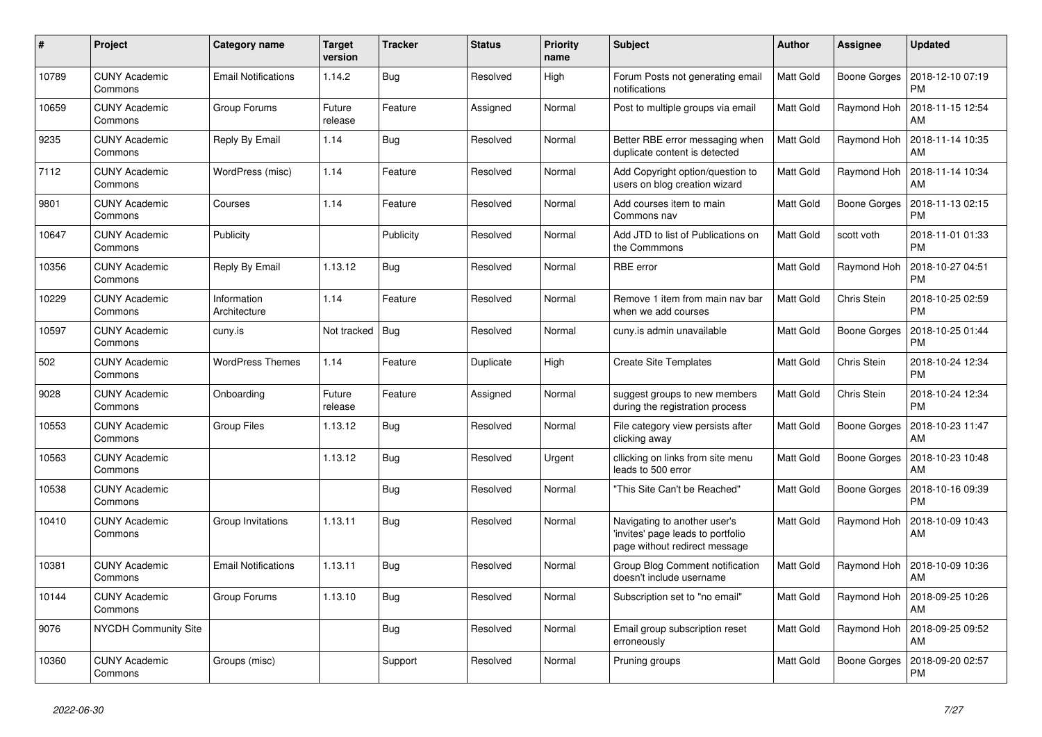| #     | Project                         | Category name               | <b>Target</b><br>version | <b>Tracker</b> | <b>Status</b> | <b>Priority</b><br>name | <b>Subject</b>                                                                                     | Author    | Assignee            | <b>Updated</b>                |
|-------|---------------------------------|-----------------------------|--------------------------|----------------|---------------|-------------------------|----------------------------------------------------------------------------------------------------|-----------|---------------------|-------------------------------|
| 10789 | <b>CUNY Academic</b><br>Commons | <b>Email Notifications</b>  | 1.14.2                   | Bug            | Resolved      | High                    | Forum Posts not generating email<br>notifications                                                  | Matt Gold | Boone Gorges        | 2018-12-10 07:19<br><b>PM</b> |
| 10659 | <b>CUNY Academic</b><br>Commons | Group Forums                | Future<br>release        | Feature        | Assigned      | Normal                  | Post to multiple groups via email                                                                  | Matt Gold | Raymond Hoh         | 2018-11-15 12:54<br>AM        |
| 9235  | <b>CUNY Academic</b><br>Commons | Reply By Email              | 1.14                     | Bug            | Resolved      | Normal                  | Better RBE error messaging when<br>duplicate content is detected                                   | Matt Gold | Raymond Hoh         | 2018-11-14 10:35<br>AM        |
| 7112  | <b>CUNY Academic</b><br>Commons | WordPress (misc)            | 1.14                     | Feature        | Resolved      | Normal                  | Add Copyright option/question to<br>users on blog creation wizard                                  | Matt Gold | Raymond Hoh         | 2018-11-14 10:34<br>AM        |
| 9801  | <b>CUNY Academic</b><br>Commons | Courses                     | 1.14                     | Feature        | Resolved      | Normal                  | Add courses item to main<br>Commons nav                                                            | Matt Gold | <b>Boone Gorges</b> | 2018-11-13 02:15<br><b>PM</b> |
| 10647 | <b>CUNY Academic</b><br>Commons | Publicity                   |                          | Publicity      | Resolved      | Normal                  | Add JTD to list of Publications on<br>the Commmons                                                 | Matt Gold | scott voth          | 2018-11-01 01:33<br><b>PM</b> |
| 10356 | <b>CUNY Academic</b><br>Commons | Reply By Email              | 1.13.12                  | Bug            | Resolved      | Normal                  | <b>RBE</b> error                                                                                   | Matt Gold | Raymond Hoh         | 2018-10-27 04:51<br><b>PM</b> |
| 10229 | <b>CUNY Academic</b><br>Commons | Information<br>Architecture | 1.14                     | Feature        | Resolved      | Normal                  | Remove 1 item from main nav bar<br>when we add courses                                             | Matt Gold | Chris Stein         | 2018-10-25 02:59<br><b>PM</b> |
| 10597 | <b>CUNY Academic</b><br>Commons | cuny.is                     | Not tracked              | <b>Bug</b>     | Resolved      | Normal                  | cuny.is admin unavailable                                                                          | Matt Gold | <b>Boone Gorges</b> | 2018-10-25 01:44<br><b>PM</b> |
| 502   | <b>CUNY Academic</b><br>Commons | <b>WordPress Themes</b>     | 1.14                     | Feature        | Duplicate     | High                    | <b>Create Site Templates</b>                                                                       | Matt Gold | Chris Stein         | 2018-10-24 12:34<br><b>PM</b> |
| 9028  | <b>CUNY Academic</b><br>Commons | Onboarding                  | Future<br>release        | Feature        | Assigned      | Normal                  | suggest groups to new members<br>during the registration process                                   | Matt Gold | Chris Stein         | 2018-10-24 12:34<br><b>PM</b> |
| 10553 | <b>CUNY Academic</b><br>Commons | <b>Group Files</b>          | 1.13.12                  | Bug            | Resolved      | Normal                  | File category view persists after<br>clicking away                                                 | Matt Gold | Boone Gorges        | 2018-10-23 11:47<br>AM        |
| 10563 | <b>CUNY Academic</b><br>Commons |                             | 1.13.12                  | <b>Bug</b>     | Resolved      | Urgent                  | cllicking on links from site menu<br>leads to 500 error                                            | Matt Gold | Boone Gorges        | 2018-10-23 10:48<br>AM        |
| 10538 | <b>CUNY Academic</b><br>Commons |                             |                          | Bug            | Resolved      | Normal                  | "This Site Can't be Reached"                                                                       | Matt Gold | Boone Gorges        | 2018-10-16 09:39<br><b>PM</b> |
| 10410 | <b>CUNY Academic</b><br>Commons | Group Invitations           | 1.13.11                  | <b>Bug</b>     | Resolved      | Normal                  | Navigating to another user's<br>'invites' page leads to portfolio<br>page without redirect message | Matt Gold | Raymond Hoh         | 2018-10-09 10:43<br>AM        |
| 10381 | <b>CUNY Academic</b><br>Commons | <b>Email Notifications</b>  | 1.13.11                  | Bug            | Resolved      | Normal                  | Group Blog Comment notification<br>doesn't include username                                        | Matt Gold | Raymond Hoh         | 2018-10-09 10:36<br>AM        |
| 10144 | <b>CUNY Academic</b><br>Commons | Group Forums                | 1.13.10                  | <b>Bug</b>     | Resolved      | Normal                  | Subscription set to "no email"                                                                     | Matt Gold | Raymond Hoh         | 2018-09-25 10:26<br>AM        |
| 9076  | <b>NYCDH Community Site</b>     |                             |                          | Bug            | Resolved      | Normal                  | Email group subscription reset<br>erroneously                                                      | Matt Gold | Raymond Hoh         | 2018-09-25 09:52<br>AM        |
| 10360 | <b>CUNY Academic</b><br>Commons | Groups (misc)               |                          | Support        | Resolved      | Normal                  | Pruning groups                                                                                     | Matt Gold | Boone Gorges        | 2018-09-20 02:57<br><b>PM</b> |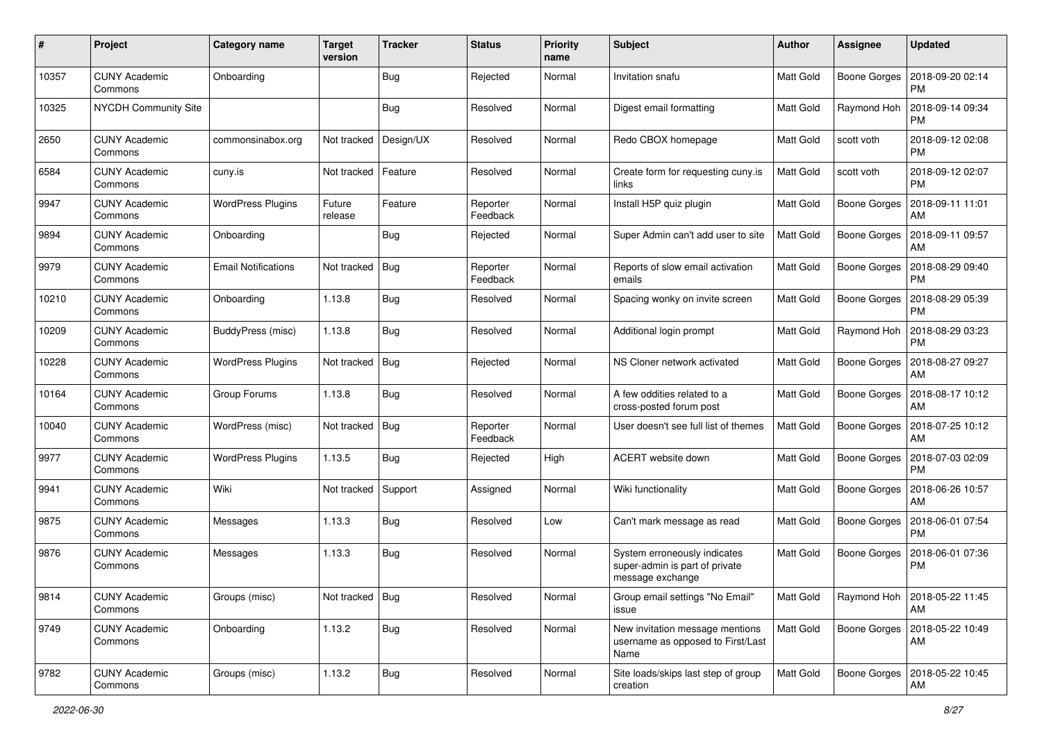| #     | Project                         | <b>Category name</b>       | <b>Target</b><br>version | <b>Tracker</b> | <b>Status</b>        | <b>Priority</b><br>name | Subject                                                                            | Author           | Assignee            | <b>Updated</b>                       |
|-------|---------------------------------|----------------------------|--------------------------|----------------|----------------------|-------------------------|------------------------------------------------------------------------------------|------------------|---------------------|--------------------------------------|
| 10357 | <b>CUNY Academic</b><br>Commons | Onboarding                 |                          | Bug            | Rejected             | Normal                  | Invitation snafu                                                                   | Matt Gold        | <b>Boone Gorges</b> | 2018-09-20 02:14<br><b>PM</b>        |
| 10325 | NYCDH Community Site            |                            |                          | Bug            | Resolved             | Normal                  | Digest email formatting                                                            | Matt Gold        | Raymond Hoh         | 2018-09-14 09:34<br><b>PM</b>        |
| 2650  | <b>CUNY Academic</b><br>Commons | commonsinabox.org          | Not tracked              | Design/UX      | Resolved             | Normal                  | Redo CBOX homepage                                                                 | Matt Gold        | scott voth          | 2018-09-12 02:08<br><b>PM</b>        |
| 6584  | <b>CUNY Academic</b><br>Commons | cuny.is                    | Not tracked              | Feature        | Resolved             | Normal                  | Create form for requesting cuny.is<br>links                                        | Matt Gold        | scott voth          | 2018-09-12 02:07<br><b>PM</b>        |
| 9947  | <b>CUNY Academic</b><br>Commons | <b>WordPress Plugins</b>   | Future<br>release        | Feature        | Reporter<br>Feedback | Normal                  | Install H5P quiz plugin                                                            | Matt Gold        | Boone Gorges        | 2018-09-11 11:01<br>AM               |
| 9894  | <b>CUNY Academic</b><br>Commons | Onboarding                 |                          | Bug            | Rejected             | Normal                  | Super Admin can't add user to site                                                 | Matt Gold        | <b>Boone Gorges</b> | 2018-09-11 09:57<br>AM               |
| 9979  | <b>CUNY Academic</b><br>Commons | <b>Email Notifications</b> | Not tracked              | Bug            | Reporter<br>Feedback | Normal                  | Reports of slow email activation<br>emails                                         | Matt Gold        | <b>Boone Gorges</b> | 2018-08-29 09:40<br><b>PM</b>        |
| 10210 | <b>CUNY Academic</b><br>Commons | Onboarding                 | 1.13.8                   | Bug            | Resolved             | Normal                  | Spacing wonky on invite screen                                                     | Matt Gold        | <b>Boone Gorges</b> | 2018-08-29 05:39<br>РM               |
| 10209 | <b>CUNY Academic</b><br>Commons | BuddyPress (misc)          | 1.13.8                   | Bug            | Resolved             | Normal                  | Additional login prompt                                                            | Matt Gold        | Raymond Hoh         | 2018-08-29 03:23<br><b>PM</b>        |
| 10228 | <b>CUNY Academic</b><br>Commons | <b>WordPress Plugins</b>   | Not tracked              | <b>Bug</b>     | Rejected             | Normal                  | NS Cloner network activated                                                        | Matt Gold        | <b>Boone Gorges</b> | 2018-08-27 09:27<br>AM               |
| 10164 | <b>CUNY Academic</b><br>Commons | Group Forums               | 1.13.8                   | Bug            | Resolved             | Normal                  | A few oddities related to a<br>cross-posted forum post                             | <b>Matt Gold</b> | <b>Boone Gorges</b> | 2018-08-17 10:12<br>AM               |
| 10040 | <b>CUNY Academic</b><br>Commons | WordPress (misc)           | Not tracked              | <b>Bug</b>     | Reporter<br>Feedback | Normal                  | User doesn't see full list of themes                                               | Matt Gold        | Boone Gorges        | 2018-07-25 10:12<br>AM               |
| 9977  | <b>CUNY Academic</b><br>Commons | <b>WordPress Plugins</b>   | 1.13.5                   | Bug            | Rejected             | High                    | ACERT website down                                                                 | Matt Gold        | <b>Boone Gorges</b> | 2018-07-03 02:09<br><b>PM</b>        |
| 9941  | <b>CUNY Academic</b><br>Commons | Wiki                       | Not tracked              | Support        | Assigned             | Normal                  | Wiki functionality                                                                 | Matt Gold        | Boone Gorges        | 2018-06-26 10:57<br>AM               |
| 9875  | <b>CUNY Academic</b><br>Commons | Messages                   | 1.13.3                   | <b>Bug</b>     | Resolved             | Low                     | Can't mark message as read                                                         | Matt Gold        | <b>Boone Gorges</b> | 2018-06-01 07:54<br><b>PM</b>        |
| 9876  | <b>CUNY Academic</b><br>Commons | Messages                   | 1.13.3                   | Bug            | Resolved             | Normal                  | System erroneously indicates<br>super-admin is part of private<br>message exchange | Matt Gold        | Boone Gorges        | 2018-06-01 07:36<br><b>PM</b>        |
| 9814  | <b>CUNY Academic</b><br>Commons | Groups (misc)              | Not tracked   Bug        |                | Resolved             | Normal                  | Group email settings "No Email"<br>issue                                           | <b>Matt Gold</b> |                     | Raymond Hoh   2018-05-22 11:45<br>AM |
| 9749  | <b>CUNY Academic</b><br>Commons | Onboarding                 | 1.13.2                   | <b>Bug</b>     | Resolved             | Normal                  | New invitation message mentions<br>username as opposed to First/Last<br>Name       | Matt Gold        | <b>Boone Gorges</b> | 2018-05-22 10:49<br>AM               |
| 9782  | <b>CUNY Academic</b><br>Commons | Groups (misc)              | 1.13.2                   | <b>Bug</b>     | Resolved             | Normal                  | Site loads/skips last step of group<br>creation                                    | Matt Gold        | Boone Gorges        | 2018-05-22 10:45<br>AM               |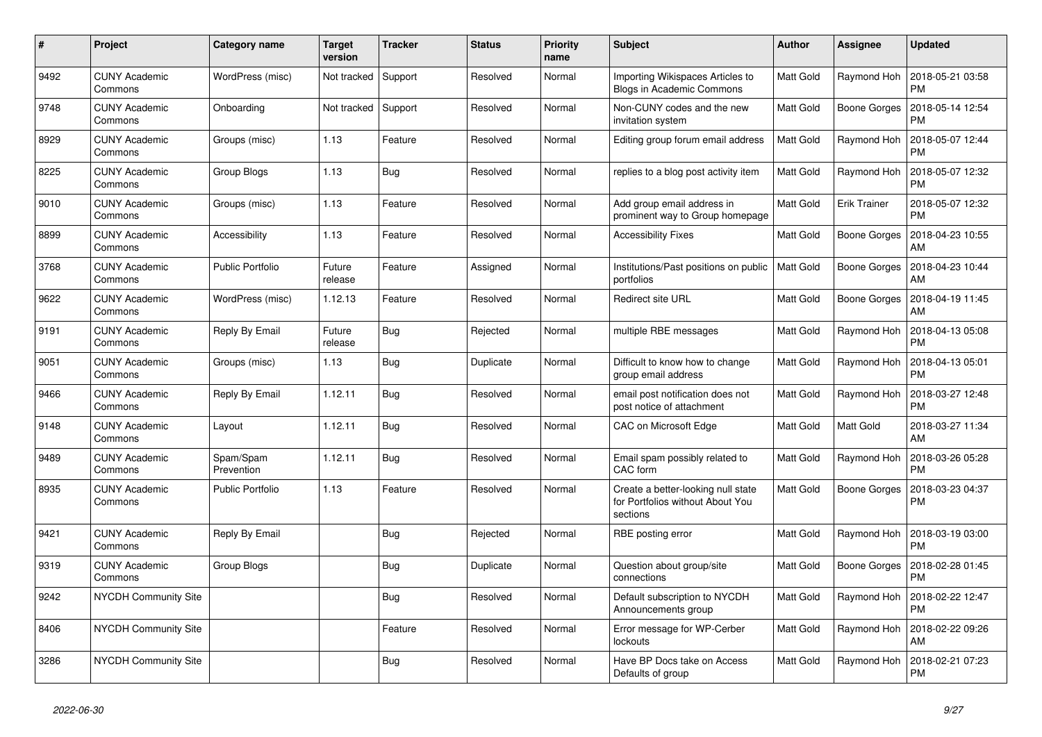| #    | Project                         | Category name           | <b>Target</b><br>version | <b>Tracker</b> | <b>Status</b> | <b>Priority</b><br>name | <b>Subject</b>                                                                     | Author    | Assignee            | <b>Updated</b>                |
|------|---------------------------------|-------------------------|--------------------------|----------------|---------------|-------------------------|------------------------------------------------------------------------------------|-----------|---------------------|-------------------------------|
| 9492 | <b>CUNY Academic</b><br>Commons | WordPress (misc)        | Not tracked              | Support        | Resolved      | Normal                  | Importing Wikispaces Articles to<br>Blogs in Academic Commons                      | Matt Gold | Raymond Hoh         | 2018-05-21 03:58<br><b>PM</b> |
| 9748 | <b>CUNY Academic</b><br>Commons | Onboarding              | Not tracked              | Support        | Resolved      | Normal                  | Non-CUNY codes and the new<br>invitation system                                    | Matt Gold | <b>Boone Gorges</b> | 2018-05-14 12:54<br><b>PM</b> |
| 8929 | <b>CUNY Academic</b><br>Commons | Groups (misc)           | 1.13                     | Feature        | Resolved      | Normal                  | Editing group forum email address                                                  | Matt Gold | Raymond Hoh         | 2018-05-07 12:44<br><b>PM</b> |
| 8225 | <b>CUNY Academic</b><br>Commons | Group Blogs             | 1.13                     | Bug            | Resolved      | Normal                  | replies to a blog post activity item                                               | Matt Gold | Raymond Hoh         | 2018-05-07 12:32<br><b>PM</b> |
| 9010 | <b>CUNY Academic</b><br>Commons | Groups (misc)           | 1.13                     | Feature        | Resolved      | Normal                  | Add group email address in<br>prominent way to Group homepage                      | Matt Gold | <b>Erik Trainer</b> | 2018-05-07 12:32<br><b>PM</b> |
| 8899 | <b>CUNY Academic</b><br>Commons | Accessibility           | 1.13                     | Feature        | Resolved      | Normal                  | <b>Accessibility Fixes</b>                                                         | Matt Gold | Boone Gorges        | 2018-04-23 10:55<br>AM        |
| 3768 | <b>CUNY Academic</b><br>Commons | <b>Public Portfolio</b> | Future<br>release        | Feature        | Assigned      | Normal                  | Institutions/Past positions on public<br>portfolios                                | Matt Gold | Boone Gorges        | 2018-04-23 10:44<br>AM        |
| 9622 | <b>CUNY Academic</b><br>Commons | WordPress (misc)        | 1.12.13                  | Feature        | Resolved      | Normal                  | <b>Redirect site URL</b>                                                           | Matt Gold | Boone Gorges        | 2018-04-19 11:45<br><b>AM</b> |
| 9191 | <b>CUNY Academic</b><br>Commons | Reply By Email          | Future<br>release        | Bug            | Rejected      | Normal                  | multiple RBE messages                                                              | Matt Gold | Raymond Hoh         | 2018-04-13 05:08<br><b>PM</b> |
| 9051 | <b>CUNY Academic</b><br>Commons | Groups (misc)           | 1.13                     | Bug            | Duplicate     | Normal                  | Difficult to know how to change<br>group email address                             | Matt Gold | Raymond Hoh         | 2018-04-13 05:01<br><b>PM</b> |
| 9466 | <b>CUNY Academic</b><br>Commons | Reply By Email          | 1.12.11                  | <b>Bug</b>     | Resolved      | Normal                  | email post notification does not<br>post notice of attachment                      | Matt Gold | Raymond Hoh         | 2018-03-27 12:48<br><b>PM</b> |
| 9148 | <b>CUNY Academic</b><br>Commons | Layout                  | 1.12.11                  | Bug            | Resolved      | Normal                  | <b>CAC on Microsoft Edge</b>                                                       | Matt Gold | Matt Gold           | 2018-03-27 11:34<br>AM        |
| 9489 | <b>CUNY Academic</b><br>Commons | Spam/Spam<br>Prevention | 1.12.11                  | Bug            | Resolved      | Normal                  | Email spam possibly related to<br>CAC form                                         | Matt Gold | Raymond Hoh         | 2018-03-26 05:28<br><b>PM</b> |
| 8935 | <b>CUNY Academic</b><br>Commons | Public Portfolio        | 1.13                     | Feature        | Resolved      | Normal                  | Create a better-looking null state<br>for Portfolios without About You<br>sections | Matt Gold | Boone Gorges        | 2018-03-23 04:37<br><b>PM</b> |
| 9421 | <b>CUNY Academic</b><br>Commons | Reply By Email          |                          | <b>Bug</b>     | Rejected      | Normal                  | RBE posting error                                                                  | Matt Gold | Raymond Hoh         | 2018-03-19 03:00<br><b>PM</b> |
| 9319 | <b>CUNY Academic</b><br>Commons | Group Blogs             |                          | <b>Bug</b>     | Duplicate     | Normal                  | Question about group/site<br>connections                                           | Matt Gold | <b>Boone Gorges</b> | 2018-02-28 01:45<br><b>PM</b> |
| 9242 | NYCDH Community Site            |                         |                          | Bug            | Resolved      | Normal                  | Default subscription to NYCDH<br>Announcements group                               | Matt Gold | Raymond Hoh         | 2018-02-22 12:47<br><b>PM</b> |
| 8406 | NYCDH Community Site            |                         |                          | Feature        | Resolved      | Normal                  | Error message for WP-Cerber<br>lockouts                                            | Matt Gold | Raymond Hoh         | 2018-02-22 09:26<br>AM        |
| 3286 | <b>NYCDH Community Site</b>     |                         |                          | <b>Bug</b>     | Resolved      | Normal                  | Have BP Docs take on Access<br>Defaults of group                                   | Matt Gold | Raymond Hoh         | 2018-02-21 07:23<br><b>PM</b> |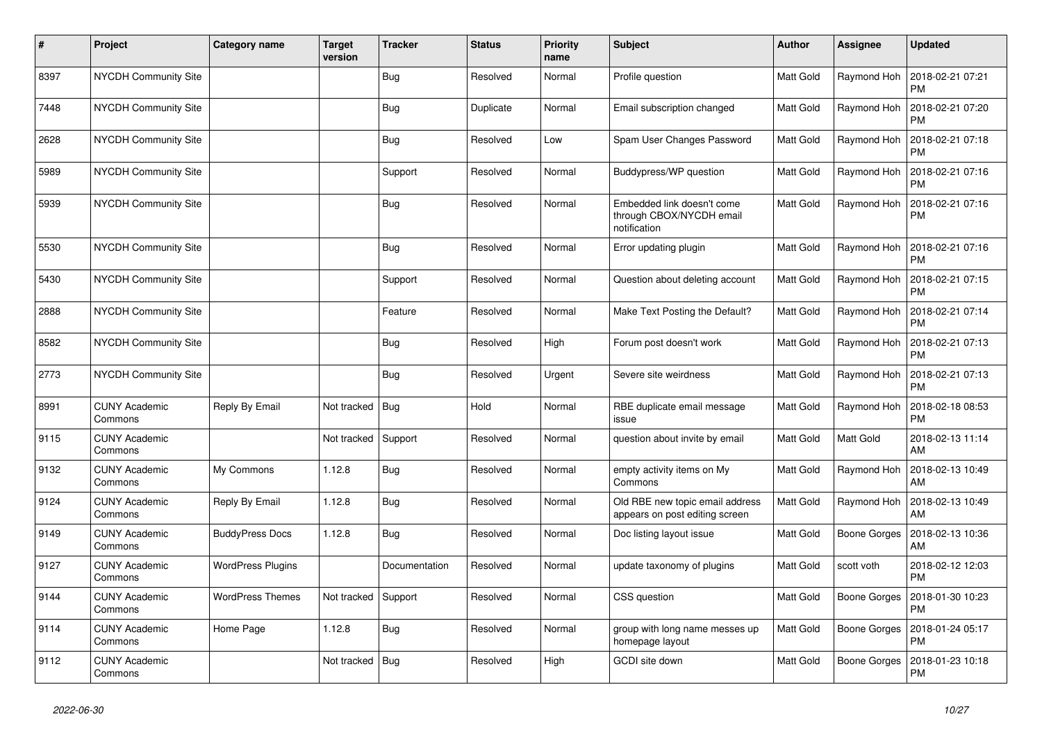| $\vert$ # | Project                         | Category name            | <b>Target</b><br>version | <b>Tracker</b> | <b>Status</b> | <b>Priority</b><br>name | <b>Subject</b>                                                         | <b>Author</b> | <b>Assignee</b> | <b>Updated</b>                |
|-----------|---------------------------------|--------------------------|--------------------------|----------------|---------------|-------------------------|------------------------------------------------------------------------|---------------|-----------------|-------------------------------|
| 8397      | <b>NYCDH Community Site</b>     |                          |                          | <b>Bug</b>     | Resolved      | Normal                  | Profile question                                                       | Matt Gold     | Raymond Hoh     | 2018-02-21 07:21<br><b>PM</b> |
| 7448      | <b>NYCDH Community Site</b>     |                          |                          | <b>Bug</b>     | Duplicate     | Normal                  | Email subscription changed                                             | Matt Gold     | Raymond Hoh     | 2018-02-21 07:20<br><b>PM</b> |
| 2628      | <b>NYCDH Community Site</b>     |                          |                          | Bug            | Resolved      | Low                     | Spam User Changes Password                                             | Matt Gold     | Raymond Hoh     | 2018-02-21 07:18<br><b>PM</b> |
| 5989      | <b>NYCDH Community Site</b>     |                          |                          | Support        | Resolved      | Normal                  | Buddypress/WP question                                                 | Matt Gold     | Raymond Hoh     | 2018-02-21 07:16<br><b>PM</b> |
| 5939      | <b>NYCDH Community Site</b>     |                          |                          | Bug            | Resolved      | Normal                  | Embedded link doesn't come<br>through CBOX/NYCDH email<br>notification | Matt Gold     | Raymond Hoh     | 2018-02-21 07:16<br><b>PM</b> |
| 5530      | <b>NYCDH Community Site</b>     |                          |                          | Bug            | Resolved      | Normal                  | Error updating plugin                                                  | Matt Gold     | Raymond Hoh     | 2018-02-21 07:16<br><b>PM</b> |
| 5430      | <b>NYCDH Community Site</b>     |                          |                          | Support        | Resolved      | Normal                  | Question about deleting account                                        | Matt Gold     | Raymond Hoh     | 2018-02-21 07:15<br><b>PM</b> |
| 2888      | <b>NYCDH Community Site</b>     |                          |                          | Feature        | Resolved      | Normal                  | Make Text Posting the Default?                                         | Matt Gold     | Raymond Hoh     | 2018-02-21 07:14<br><b>PM</b> |
| 8582      | <b>NYCDH Community Site</b>     |                          |                          | <b>Bug</b>     | Resolved      | High                    | Forum post doesn't work                                                | Matt Gold     | Raymond Hoh     | 2018-02-21 07:13<br>PM        |
| 2773      | <b>NYCDH Community Site</b>     |                          |                          | <b>Bug</b>     | Resolved      | Urgent                  | Severe site weirdness                                                  | Matt Gold     | Raymond Hoh     | 2018-02-21 07:13<br><b>PM</b> |
| 8991      | <b>CUNY Academic</b><br>Commons | Reply By Email           | Not tracked              | Bug            | Hold          | Normal                  | RBE duplicate email message<br>issue                                   | Matt Gold     | Raymond Hoh     | 2018-02-18 08:53<br><b>PM</b> |
| 9115      | <b>CUNY Academic</b><br>Commons |                          | Not tracked              | Support        | Resolved      | Normal                  | question about invite by email                                         | Matt Gold     | Matt Gold       | 2018-02-13 11:14<br>AM        |
| 9132      | <b>CUNY Academic</b><br>Commons | My Commons               | 1.12.8                   | <b>Bug</b>     | Resolved      | Normal                  | empty activity items on My<br>Commons                                  | Matt Gold     | Raymond Hoh     | 2018-02-13 10:49<br>AM        |
| 9124      | <b>CUNY Academic</b><br>Commons | Reply By Email           | 1.12.8                   | <b>Bug</b>     | Resolved      | Normal                  | Old RBE new topic email address<br>appears on post editing screen      | Matt Gold     | Raymond Hoh     | 2018-02-13 10:49<br>AM        |
| 9149      | <b>CUNY Academic</b><br>Commons | <b>BuddyPress Docs</b>   | 1.12.8                   | <b>Bug</b>     | Resolved      | Normal                  | Doc listing layout issue                                               | Matt Gold     | Boone Gorges    | 2018-02-13 10:36<br>AM        |
| 9127      | <b>CUNY Academic</b><br>Commons | <b>WordPress Plugins</b> |                          | Documentation  | Resolved      | Normal                  | update taxonomy of plugins                                             | Matt Gold     | scott voth      | 2018-02-12 12:03<br><b>PM</b> |
| 9144      | <b>CUNY Academic</b><br>Commons | <b>WordPress Themes</b>  | Not tracked              | Support        | Resolved      | Normal                  | CSS question                                                           | Matt Gold     | Boone Gorges    | 2018-01-30 10:23<br><b>PM</b> |
| 9114      | <b>CUNY Academic</b><br>Commons | Home Page                | 1.12.8                   | <b>Bug</b>     | Resolved      | Normal                  | group with long name messes up<br>homepage layout                      | Matt Gold     | Boone Gorges    | 2018-01-24 05:17<br><b>PM</b> |
| 9112      | <b>CUNY Academic</b><br>Commons |                          | Not tracked              | Bug            | Resolved      | High                    | GCDI site down                                                         | Matt Gold     | Boone Gorges    | 2018-01-23 10:18<br>PM        |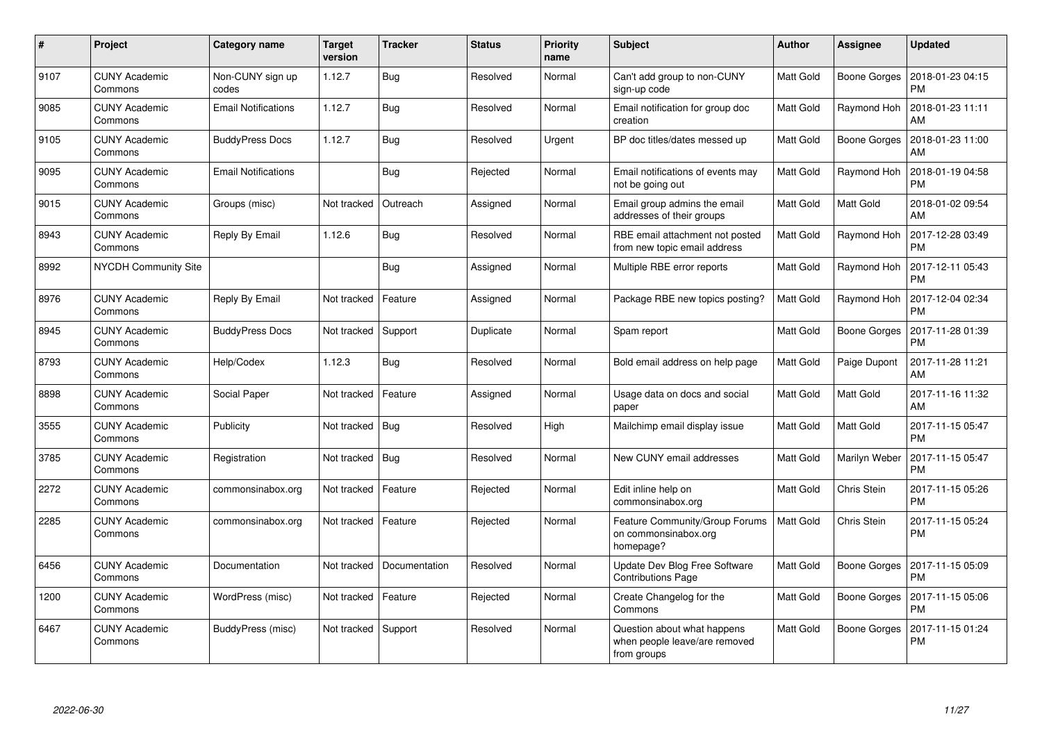| #    | Project                         | <b>Category name</b>       | <b>Target</b><br>version | <b>Tracker</b> | <b>Status</b> | <b>Priority</b><br>name | <b>Subject</b>                                                              | Author    | <b>Assignee</b>     | <b>Updated</b>                |
|------|---------------------------------|----------------------------|--------------------------|----------------|---------------|-------------------------|-----------------------------------------------------------------------------|-----------|---------------------|-------------------------------|
| 9107 | <b>CUNY Academic</b><br>Commons | Non-CUNY sign up<br>codes  | 1.12.7                   | Bug            | Resolved      | Normal                  | Can't add group to non-CUNY<br>sign-up code                                 | Matt Gold | Boone Gorges        | 2018-01-23 04:15<br><b>PM</b> |
| 9085 | <b>CUNY Academic</b><br>Commons | <b>Email Notifications</b> | 1.12.7                   | Bug            | Resolved      | Normal                  | Email notification for group doc<br>creation                                | Matt Gold | Raymond Hoh         | 2018-01-23 11:11<br>AM        |
| 9105 | <b>CUNY Academic</b><br>Commons | <b>BuddyPress Docs</b>     | 1.12.7                   | Bug            | Resolved      | Urgent                  | BP doc titles/dates messed up                                               | Matt Gold | Boone Gorges        | 2018-01-23 11:00<br>AM        |
| 9095 | <b>CUNY Academic</b><br>Commons | <b>Email Notifications</b> |                          | Bug            | Rejected      | Normal                  | Email notifications of events may<br>not be going out                       | Matt Gold | Raymond Hoh         | 2018-01-19 04:58<br><b>PM</b> |
| 9015 | <b>CUNY Academic</b><br>Commons | Groups (misc)              | Not tracked              | Outreach       | Assigned      | Normal                  | Email group admins the email<br>addresses of their groups                   | Matt Gold | Matt Gold           | 2018-01-02 09:54<br>AM        |
| 8943 | <b>CUNY Academic</b><br>Commons | Reply By Email             | 1.12.6                   | Bug            | Resolved      | Normal                  | RBE email attachment not posted<br>from new topic email address             | Matt Gold | Raymond Hoh         | 2017-12-28 03:49<br><b>PM</b> |
| 8992 | <b>NYCDH Community Site</b>     |                            |                          | Bug            | Assigned      | Normal                  | Multiple RBE error reports                                                  | Matt Gold | Raymond Hoh         | 2017-12-11 05:43<br><b>PM</b> |
| 8976 | <b>CUNY Academic</b><br>Commons | Reply By Email             | Not tracked              | Feature        | Assigned      | Normal                  | Package RBE new topics posting?                                             | Matt Gold | Raymond Hoh         | 2017-12-04 02:34<br><b>PM</b> |
| 8945 | <b>CUNY Academic</b><br>Commons | <b>BuddyPress Docs</b>     | Not tracked              | Support        | Duplicate     | Normal                  | Spam report                                                                 | Matt Gold | Boone Gorges        | 2017-11-28 01:39<br><b>PM</b> |
| 8793 | <b>CUNY Academic</b><br>Commons | Help/Codex                 | 1.12.3                   | Bug            | Resolved      | Normal                  | Bold email address on help page                                             | Matt Gold | Paige Dupont        | 2017-11-28 11:21<br>AM        |
| 8898 | <b>CUNY Academic</b><br>Commons | Social Paper               | Not tracked              | Feature        | Assigned      | Normal                  | Usage data on docs and social<br>paper                                      | Matt Gold | Matt Gold           | 2017-11-16 11:32<br>AM        |
| 3555 | <b>CUNY Academic</b><br>Commons | Publicity                  | Not tracked              | <b>Bug</b>     | Resolved      | High                    | Mailchimp email display issue                                               | Matt Gold | Matt Gold           | 2017-11-15 05:47<br><b>PM</b> |
| 3785 | <b>CUNY Academic</b><br>Commons | Registration               | Not tracked              | Bug            | Resolved      | Normal                  | New CUNY email addresses                                                    | Matt Gold | Marilyn Weber       | 2017-11-15 05:47<br><b>PM</b> |
| 2272 | <b>CUNY Academic</b><br>Commons | commonsinabox.org          | Not tracked              | Feature        | Rejected      | Normal                  | Edit inline help on<br>commonsinabox.org                                    | Matt Gold | Chris Stein         | 2017-11-15 05:26<br><b>PM</b> |
| 2285 | <b>CUNY Academic</b><br>Commons | commonsinabox.org          | Not tracked              | Feature        | Rejected      | Normal                  | Feature Community/Group Forums<br>on commonsinabox.org<br>homepage?         | Matt Gold | Chris Stein         | 2017-11-15 05:24<br><b>PM</b> |
| 6456 | <b>CUNY Academic</b><br>Commons | Documentation              | Not tracked              | Documentation  | Resolved      | Normal                  | Update Dev Blog Free Software<br><b>Contributions Page</b>                  | Matt Gold | Boone Gorges        | 2017-11-15 05:09<br><b>PM</b> |
| 1200 | <b>CUNY Academic</b><br>Commons | WordPress (misc)           | Not tracked              | Feature        | Rejected      | Normal                  | Create Changelog for the<br>Commons                                         | Matt Gold | Boone Gorges        | 2017-11-15 05:06<br><b>PM</b> |
| 6467 | <b>CUNY Academic</b><br>Commons | BuddyPress (misc)          | Not tracked   Support    |                | Resolved      | Normal                  | Question about what happens<br>when people leave/are removed<br>from groups | Matt Gold | <b>Boone Gorges</b> | 2017-11-15 01:24<br><b>PM</b> |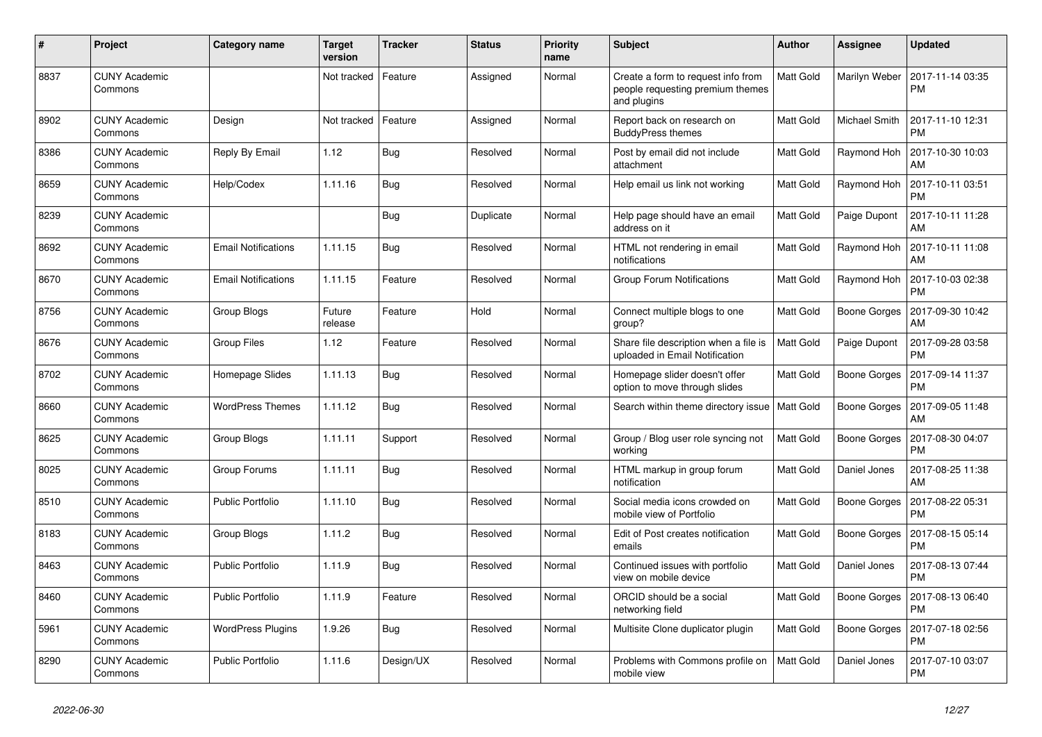| $\#$ | Project                         | Category name              | <b>Target</b><br>version | <b>Tracker</b> | <b>Status</b> | <b>Priority</b><br>name | <b>Subject</b>                                                                        | Author    | Assignee            | <b>Updated</b>                |
|------|---------------------------------|----------------------------|--------------------------|----------------|---------------|-------------------------|---------------------------------------------------------------------------------------|-----------|---------------------|-------------------------------|
| 8837 | <b>CUNY Academic</b><br>Commons |                            | Not tracked              | Feature        | Assigned      | Normal                  | Create a form to request info from<br>people requesting premium themes<br>and plugins | Matt Gold | Marilyn Weber       | 2017-11-14 03:35<br><b>PM</b> |
| 8902 | <b>CUNY Academic</b><br>Commons | Design                     | Not tracked              | Feature        | Assigned      | Normal                  | Report back on research on<br><b>BuddyPress themes</b>                                | Matt Gold | Michael Smith       | 2017-11-10 12:31<br><b>PM</b> |
| 8386 | <b>CUNY Academic</b><br>Commons | Reply By Email             | 1.12                     | Bug            | Resolved      | Normal                  | Post by email did not include<br>attachment                                           | Matt Gold | Raymond Hoh         | 2017-10-30 10:03<br>AM        |
| 8659 | <b>CUNY Academic</b><br>Commons | Help/Codex                 | 1.11.16                  | Bug            | Resolved      | Normal                  | Help email us link not working                                                        | Matt Gold | Raymond Hoh         | 2017-10-11 03:51<br><b>PM</b> |
| 8239 | <b>CUNY Academic</b><br>Commons |                            |                          | Bug            | Duplicate     | Normal                  | Help page should have an email<br>address on it                                       | Matt Gold | Paige Dupont        | 2017-10-11 11:28<br>AM        |
| 8692 | <b>CUNY Academic</b><br>Commons | <b>Email Notifications</b> | 1.11.15                  | Bug            | Resolved      | Normal                  | HTML not rendering in email<br>notifications                                          | Matt Gold | Raymond Hoh         | 2017-10-11 11:08<br>AM        |
| 8670 | <b>CUNY Academic</b><br>Commons | <b>Email Notifications</b> | 1.11.15                  | Feature        | Resolved      | Normal                  | Group Forum Notifications                                                             | Matt Gold | Raymond Hoh         | 2017-10-03 02:38<br><b>PM</b> |
| 8756 | <b>CUNY Academic</b><br>Commons | Group Blogs                | Future<br>release        | Feature        | Hold          | Normal                  | Connect multiple blogs to one<br>group?                                               | Matt Gold | Boone Gorges        | 2017-09-30 10:42<br>AM        |
| 8676 | <b>CUNY Academic</b><br>Commons | <b>Group Files</b>         | 1.12                     | Feature        | Resolved      | Normal                  | Share file description when a file is<br>uploaded in Email Notification               | Matt Gold | Paige Dupont        | 2017-09-28 03:58<br><b>PM</b> |
| 8702 | <b>CUNY Academic</b><br>Commons | Homepage Slides            | 1.11.13                  | Bug            | Resolved      | Normal                  | Homepage slider doesn't offer<br>option to move through slides                        | Matt Gold | <b>Boone Gorges</b> | 2017-09-14 11:37<br><b>PM</b> |
| 8660 | <b>CUNY Academic</b><br>Commons | <b>WordPress Themes</b>    | 1.11.12                  | <b>Bug</b>     | Resolved      | Normal                  | Search within theme directory issue   Matt Gold                                       |           | Boone Gorges        | 2017-09-05 11:48<br>AM        |
| 8625 | <b>CUNY Academic</b><br>Commons | Group Blogs                | 1.11.11                  | Support        | Resolved      | Normal                  | Group / Blog user role syncing not<br>working                                         | Matt Gold | Boone Gorges        | 2017-08-30 04:07<br><b>PM</b> |
| 8025 | <b>CUNY Academic</b><br>Commons | Group Forums               | 1.11.11                  | Bug            | Resolved      | Normal                  | HTML markup in group forum<br>notification                                            | Matt Gold | Daniel Jones        | 2017-08-25 11:38<br>AM        |
| 8510 | <b>CUNY Academic</b><br>Commons | <b>Public Portfolio</b>    | 1.11.10                  | Bug            | Resolved      | Normal                  | Social media icons crowded on<br>mobile view of Portfolio                             | Matt Gold | Boone Gorges        | 2017-08-22 05:31<br><b>PM</b> |
| 8183 | <b>CUNY Academic</b><br>Commons | Group Blogs                | 1.11.2                   | Bug            | Resolved      | Normal                  | Edit of Post creates notification<br>emails                                           | Matt Gold | Boone Gorges        | 2017-08-15 05:14<br><b>PM</b> |
| 8463 | <b>CUNY Academic</b><br>Commons | <b>Public Portfolio</b>    | 1.11.9                   | Bug            | Resolved      | Normal                  | Continued issues with portfolio<br>view on mobile device                              | Matt Gold | Daniel Jones        | 2017-08-13 07:44<br><b>PM</b> |
| 8460 | <b>CUNY Academic</b><br>Commons | <b>Public Portfolio</b>    | 1.11.9                   | Feature        | Resolved      | Normal                  | ORCID should be a social<br>networking field                                          | Matt Gold | Boone Gorges        | 2017-08-13 06:40<br><b>PM</b> |
| 5961 | <b>CUNY Academic</b><br>Commons | <b>WordPress Plugins</b>   | 1.9.26                   | Bug            | Resolved      | Normal                  | Multisite Clone duplicator plugin                                                     | Matt Gold | Boone Gorges        | 2017-07-18 02:56<br><b>PM</b> |
| 8290 | <b>CUNY Academic</b><br>Commons | <b>Public Portfolio</b>    | 1.11.6                   | Design/UX      | Resolved      | Normal                  | Problems with Commons profile on<br>mobile view                                       | Matt Gold | Daniel Jones        | 2017-07-10 03:07<br><b>PM</b> |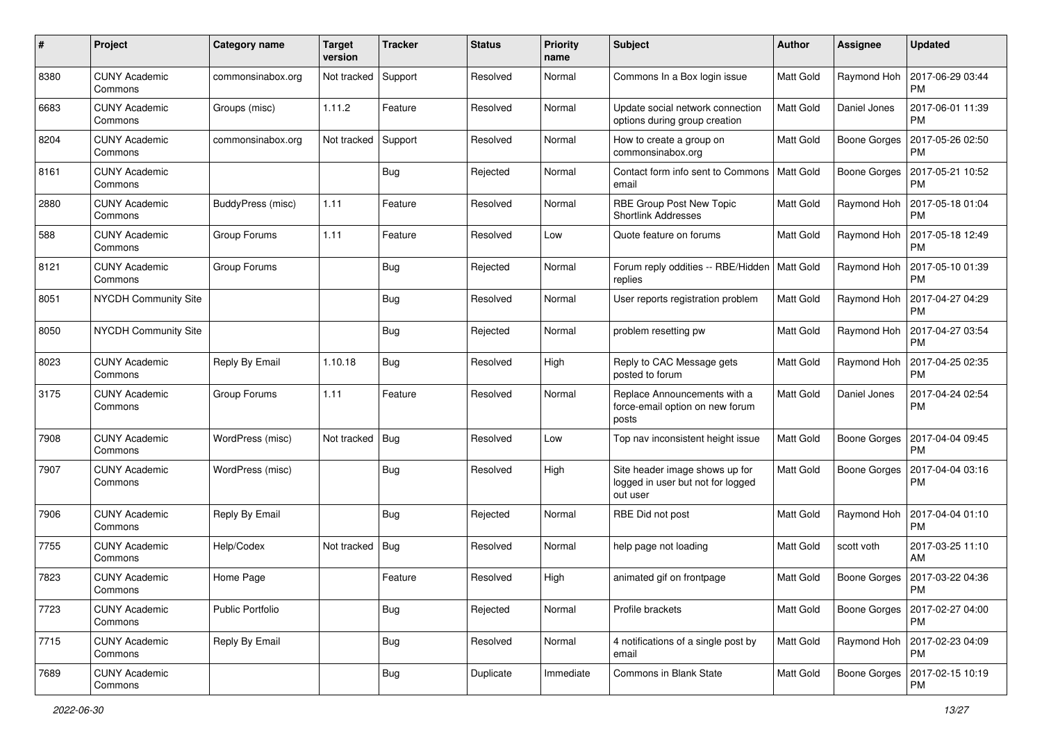| #    | Project                         | Category name     | <b>Target</b><br>version | <b>Tracker</b> | <b>Status</b> | <b>Priority</b><br>name | <b>Subject</b>                                                                  | Author           | <b>Assignee</b>     | <b>Updated</b>                |
|------|---------------------------------|-------------------|--------------------------|----------------|---------------|-------------------------|---------------------------------------------------------------------------------|------------------|---------------------|-------------------------------|
| 8380 | <b>CUNY Academic</b><br>Commons | commonsinabox.org | Not tracked              | Support        | Resolved      | Normal                  | Commons In a Box login issue                                                    | Matt Gold        | Raymond Hoh         | 2017-06-29 03:44<br><b>PM</b> |
| 6683 | <b>CUNY Academic</b><br>Commons | Groups (misc)     | 1.11.2                   | Feature        | Resolved      | Normal                  | Update social network connection<br>options during group creation               | Matt Gold        | Daniel Jones        | 2017-06-01 11:39<br><b>PM</b> |
| 8204 | <b>CUNY Academic</b><br>Commons | commonsinabox.org | Not tracked              | Support        | Resolved      | Normal                  | How to create a group on<br>commonsinabox.org                                   | Matt Gold        | <b>Boone Gorges</b> | 2017-05-26 02:50<br><b>PM</b> |
| 8161 | <b>CUNY Academic</b><br>Commons |                   |                          | Bug            | Rejected      | Normal                  | Contact form info sent to Commons<br>email                                      | Matt Gold        | <b>Boone Gorges</b> | 2017-05-21 10:52<br><b>PM</b> |
| 2880 | <b>CUNY Academic</b><br>Commons | BuddyPress (misc) | 1.11                     | Feature        | Resolved      | Normal                  | RBE Group Post New Topic<br><b>Shortlink Addresses</b>                          | Matt Gold        | Raymond Hoh         | 2017-05-18 01:04<br><b>PM</b> |
| 588  | <b>CUNY Academic</b><br>Commons | Group Forums      | 1.11                     | Feature        | Resolved      | Low                     | Quote feature on forums                                                         | Matt Gold        | Raymond Hoh         | 2017-05-18 12:49<br><b>PM</b> |
| 8121 | <b>CUNY Academic</b><br>Commons | Group Forums      |                          | Bug            | Rejected      | Normal                  | Forum reply oddities -- RBE/Hidden<br>replies                                   | Matt Gold        | Raymond Hoh         | 2017-05-10 01:39<br><b>PM</b> |
| 8051 | <b>NYCDH Community Site</b>     |                   |                          | <b>Bug</b>     | Resolved      | Normal                  | User reports registration problem                                               | Matt Gold        | Raymond Hoh         | 2017-04-27 04:29<br><b>PM</b> |
| 8050 | <b>NYCDH Community Site</b>     |                   |                          | <b>Bug</b>     | Rejected      | Normal                  | problem resetting pw                                                            | Matt Gold        | Raymond Hoh         | 2017-04-27 03:54<br><b>PM</b> |
| 8023 | <b>CUNY Academic</b><br>Commons | Reply By Email    | 1.10.18                  | Bug            | Resolved      | High                    | Reply to CAC Message gets<br>posted to forum                                    | Matt Gold        | Raymond Hoh         | 2017-04-25 02:35<br><b>PM</b> |
| 3175 | <b>CUNY Academic</b><br>Commons | Group Forums      | 1.11                     | Feature        | Resolved      | Normal                  | Replace Announcements with a<br>force-email option on new forum<br>posts        | <b>Matt Gold</b> | Daniel Jones        | 2017-04-24 02:54<br><b>PM</b> |
| 7908 | <b>CUNY Academic</b><br>Commons | WordPress (misc)  | Not tracked              | Bug            | Resolved      | Low                     | Top nav inconsistent height issue                                               | Matt Gold        | <b>Boone Gorges</b> | 2017-04-04 09:45<br>PM        |
| 7907 | <b>CUNY Academic</b><br>Commons | WordPress (misc)  |                          | Bug            | Resolved      | High                    | Site header image shows up for<br>logged in user but not for logged<br>out user | <b>Matt Gold</b> | <b>Boone Gorges</b> | 2017-04-04 03:16<br><b>PM</b> |
| 7906 | <b>CUNY Academic</b><br>Commons | Reply By Email    |                          | Bug            | Rejected      | Normal                  | RBE Did not post                                                                | <b>Matt Gold</b> | Raymond Hoh         | 2017-04-04 01:10<br><b>PM</b> |
| 7755 | <b>CUNY Academic</b><br>Commons | Help/Codex        | Not tracked              | <b>Bug</b>     | Resolved      | Normal                  | help page not loading                                                           | Matt Gold        | scott voth          | 2017-03-25 11:10<br>AM        |
| 7823 | <b>CUNY Academic</b><br>Commons | Home Page         |                          | Feature        | Resolved      | High                    | animated gif on frontpage                                                       | Matt Gold        | Boone Gorges        | 2017-03-22 04:36<br>PM        |
| 7723 | <b>CUNY Academic</b><br>Commons | Public Portfolio  |                          | <b>Bug</b>     | Rejected      | Normal                  | Profile brackets                                                                | Matt Gold        | Boone Gorges        | 2017-02-27 04:00<br><b>PM</b> |
| 7715 | <b>CUNY Academic</b><br>Commons | Reply By Email    |                          | <b>Bug</b>     | Resolved      | Normal                  | 4 notifications of a single post by<br>email                                    | Matt Gold        | Raymond Hoh         | 2017-02-23 04:09<br><b>PM</b> |
| 7689 | <b>CUNY Academic</b><br>Commons |                   |                          | <b>Bug</b>     | Duplicate     | Immediate               | Commons in Blank State                                                          | Matt Gold        | Boone Gorges        | 2017-02-15 10:19<br><b>PM</b> |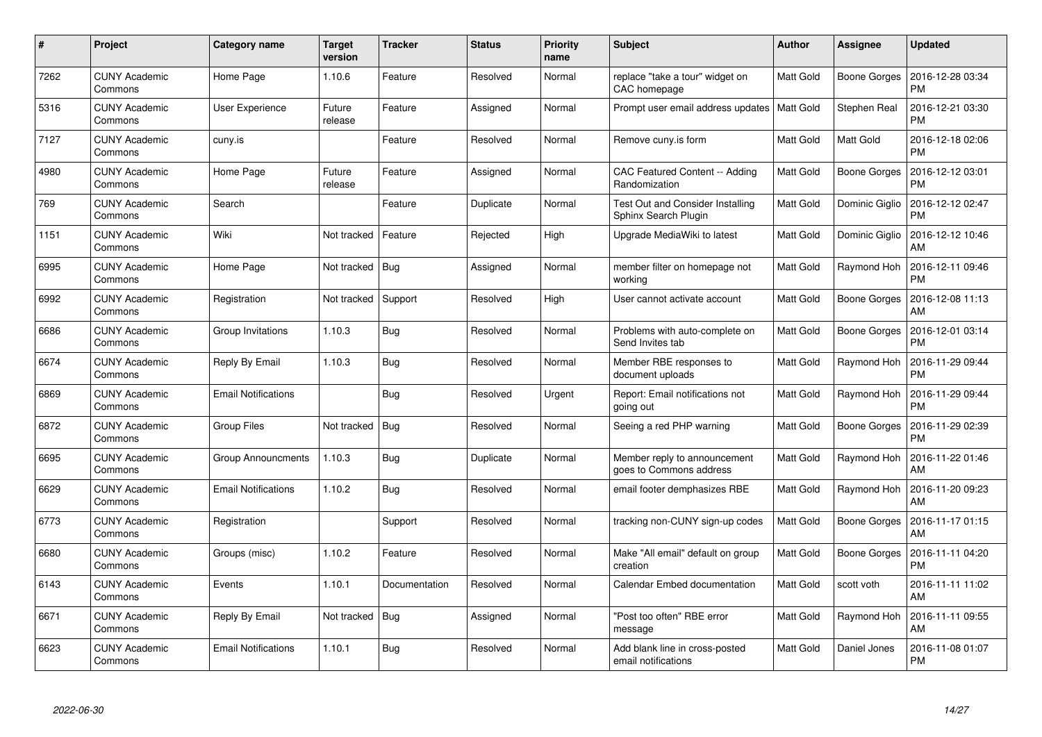| #    | Project                         | Category name              | <b>Target</b><br>version | <b>Tracker</b> | <b>Status</b> | <b>Priority</b><br>name | <b>Subject</b>                                                  | <b>Author</b> | Assignee            | <b>Updated</b>                |
|------|---------------------------------|----------------------------|--------------------------|----------------|---------------|-------------------------|-----------------------------------------------------------------|---------------|---------------------|-------------------------------|
| 7262 | <b>CUNY Academic</b><br>Commons | Home Page                  | 1.10.6                   | Feature        | Resolved      | Normal                  | replace "take a tour" widget on<br>CAC homepage                 | Matt Gold     | Boone Gorges        | 2016-12-28 03:34<br><b>PM</b> |
| 5316 | <b>CUNY Academic</b><br>Commons | User Experience            | Future<br>release        | Feature        | Assigned      | Normal                  | Prompt user email address updates   Matt Gold                   |               | <b>Stephen Real</b> | 2016-12-21 03:30<br><b>PM</b> |
| 7127 | <b>CUNY Academic</b><br>Commons | cuny.is                    |                          | Feature        | Resolved      | Normal                  | Remove cuny is form                                             | Matt Gold     | Matt Gold           | 2016-12-18 02:06<br><b>PM</b> |
| 4980 | <b>CUNY Academic</b><br>Commons | Home Page                  | Future<br>release        | Feature        | Assigned      | Normal                  | CAC Featured Content -- Adding<br>Randomization                 | Matt Gold     | Boone Gorges        | 2016-12-12 03:01<br><b>PM</b> |
| 769  | <b>CUNY Academic</b><br>Commons | Search                     |                          | Feature        | Duplicate     | Normal                  | <b>Test Out and Consider Installing</b><br>Sphinx Search Plugin | Matt Gold     | Dominic Giglio      | 2016-12-12 02:47<br><b>PM</b> |
| 1151 | <b>CUNY Academic</b><br>Commons | Wiki                       | Not tracked              | Feature        | Rejected      | High                    | Upgrade MediaWiki to latest                                     | Matt Gold     | Dominic Giglio      | 2016-12-12 10:46<br>AM        |
| 6995 | <b>CUNY Academic</b><br>Commons | Home Page                  | Not tracked              | Bug            | Assigned      | Normal                  | member filter on homepage not<br>working                        | Matt Gold     | Raymond Hoh         | 2016-12-11 09:46<br><b>PM</b> |
| 6992 | <b>CUNY Academic</b><br>Commons | Registration               | Not tracked              | Support        | Resolved      | High                    | User cannot activate account                                    | Matt Gold     | Boone Gorges        | 2016-12-08 11:13<br>AM        |
| 6686 | <b>CUNY Academic</b><br>Commons | Group Invitations          | 1.10.3                   | Bug            | Resolved      | Normal                  | Problems with auto-complete on<br>Send Invites tab              | Matt Gold     | Boone Gorges        | 2016-12-01 03:14<br><b>PM</b> |
| 6674 | <b>CUNY Academic</b><br>Commons | Reply By Email             | 1.10.3                   | Bug            | Resolved      | Normal                  | Member RBE responses to<br>document uploads                     | Matt Gold     | Raymond Hoh         | 2016-11-29 09:44<br><b>PM</b> |
| 6869 | <b>CUNY Academic</b><br>Commons | <b>Email Notifications</b> |                          | <b>Bug</b>     | Resolved      | Urgent                  | Report: Email notifications not<br>going out                    | Matt Gold     | Raymond Hoh         | 2016-11-29 09:44<br><b>PM</b> |
| 6872 | <b>CUNY Academic</b><br>Commons | Group Files                | Not tracked              | <b>Bug</b>     | Resolved      | Normal                  | Seeing a red PHP warning                                        | Matt Gold     | Boone Gorges        | 2016-11-29 02:39<br><b>PM</b> |
| 6695 | <b>CUNY Academic</b><br>Commons | <b>Group Announcments</b>  | 1.10.3                   | Bug            | Duplicate     | Normal                  | Member reply to announcement<br>goes to Commons address         | Matt Gold     | Raymond Hoh         | 2016-11-22 01:46<br>AM        |
| 6629 | <b>CUNY Academic</b><br>Commons | <b>Email Notifications</b> | 1.10.2                   | Bug            | Resolved      | Normal                  | email footer demphasizes RBE                                    | Matt Gold     | Raymond Hoh         | 2016-11-20 09:23<br>AM        |
| 6773 | <b>CUNY Academic</b><br>Commons | Registration               |                          | Support        | Resolved      | Normal                  | tracking non-CUNY sign-up codes                                 | Matt Gold     | Boone Gorges        | 2016-11-17 01:15<br>AM        |
| 6680 | <b>CUNY Academic</b><br>Commons | Groups (misc)              | 1.10.2                   | Feature        | Resolved      | Normal                  | Make "All email" default on group<br>creation                   | Matt Gold     | Boone Gorges        | 2016-11-11 04:20<br><b>PM</b> |
| 6143 | <b>CUNY Academic</b><br>Commons | Events                     | 1.10.1                   | Documentation  | Resolved      | Normal                  | Calendar Embed documentation                                    | Matt Gold     | scott voth          | 2016-11-11 11:02<br>AM        |
| 6671 | <b>CUNY Academic</b><br>Commons | Reply By Email             | Not tracked              | Bug            | Assigned      | Normal                  | 'Post too often" RBE error<br>message                           | Matt Gold     | Raymond Hoh         | 2016-11-11 09:55<br>AM        |
| 6623 | CUNY Academic<br>Commons        | <b>Email Notifications</b> | 1.10.1                   | <b>Bug</b>     | Resolved      | Normal                  | Add blank line in cross-posted<br>email notifications           | Matt Gold     | Daniel Jones        | 2016-11-08 01:07<br>PM        |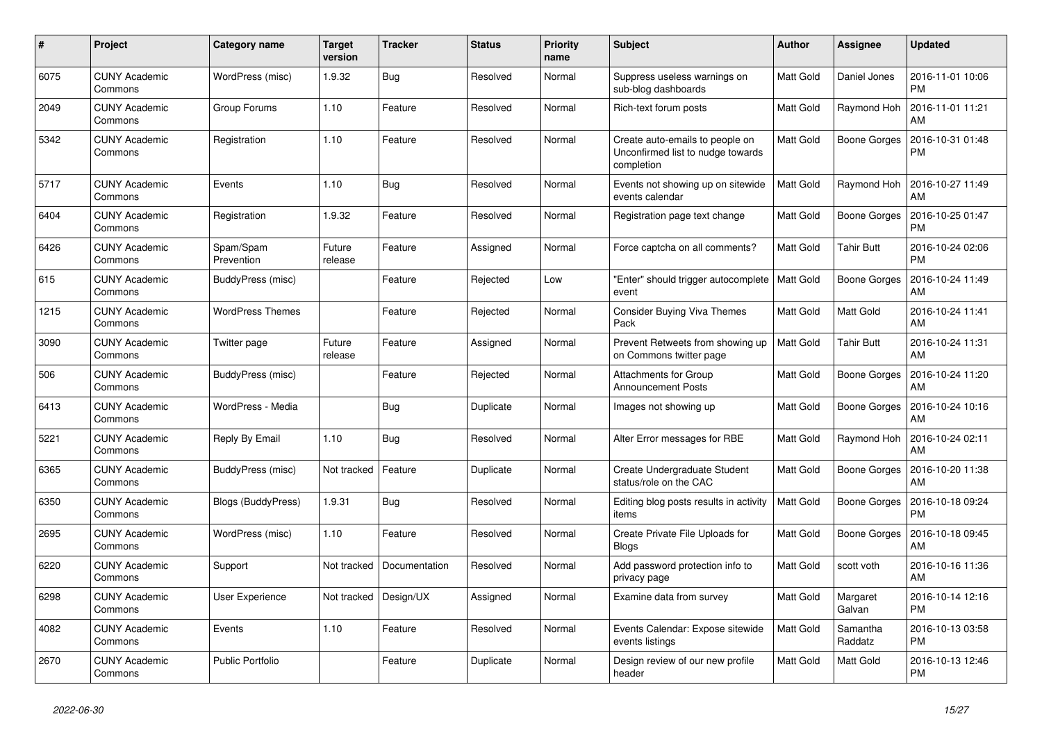| #    | Project                         | <b>Category name</b>    | Target<br>version | <b>Tracker</b> | <b>Status</b> | <b>Priority</b><br>name | <b>Subject</b>                                                                     | Author    | <b>Assignee</b>     | <b>Updated</b>                |
|------|---------------------------------|-------------------------|-------------------|----------------|---------------|-------------------------|------------------------------------------------------------------------------------|-----------|---------------------|-------------------------------|
| 6075 | <b>CUNY Academic</b><br>Commons | WordPress (misc)        | 1.9.32            | <b>Bug</b>     | Resolved      | Normal                  | Suppress useless warnings on<br>sub-blog dashboards                                | Matt Gold | Daniel Jones        | 2016-11-01 10:06<br><b>PM</b> |
| 2049 | <b>CUNY Academic</b><br>Commons | Group Forums            | 1.10              | Feature        | Resolved      | Normal                  | Rich-text forum posts                                                              | Matt Gold | Raymond Hoh         | 2016-11-01 11:21<br>AM        |
| 5342 | <b>CUNY Academic</b><br>Commons | Registration            | 1.10              | Feature        | Resolved      | Normal                  | Create auto-emails to people on<br>Unconfirmed list to nudge towards<br>completion | Matt Gold | <b>Boone Gorges</b> | 2016-10-31 01:48<br><b>PM</b> |
| 5717 | <b>CUNY Academic</b><br>Commons | Events                  | 1.10              | <b>Bug</b>     | Resolved      | Normal                  | Events not showing up on sitewide<br>events calendar                               | Matt Gold | Raymond Hoh         | 2016-10-27 11:49<br>AM        |
| 6404 | <b>CUNY Academic</b><br>Commons | Registration            | 1.9.32            | Feature        | Resolved      | Normal                  | Registration page text change                                                      | Matt Gold | Boone Gorges        | 2016-10-25 01:47<br><b>PM</b> |
| 6426 | <b>CUNY Academic</b><br>Commons | Spam/Spam<br>Prevention | Future<br>release | Feature        | Assigned      | Normal                  | Force captcha on all comments?                                                     | Matt Gold | <b>Tahir Butt</b>   | 2016-10-24 02:06<br><b>PM</b> |
| 615  | <b>CUNY Academic</b><br>Commons | BuddyPress (misc)       |                   | Feature        | Rejected      | Low                     | "Enter" should trigger autocomplete<br>event                                       | Matt Gold | <b>Boone Gorges</b> | 2016-10-24 11:49<br>AM        |
| 1215 | <b>CUNY Academic</b><br>Commons | <b>WordPress Themes</b> |                   | Feature        | Rejected      | Normal                  | <b>Consider Buying Viva Themes</b><br>Pack                                         | Matt Gold | Matt Gold           | 2016-10-24 11:41<br>AM        |
| 3090 | <b>CUNY Academic</b><br>Commons | Twitter page            | Future<br>release | Feature        | Assigned      | Normal                  | Prevent Retweets from showing up<br>on Commons twitter page                        | Matt Gold | <b>Tahir Butt</b>   | 2016-10-24 11:31<br>AM        |
| 506  | <b>CUNY Academic</b><br>Commons | BuddyPress (misc)       |                   | Feature        | Rejected      | Normal                  | Attachments for Group<br><b>Announcement Posts</b>                                 | Matt Gold | <b>Boone Gorges</b> | 2016-10-24 11:20<br>AM        |
| 6413 | <b>CUNY Academic</b><br>Commons | WordPress - Media       |                   | Bug            | Duplicate     | Normal                  | Images not showing up                                                              | Matt Gold | Boone Gorges        | 2016-10-24 10:16<br>AM        |
| 5221 | <b>CUNY Academic</b><br>Commons | Reply By Email          | 1.10              | <b>Bug</b>     | Resolved      | Normal                  | Alter Error messages for RBE                                                       | Matt Gold | Raymond Hoh         | 2016-10-24 02:11<br>AM        |
| 6365 | <b>CUNY Academic</b><br>Commons | BuddyPress (misc)       | Not tracked       | Feature        | Duplicate     | Normal                  | Create Undergraduate Student<br>status/role on the CAC                             | Matt Gold | <b>Boone Gorges</b> | 2016-10-20 11:38<br>AM        |
| 6350 | <b>CUNY Academic</b><br>Commons | Blogs (BuddyPress)      | 1.9.31            | Bug            | Resolved      | Normal                  | Editing blog posts results in activity<br>items                                    | Matt Gold | Boone Gorges        | 2016-10-18 09:24<br><b>PM</b> |
| 2695 | <b>CUNY Academic</b><br>Commons | WordPress (misc)        | 1.10              | Feature        | Resolved      | Normal                  | Create Private File Uploads for<br><b>Blogs</b>                                    | Matt Gold | Boone Gorges        | 2016-10-18 09:45<br>AM        |
| 6220 | <b>CUNY Academic</b><br>Commons | Support                 | Not tracked       | Documentation  | Resolved      | Normal                  | Add password protection info to<br>privacy page                                    | Matt Gold | scott voth          | 2016-10-16 11:36<br>AM        |
| 6298 | <b>CUNY Academic</b><br>Commons | User Experience         | Not tracked       | Design/UX      | Assigned      | Normal                  | Examine data from survey                                                           | Matt Gold | Margaret<br>Galvan  | 2016-10-14 12:16<br><b>PM</b> |
| 4082 | <b>CUNY Academic</b><br>Commons | Events                  | 1.10              | Feature        | Resolved      | Normal                  | Events Calendar: Expose sitewide<br>events listings                                | Matt Gold | Samantha<br>Raddatz | 2016-10-13 03:58<br><b>PM</b> |
| 2670 | <b>CUNY Academic</b><br>Commons | <b>Public Portfolio</b> |                   | Feature        | Duplicate     | Normal                  | Design review of our new profile<br>header                                         | Matt Gold | Matt Gold           | 2016-10-13 12:46<br><b>PM</b> |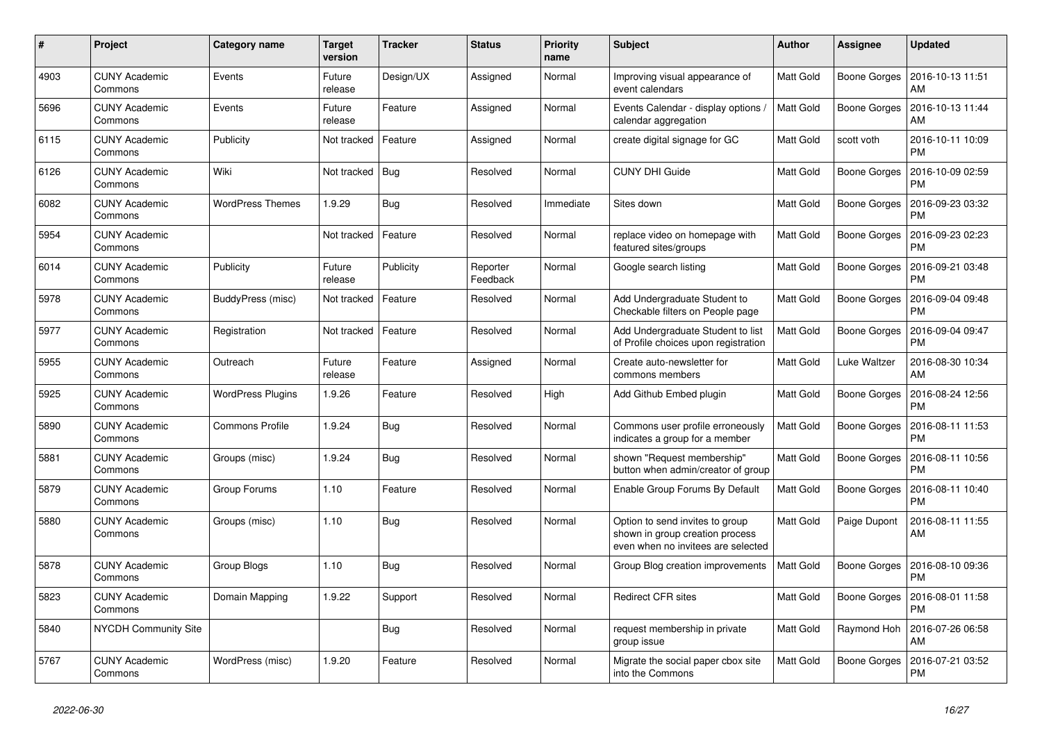| #    | Project                         | Category name            | <b>Target</b><br>version | <b>Tracker</b> | <b>Status</b>        | <b>Priority</b><br>name | <b>Subject</b>                                                                                           | Author    | Assignee            | <b>Updated</b>                |
|------|---------------------------------|--------------------------|--------------------------|----------------|----------------------|-------------------------|----------------------------------------------------------------------------------------------------------|-----------|---------------------|-------------------------------|
| 4903 | <b>CUNY Academic</b><br>Commons | Events                   | Future<br>release        | Design/UX      | Assigned             | Normal                  | Improving visual appearance of<br>event calendars                                                        | Matt Gold | Boone Gorges        | 2016-10-13 11:51<br>AM        |
| 5696 | <b>CUNY Academic</b><br>Commons | Events                   | Future<br>release        | Feature        | Assigned             | Normal                  | Events Calendar - display options /<br>calendar aggregation                                              | Matt Gold | <b>Boone Gorges</b> | 2016-10-13 11:44<br>AM        |
| 6115 | <b>CUNY Academic</b><br>Commons | Publicity                | Not tracked              | Feature        | Assigned             | Normal                  | create digital signage for GC                                                                            | Matt Gold | scott voth          | 2016-10-11 10:09<br><b>PM</b> |
| 6126 | <b>CUNY Academic</b><br>Commons | Wiki                     | Not tracked              | <b>Bug</b>     | Resolved             | Normal                  | <b>CUNY DHI Guide</b>                                                                                    | Matt Gold | Boone Gorges        | 2016-10-09 02:59<br><b>PM</b> |
| 6082 | <b>CUNY Academic</b><br>Commons | <b>WordPress Themes</b>  | 1.9.29                   | <b>Bug</b>     | Resolved             | Immediate               | Sites down                                                                                               | Matt Gold | Boone Gorges        | 2016-09-23 03:32<br><b>PM</b> |
| 5954 | <b>CUNY Academic</b><br>Commons |                          | Not tracked              | Feature        | Resolved             | Normal                  | replace video on homepage with<br>featured sites/groups                                                  | Matt Gold | Boone Gorges        | 2016-09-23 02:23<br><b>PM</b> |
| 6014 | <b>CUNY Academic</b><br>Commons | Publicity                | Future<br>release        | Publicity      | Reporter<br>Feedback | Normal                  | Google search listing                                                                                    | Matt Gold | Boone Gorges        | 2016-09-21 03:48<br><b>PM</b> |
| 5978 | <b>CUNY Academic</b><br>Commons | BuddyPress (misc)        | Not tracked              | Feature        | Resolved             | Normal                  | Add Undergraduate Student to<br>Checkable filters on People page                                         | Matt Gold | Boone Gorges        | 2016-09-04 09:48<br><b>PM</b> |
| 5977 | <b>CUNY Academic</b><br>Commons | Registration             | Not tracked              | Feature        | Resolved             | Normal                  | Add Undergraduate Student to list<br>of Profile choices upon registration                                | Matt Gold | <b>Boone Gorges</b> | 2016-09-04 09:47<br><b>PM</b> |
| 5955 | <b>CUNY Academic</b><br>Commons | Outreach                 | Future<br>release        | Feature        | Assigned             | Normal                  | Create auto-newsletter for<br>commons members                                                            | Matt Gold | Luke Waltzer        | 2016-08-30 10:34<br>AM        |
| 5925 | <b>CUNY Academic</b><br>Commons | <b>WordPress Plugins</b> | 1.9.26                   | Feature        | Resolved             | High                    | Add Github Embed plugin                                                                                  | Matt Gold | Boone Gorges        | 2016-08-24 12:56<br><b>PM</b> |
| 5890 | <b>CUNY Academic</b><br>Commons | <b>Commons Profile</b>   | 1.9.24                   | Bug            | Resolved             | Normal                  | Commons user profile erroneously<br>indicates a group for a member                                       | Matt Gold | Boone Gorges        | 2016-08-11 11:53<br><b>PM</b> |
| 5881 | <b>CUNY Academic</b><br>Commons | Groups (misc)            | 1.9.24                   | Bug            | Resolved             | Normal                  | shown "Request membership"<br>button when admin/creator of group                                         | Matt Gold | Boone Gorges        | 2016-08-11 10:56<br><b>PM</b> |
| 5879 | <b>CUNY Academic</b><br>Commons | Group Forums             | 1.10                     | Feature        | Resolved             | Normal                  | Enable Group Forums By Default                                                                           | Matt Gold | Boone Gorges        | 2016-08-11 10:40<br><b>PM</b> |
| 5880 | <b>CUNY Academic</b><br>Commons | Groups (misc)            | 1.10                     | <b>Bug</b>     | Resolved             | Normal                  | Option to send invites to group<br>shown in group creation process<br>even when no invitees are selected | Matt Gold | Paige Dupont        | 2016-08-11 11:55<br>AM        |
| 5878 | <b>CUNY Academic</b><br>Commons | Group Blogs              | 1.10                     | Bug            | Resolved             | Normal                  | Group Blog creation improvements                                                                         | Matt Gold | <b>Boone Gorges</b> | 2016-08-10 09:36<br><b>PM</b> |
| 5823 | <b>CUNY Academic</b><br>Commons | Domain Mapping           | 1.9.22                   | Support        | Resolved             | Normal                  | <b>Redirect CFR sites</b>                                                                                | Matt Gold | Boone Gorges        | 2016-08-01 11:58<br><b>PM</b> |
| 5840 | <b>NYCDH Community Site</b>     |                          |                          | Bug            | Resolved             | Normal                  | request membership in private<br>group issue                                                             | Matt Gold | Raymond Hoh         | 2016-07-26 06:58<br>AM        |
| 5767 | <b>CUNY Academic</b><br>Commons | WordPress (misc)         | 1.9.20                   | Feature        | Resolved             | Normal                  | Migrate the social paper cbox site<br>into the Commons                                                   | Matt Gold | <b>Boone Gorges</b> | 2016-07-21 03:52<br><b>PM</b> |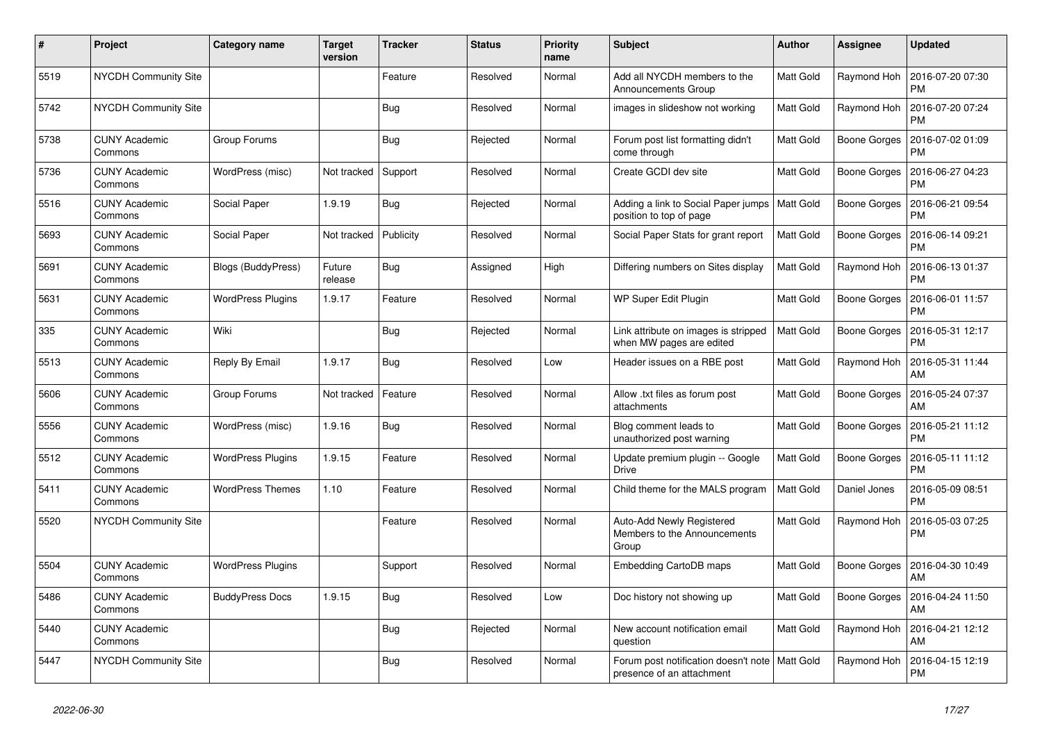| #    | Project                         | <b>Category name</b>      | <b>Target</b><br>version | <b>Tracker</b> | <b>Status</b> | <b>Priority</b><br>name | <b>Subject</b>                                                                | <b>Author</b> | <b>Assignee</b>     | <b>Updated</b>                |
|------|---------------------------------|---------------------------|--------------------------|----------------|---------------|-------------------------|-------------------------------------------------------------------------------|---------------|---------------------|-------------------------------|
| 5519 | NYCDH Community Site            |                           |                          | Feature        | Resolved      | Normal                  | Add all NYCDH members to the<br>Announcements Group                           | Matt Gold     | Raymond Hoh         | 2016-07-20 07:30<br><b>PM</b> |
| 5742 | <b>NYCDH Community Site</b>     |                           |                          | <b>Bug</b>     | Resolved      | Normal                  | images in slideshow not working                                               | Matt Gold     | Raymond Hoh         | 2016-07-20 07:24<br><b>PM</b> |
| 5738 | <b>CUNY Academic</b><br>Commons | Group Forums              |                          | <b>Bug</b>     | Rejected      | Normal                  | Forum post list formatting didn't<br>come through                             | Matt Gold     | Boone Gorges        | 2016-07-02 01:09<br><b>PM</b> |
| 5736 | <b>CUNY Academic</b><br>Commons | WordPress (misc)          | Not tracked              | Support        | Resolved      | Normal                  | Create GCDI dev site                                                          | Matt Gold     | Boone Gorges        | 2016-06-27 04:23<br><b>PM</b> |
| 5516 | <b>CUNY Academic</b><br>Commons | Social Paper              | 1.9.19                   | Bug            | Rejected      | Normal                  | Adding a link to Social Paper jumps<br>position to top of page                | Matt Gold     | Boone Gorges        | 2016-06-21 09:54<br><b>PM</b> |
| 5693 | <b>CUNY Academic</b><br>Commons | Social Paper              | Not tracked              | Publicity      | Resolved      | Normal                  | Social Paper Stats for grant report                                           | Matt Gold     | Boone Gorges        | 2016-06-14 09:21<br><b>PM</b> |
| 5691 | <b>CUNY Academic</b><br>Commons | <b>Blogs (BuddyPress)</b> | Future<br>release        | Bug            | Assigned      | High                    | Differing numbers on Sites display                                            | Matt Gold     | Raymond Hoh         | 2016-06-13 01:37<br><b>PM</b> |
| 5631 | <b>CUNY Academic</b><br>Commons | <b>WordPress Plugins</b>  | 1.9.17                   | Feature        | Resolved      | Normal                  | WP Super Edit Plugin                                                          | Matt Gold     | Boone Gorges        | 2016-06-01 11:57<br><b>PM</b> |
| 335  | <b>CUNY Academic</b><br>Commons | Wiki                      |                          | Bug            | Rejected      | Normal                  | Link attribute on images is stripped<br>when MW pages are edited              | Matt Gold     | Boone Gorges        | 2016-05-31 12:17<br><b>PM</b> |
| 5513 | <b>CUNY Academic</b><br>Commons | Reply By Email            | 1.9.17                   | <b>Bug</b>     | Resolved      | Low                     | Header issues on a RBE post                                                   | Matt Gold     | Raymond Hoh         | 2016-05-31 11:44<br>AM        |
| 5606 | <b>CUNY Academic</b><br>Commons | Group Forums              | Not tracked              | Feature        | Resolved      | Normal                  | Allow .txt files as forum post<br>attachments                                 | Matt Gold     | Boone Gorges        | 2016-05-24 07:37<br>AM        |
| 5556 | <b>CUNY Academic</b><br>Commons | WordPress (misc)          | 1.9.16                   | Bug            | Resolved      | Normal                  | Blog comment leads to<br>unauthorized post warning                            | Matt Gold     | <b>Boone Gorges</b> | 2016-05-21 11:12<br><b>PM</b> |
| 5512 | <b>CUNY Academic</b><br>Commons | <b>WordPress Plugins</b>  | 1.9.15                   | Feature        | Resolved      | Normal                  | Update premium plugin -- Google<br><b>Drive</b>                               | Matt Gold     | Boone Gorges        | 2016-05-11 11:12<br><b>PM</b> |
| 5411 | <b>CUNY Academic</b><br>Commons | <b>WordPress Themes</b>   | 1.10                     | Feature        | Resolved      | Normal                  | Child theme for the MALS program                                              | Matt Gold     | Daniel Jones        | 2016-05-09 08:51<br><b>PM</b> |
| 5520 | NYCDH Community Site            |                           |                          | Feature        | Resolved      | Normal                  | Auto-Add Newly Registered<br>Members to the Announcements<br>Group            | Matt Gold     | Raymond Hoh         | 2016-05-03 07:25<br>PM        |
| 5504 | <b>CUNY Academic</b><br>Commons | <b>WordPress Plugins</b>  |                          | Support        | Resolved      | Normal                  | Embedding CartoDB maps                                                        | Matt Gold     | Boone Gorges        | 2016-04-30 10:49<br>AM        |
| 5486 | <b>CUNY Academic</b><br>Commons | <b>BuddyPress Docs</b>    | 1.9.15                   | Bug            | Resolved      | Low                     | Doc history not showing up                                                    | Matt Gold     | Boone Gorges        | 2016-04-24 11:50<br>AM        |
| 5440 | <b>CUNY Academic</b><br>Commons |                           |                          | <b>Bug</b>     | Rejected      | Normal                  | New account notification email<br>question                                    | Matt Gold     | Raymond Hoh         | 2016-04-21 12:12<br>AM        |
| 5447 | <b>NYCDH Community Site</b>     |                           |                          | <b>Bug</b>     | Resolved      | Normal                  | Forum post notification doesn't note   Matt Gold<br>presence of an attachment |               | Raymond Hoh         | 2016-04-15 12:19<br><b>PM</b> |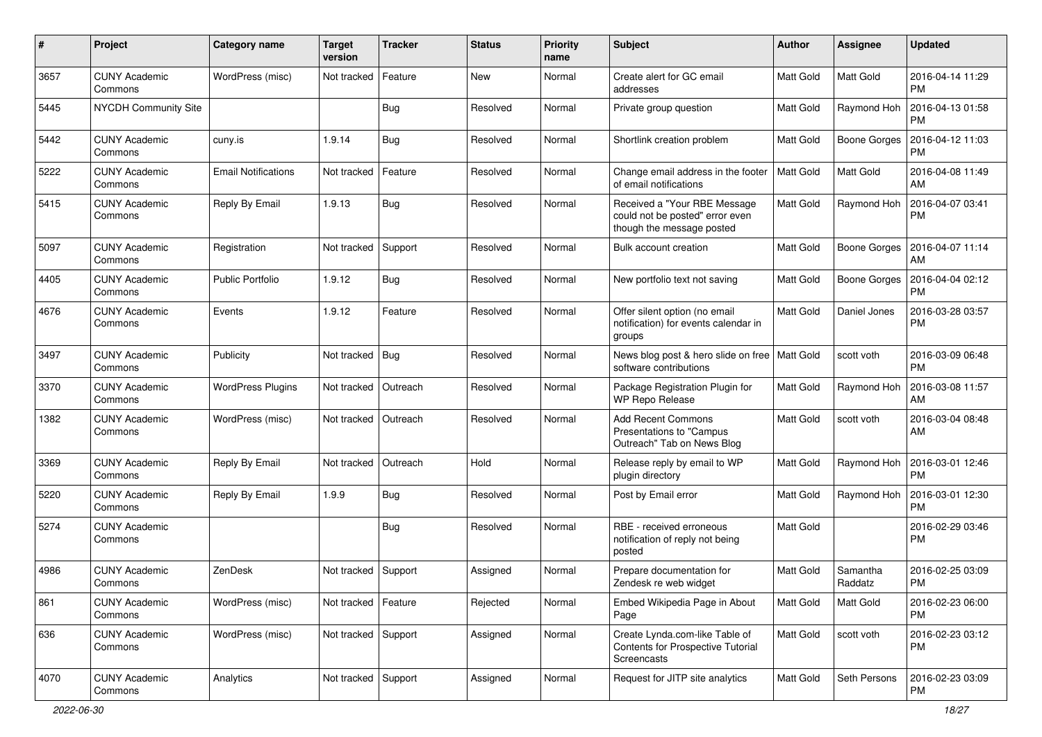| $\pmb{\#}$ | Project                         | <b>Category name</b>       | <b>Target</b><br>version | <b>Tracker</b> | <b>Status</b> | <b>Priority</b><br>name | Subject                                                                                      | Author           | Assignee            | <b>Updated</b>                |
|------------|---------------------------------|----------------------------|--------------------------|----------------|---------------|-------------------------|----------------------------------------------------------------------------------------------|------------------|---------------------|-------------------------------|
| 3657       | <b>CUNY Academic</b><br>Commons | WordPress (misc)           | Not tracked              | Feature        | <b>New</b>    | Normal                  | Create alert for GC email<br>addresses                                                       | Matt Gold        | Matt Gold           | 2016-04-14 11:29<br><b>PM</b> |
| 5445       | <b>NYCDH Community Site</b>     |                            |                          | <b>Bug</b>     | Resolved      | Normal                  | Private group question                                                                       | Matt Gold        | Raymond Hoh         | 2016-04-13 01:58<br><b>PM</b> |
| 5442       | <b>CUNY Academic</b><br>Commons | cuny.is                    | 1.9.14                   | Bug            | Resolved      | Normal                  | Shortlink creation problem                                                                   | Matt Gold        | <b>Boone Gorges</b> | 2016-04-12 11:03<br><b>PM</b> |
| 5222       | <b>CUNY Academic</b><br>Commons | <b>Email Notifications</b> | Not tracked              | Feature        | Resolved      | Normal                  | Change email address in the footer<br>of email notifications                                 | <b>Matt Gold</b> | Matt Gold           | 2016-04-08 11:49<br>AM        |
| 5415       | <b>CUNY Academic</b><br>Commons | Reply By Email             | 1.9.13                   | Bug            | Resolved      | Normal                  | Received a "Your RBE Message<br>could not be posted" error even<br>though the message posted | Matt Gold        | Raymond Hoh         | 2016-04-07 03:41<br><b>PM</b> |
| 5097       | <b>CUNY Academic</b><br>Commons | Registration               | Not tracked              | Support        | Resolved      | Normal                  | Bulk account creation                                                                        | Matt Gold        | Boone Gorges        | 2016-04-07 11:14<br>AM        |
| 4405       | <b>CUNY Academic</b><br>Commons | <b>Public Portfolio</b>    | 1.9.12                   | Bug            | Resolved      | Normal                  | New portfolio text not saving                                                                | Matt Gold        | Boone Gorges        | 2016-04-04 02:12<br>PM        |
| 4676       | <b>CUNY Academic</b><br>Commons | Events                     | 1.9.12                   | Feature        | Resolved      | Normal                  | Offer silent option (no email<br>notification) for events calendar in<br>groups              | Matt Gold        | Daniel Jones        | 2016-03-28 03:57<br><b>PM</b> |
| 3497       | <b>CUNY Academic</b><br>Commons | Publicity                  | Not tracked              | Bug            | Resolved      | Normal                  | News blog post & hero slide on free   Matt Gold<br>software contributions                    |                  | scott voth          | 2016-03-09 06:48<br><b>PM</b> |
| 3370       | <b>CUNY Academic</b><br>Commons | <b>WordPress Plugins</b>   | Not tracked              | Outreach       | Resolved      | Normal                  | Package Registration Plugin for<br><b>WP Repo Release</b>                                    | Matt Gold        | Raymond Hoh         | 2016-03-08 11:57<br>AM        |
| 1382       | <b>CUNY Academic</b><br>Commons | WordPress (misc)           | Not tracked              | Outreach       | Resolved      | Normal                  | <b>Add Recent Commons</b><br>Presentations to "Campus<br>Outreach" Tab on News Blog          | Matt Gold        | scott voth          | 2016-03-04 08:48<br>AM        |
| 3369       | <b>CUNY Academic</b><br>Commons | Reply By Email             | Not tracked              | Outreach       | Hold          | Normal                  | Release reply by email to WP<br>plugin directory                                             | Matt Gold        | Raymond Hoh         | 2016-03-01 12:46<br><b>PM</b> |
| 5220       | <b>CUNY Academic</b><br>Commons | Reply By Email             | 1.9.9                    | Bug            | Resolved      | Normal                  | Post by Email error                                                                          | Matt Gold        | Raymond Hoh         | 2016-03-01 12:30<br><b>PM</b> |
| 5274       | <b>CUNY Academic</b><br>Commons |                            |                          | <b>Bug</b>     | Resolved      | Normal                  | RBE - received erroneous<br>notification of reply not being<br>posted                        | Matt Gold        |                     | 2016-02-29 03:46<br><b>PM</b> |
| 4986       | <b>CUNY Academic</b><br>Commons | ZenDesk                    | Not tracked              | Support        | Assigned      | Normal                  | Prepare documentation for<br>Zendesk re web widget                                           | Matt Gold        | Samantha<br>Raddatz | 2016-02-25 03:09<br><b>PM</b> |
| 861        | <b>CUNY Academic</b><br>Commons | WordPress (misc)           | Not tracked              | Feature        | Rejected      | Normal                  | Embed Wikipedia Page in About<br>Page                                                        | Matt Gold        | Matt Gold           | 2016-02-23 06:00<br>PM        |
| 636        | <b>CUNY Academic</b><br>Commons | WordPress (misc)           | Not tracked Support      |                | Assigned      | Normal                  | Create Lynda.com-like Table of<br>Contents for Prospective Tutorial<br>Screencasts           | Matt Gold        | scott voth          | 2016-02-23 03:12<br><b>PM</b> |
| 4070       | <b>CUNY Academic</b><br>Commons | Analytics                  | Not tracked Support      |                | Assigned      | Normal                  | Request for JITP site analytics                                                              | Matt Gold        | Seth Persons        | 2016-02-23 03:09<br><b>PM</b> |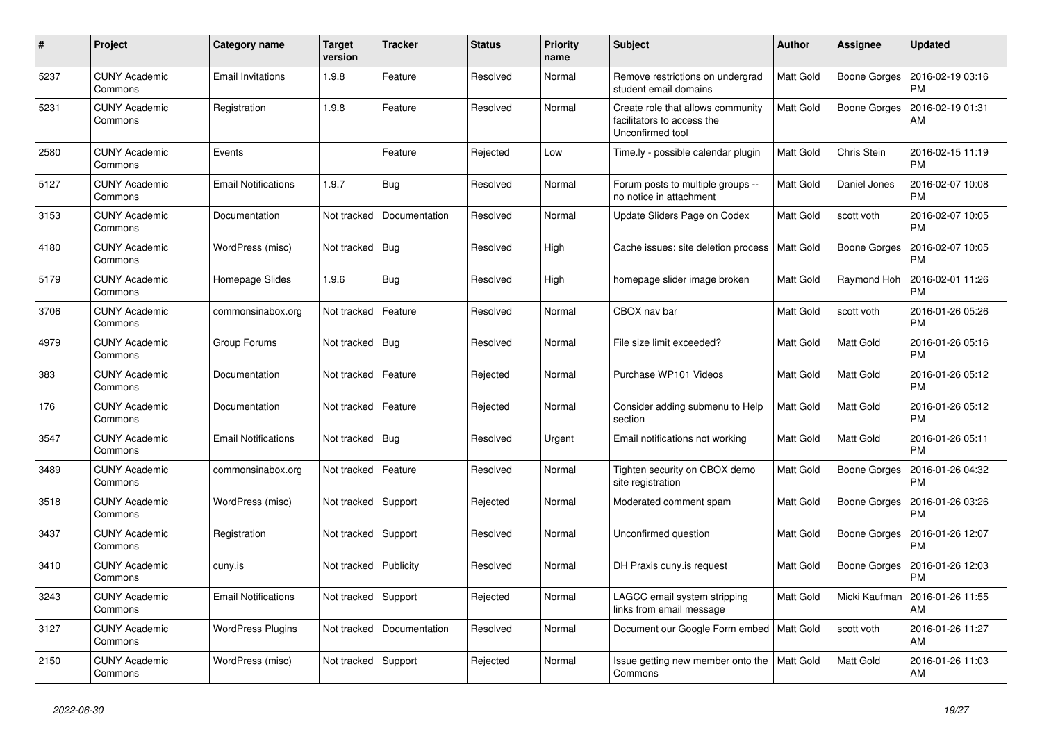| #    | Project                         | Category name              | <b>Target</b><br>version | <b>Tracker</b> | <b>Status</b> | <b>Priority</b><br>name | <b>Subject</b>                                                                      | Author           | <b>Assignee</b>     | <b>Updated</b>                |
|------|---------------------------------|----------------------------|--------------------------|----------------|---------------|-------------------------|-------------------------------------------------------------------------------------|------------------|---------------------|-------------------------------|
| 5237 | <b>CUNY Academic</b><br>Commons | <b>Email Invitations</b>   | 1.9.8                    | Feature        | Resolved      | Normal                  | Remove restrictions on undergrad<br>student email domains                           | Matt Gold        | Boone Gorges        | 2016-02-19 03:16<br><b>PM</b> |
| 5231 | <b>CUNY Academic</b><br>Commons | Registration               | 1.9.8                    | Feature        | Resolved      | Normal                  | Create role that allows community<br>facilitators to access the<br>Unconfirmed tool | Matt Gold        | <b>Boone Gorges</b> | 2016-02-19 01:31<br>AM        |
| 2580 | <b>CUNY Academic</b><br>Commons | Events                     |                          | Feature        | Rejected      | Low                     | Time.ly - possible calendar plugin                                                  | <b>Matt Gold</b> | Chris Stein         | 2016-02-15 11:19<br><b>PM</b> |
| 5127 | <b>CUNY Academic</b><br>Commons | <b>Email Notifications</b> | 1.9.7                    | Bug            | Resolved      | Normal                  | Forum posts to multiple groups --<br>no notice in attachment                        | Matt Gold        | Daniel Jones        | 2016-02-07 10:08<br><b>PM</b> |
| 3153 | <b>CUNY Academic</b><br>Commons | Documentation              | Not tracked              | Documentation  | Resolved      | Normal                  | Update Sliders Page on Codex                                                        | Matt Gold        | scott voth          | 2016-02-07 10:05<br><b>PM</b> |
| 4180 | <b>CUNY Academic</b><br>Commons | WordPress (misc)           | Not tracked              | Bug            | Resolved      | High                    | Cache issues: site deletion process                                                 | Matt Gold        | <b>Boone Gorges</b> | 2016-02-07 10:05<br><b>PM</b> |
| 5179 | <b>CUNY Academic</b><br>Commons | Homepage Slides            | 1.9.6                    | Bug            | Resolved      | High                    | homepage slider image broken                                                        | Matt Gold        | Raymond Hoh         | 2016-02-01 11:26<br><b>PM</b> |
| 3706 | <b>CUNY Academic</b><br>Commons | commonsinabox.org          | Not tracked              | Feature        | Resolved      | Normal                  | CBOX nav bar                                                                        | Matt Gold        | scott voth          | 2016-01-26 05:26<br><b>PM</b> |
| 4979 | <b>CUNY Academic</b><br>Commons | Group Forums               | Not tracked              | Bug            | Resolved      | Normal                  | File size limit exceeded?                                                           | Matt Gold        | Matt Gold           | 2016-01-26 05:16<br><b>PM</b> |
| 383  | <b>CUNY Academic</b><br>Commons | Documentation              | Not tracked              | Feature        | Rejected      | Normal                  | Purchase WP101 Videos                                                               | Matt Gold        | <b>Matt Gold</b>    | 2016-01-26 05:12<br><b>PM</b> |
| 176  | <b>CUNY Academic</b><br>Commons | Documentation              | Not tracked              | Feature        | Rejected      | Normal                  | Consider adding submenu to Help<br>section                                          | Matt Gold        | <b>Matt Gold</b>    | 2016-01-26 05:12<br><b>PM</b> |
| 3547 | <b>CUNY Academic</b><br>Commons | <b>Email Notifications</b> | Not tracked              | Bug            | Resolved      | Urgent                  | Email notifications not working                                                     | Matt Gold        | Matt Gold           | 2016-01-26 05:11<br><b>PM</b> |
| 3489 | <b>CUNY Academic</b><br>Commons | commonsinabox.org          | Not tracked              | Feature        | Resolved      | Normal                  | Tighten security on CBOX demo<br>site registration                                  | Matt Gold        | Boone Gorges        | 2016-01-26 04:32<br><b>PM</b> |
| 3518 | <b>CUNY Academic</b><br>Commons | WordPress (misc)           | Not tracked              | Support        | Rejected      | Normal                  | Moderated comment spam                                                              | Matt Gold        | Boone Gorges        | 2016-01-26 03:26<br><b>PM</b> |
| 3437 | <b>CUNY Academic</b><br>Commons | Registration               | Not tracked              | Support        | Resolved      | Normal                  | Unconfirmed question                                                                | Matt Gold        | Boone Gorges        | 2016-01-26 12:07<br><b>PM</b> |
| 3410 | <b>CUNY Academic</b><br>Commons | cuny.is                    | Not tracked              | Publicity      | Resolved      | Normal                  | DH Praxis cuny is request                                                           | Matt Gold        | Boone Gorges        | 2016-01-26 12:03<br>РM        |
| 3243 | CUNY Academic<br>Commons        | <b>Email Notifications</b> | Not tracked              | Support        | Rejected      | Normal                  | LAGCC email system stripping<br>links from email message                            | Matt Gold        | Micki Kaufman       | 2016-01-26 11:55<br>AM        |
| 3127 | <b>CUNY Academic</b><br>Commons | <b>WordPress Plugins</b>   | Not tracked              | Documentation  | Resolved      | Normal                  | Document our Google Form embed   Matt Gold                                          |                  | scott voth          | 2016-01-26 11:27<br>AM        |
| 2150 | <b>CUNY Academic</b><br>Commons | WordPress (misc)           | Not tracked              | Support        | Rejected      | Normal                  | Issue getting new member onto the<br>Commons                                        | Matt Gold        | <b>Matt Gold</b>    | 2016-01-26 11:03<br>AM        |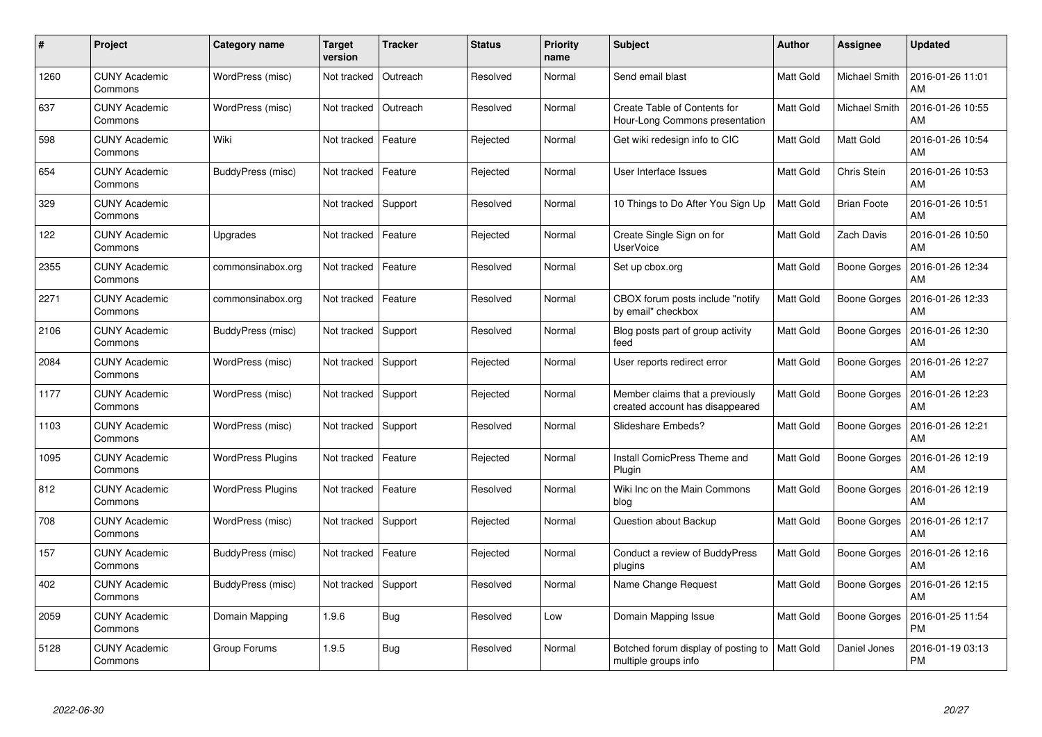| #    | Project                         | Category name            | <b>Target</b><br>version | <b>Tracker</b> | <b>Status</b> | <b>Priority</b><br>name | <b>Subject</b>                                                     | <b>Author</b>    | Assignee            | <b>Updated</b>                |
|------|---------------------------------|--------------------------|--------------------------|----------------|---------------|-------------------------|--------------------------------------------------------------------|------------------|---------------------|-------------------------------|
| 1260 | <b>CUNY Academic</b><br>Commons | WordPress (misc)         | Not tracked              | Outreach       | Resolved      | Normal                  | Send email blast                                                   | <b>Matt Gold</b> | Michael Smith       | 2016-01-26 11:01<br>AM        |
| 637  | <b>CUNY Academic</b><br>Commons | WordPress (misc)         | Not tracked              | Outreach       | Resolved      | Normal                  | Create Table of Contents for<br>Hour-Long Commons presentation     | Matt Gold        | Michael Smith       | 2016-01-26 10:55<br>AM        |
| 598  | <b>CUNY Academic</b><br>Commons | Wiki                     | Not tracked              | Feature        | Rejected      | Normal                  | Get wiki redesign info to CIC                                      | Matt Gold        | Matt Gold           | 2016-01-26 10:54<br>AM        |
| 654  | <b>CUNY Academic</b><br>Commons | BuddyPress (misc)        | Not tracked              | Feature        | Rejected      | Normal                  | User Interface Issues                                              | Matt Gold        | Chris Stein         | 2016-01-26 10:53<br>AM        |
| 329  | <b>CUNY Academic</b><br>Commons |                          | Not tracked              | Support        | Resolved      | Normal                  | 10 Things to Do After You Sign Up                                  | Matt Gold        | <b>Brian Foote</b>  | 2016-01-26 10:51<br>AM        |
| 122  | <b>CUNY Academic</b><br>Commons | Upgrades                 | Not tracked              | Feature        | Rejected      | Normal                  | Create Single Sign on for<br><b>UserVoice</b>                      | Matt Gold        | <b>Zach Davis</b>   | 2016-01-26 10:50<br>AM        |
| 2355 | <b>CUNY Academic</b><br>Commons | commonsinabox.org        | Not tracked              | Feature        | Resolved      | Normal                  | Set up cbox.org                                                    | Matt Gold        | <b>Boone Gorges</b> | 2016-01-26 12:34<br>AM        |
| 2271 | <b>CUNY Academic</b><br>Commons | commonsinabox.org        | Not tracked              | Feature        | Resolved      | Normal                  | CBOX forum posts include "notify<br>by email" checkbox             | Matt Gold        | Boone Gorges        | 2016-01-26 12:33<br>AM        |
| 2106 | <b>CUNY Academic</b><br>Commons | BuddyPress (misc)        | Not tracked              | Support        | Resolved      | Normal                  | Blog posts part of group activity<br>feed                          | Matt Gold        | Boone Gorges        | 2016-01-26 12:30<br>AM        |
| 2084 | <b>CUNY Academic</b><br>Commons | WordPress (misc)         | Not tracked              | Support        | Rejected      | Normal                  | User reports redirect error                                        | Matt Gold        | Boone Gorges        | 2016-01-26 12:27<br>AM        |
| 1177 | <b>CUNY Academic</b><br>Commons | WordPress (misc)         | Not tracked              | Support        | Rejected      | Normal                  | Member claims that a previously<br>created account has disappeared | Matt Gold        | <b>Boone Gorges</b> | 2016-01-26 12:23<br>AM        |
| 1103 | <b>CUNY Academic</b><br>Commons | WordPress (misc)         | Not tracked              | Support        | Resolved      | Normal                  | Slideshare Embeds?                                                 | Matt Gold        | Boone Gorges        | 2016-01-26 12:21<br>AM        |
| 1095 | <b>CUNY Academic</b><br>Commons | <b>WordPress Plugins</b> | Not tracked              | Feature        | Rejected      | Normal                  | Install ComicPress Theme and<br>Plugin                             | Matt Gold        | Boone Gorges        | 2016-01-26 12:19<br>AM        |
| 812  | <b>CUNY Academic</b><br>Commons | <b>WordPress Plugins</b> | Not tracked              | Feature        | Resolved      | Normal                  | Wiki Inc on the Main Commons<br>blog                               | Matt Gold        | <b>Boone Gorges</b> | 2016-01-26 12:19<br>AM        |
| 708  | <b>CUNY Academic</b><br>Commons | WordPress (misc)         | Not tracked              | Support        | Rejected      | Normal                  | Question about Backup                                              | Matt Gold        | <b>Boone Gorges</b> | 2016-01-26 12:17<br>AM        |
| 157  | <b>CUNY Academic</b><br>Commons | BuddyPress (misc)        | Not tracked              | Feature        | Rejected      | Normal                  | Conduct a review of BuddyPress<br>plugins                          | Matt Gold        | Boone Gorges        | 2016-01-26 12:16<br>AM        |
| 402  | <b>CUNY Academic</b><br>Commons | BuddyPress (misc)        | Not tracked              | Support        | Resolved      | Normal                  | Name Change Request                                                | Matt Gold        | Boone Gorges        | 2016-01-26 12:15<br>AM        |
| 2059 | <b>CUNY Academic</b><br>Commons | Domain Mapping           | 1.9.6                    | Bug            | Resolved      | Low                     | Domain Mapping Issue                                               | Matt Gold        | <b>Boone Gorges</b> | 2016-01-25 11:54<br><b>PM</b> |
| 5128 | CUNY Academic<br>Commons        | Group Forums             | 1.9.5                    | <b>Bug</b>     | Resolved      | Normal                  | Botched forum display of posting to<br>multiple groups info        | Matt Gold        | Daniel Jones        | 2016-01-19 03:13<br>PM        |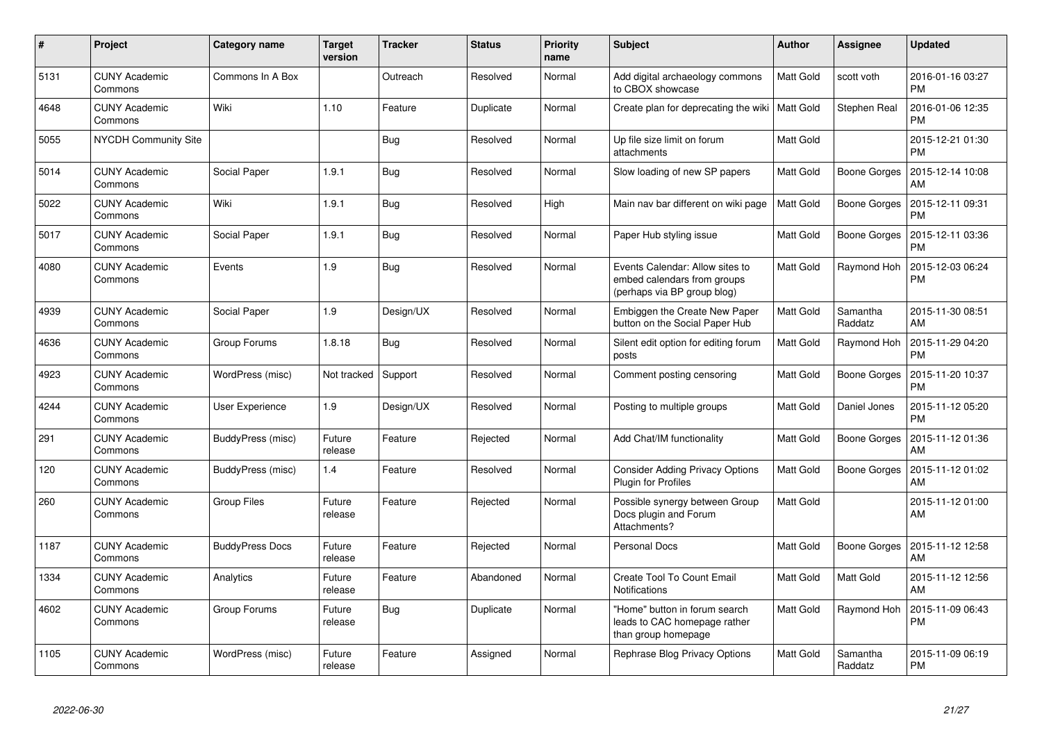| $\pmb{\#}$ | Project                         | Category name          | <b>Target</b><br>version | <b>Tracker</b> | <b>Status</b> | <b>Priority</b><br>name | <b>Subject</b>                                                                                | Author    | Assignee            | <b>Updated</b>                |
|------------|---------------------------------|------------------------|--------------------------|----------------|---------------|-------------------------|-----------------------------------------------------------------------------------------------|-----------|---------------------|-------------------------------|
| 5131       | <b>CUNY Academic</b><br>Commons | Commons In A Box       |                          | Outreach       | Resolved      | Normal                  | Add digital archaeology commons<br>to CBOX showcase                                           | Matt Gold | scott voth          | 2016-01-16 03:27<br><b>PM</b> |
| 4648       | <b>CUNY Academic</b><br>Commons | Wiki                   | 1.10                     | Feature        | Duplicate     | Normal                  | Create plan for deprecating the wiki   Matt Gold                                              |           | Stephen Real        | 2016-01-06 12:35<br><b>PM</b> |
| 5055       | <b>NYCDH Community Site</b>     |                        |                          | Bug            | Resolved      | Normal                  | Up file size limit on forum<br>attachments                                                    | Matt Gold |                     | 2015-12-21 01:30<br><b>PM</b> |
| 5014       | <b>CUNY Academic</b><br>Commons | Social Paper           | 1.9.1                    | <b>Bug</b>     | Resolved      | Normal                  | Slow loading of new SP papers                                                                 | Matt Gold | Boone Gorges        | 2015-12-14 10:08<br>AM        |
| 5022       | <b>CUNY Academic</b><br>Commons | Wiki                   | 1.9.1                    | Bug            | Resolved      | High                    | Main nav bar different on wiki page                                                           | Matt Gold | Boone Gorges        | 2015-12-11 09:31<br><b>PM</b> |
| 5017       | <b>CUNY Academic</b><br>Commons | Social Paper           | 1.9.1                    | Bug            | Resolved      | Normal                  | Paper Hub styling issue                                                                       | Matt Gold | Boone Gorges        | 2015-12-11 03:36<br><b>PM</b> |
| 4080       | <b>CUNY Academic</b><br>Commons | Events                 | 1.9                      | Bug            | Resolved      | Normal                  | Events Calendar: Allow sites to<br>embed calendars from groups<br>(perhaps via BP group blog) | Matt Gold | Raymond Hoh         | 2015-12-03 06:24<br><b>PM</b> |
| 4939       | <b>CUNY Academic</b><br>Commons | Social Paper           | 1.9                      | Design/UX      | Resolved      | Normal                  | Embiggen the Create New Paper<br>button on the Social Paper Hub                               | Matt Gold | Samantha<br>Raddatz | 2015-11-30 08:51<br>AM        |
| 4636       | <b>CUNY Academic</b><br>Commons | Group Forums           | 1.8.18                   | Bug            | Resolved      | Normal                  | Silent edit option for editing forum<br>posts                                                 | Matt Gold | Raymond Hoh         | 2015-11-29 04:20<br><b>PM</b> |
| 4923       | <b>CUNY Academic</b><br>Commons | WordPress (misc)       | Not tracked              | Support        | Resolved      | Normal                  | Comment posting censoring                                                                     | Matt Gold | Boone Gorges        | 2015-11-20 10:37<br><b>PM</b> |
| 4244       | <b>CUNY Academic</b><br>Commons | User Experience        | 1.9                      | Design/UX      | Resolved      | Normal                  | Posting to multiple groups                                                                    | Matt Gold | Daniel Jones        | 2015-11-12 05:20<br><b>PM</b> |
| 291        | <b>CUNY Academic</b><br>Commons | BuddyPress (misc)      | Future<br>release        | Feature        | Rejected      | Normal                  | Add Chat/IM functionality                                                                     | Matt Gold | Boone Gorges        | 2015-11-12 01:36<br>AM        |
| 120        | <b>CUNY Academic</b><br>Commons | BuddyPress (misc)      | 1.4                      | Feature        | Resolved      | Normal                  | <b>Consider Adding Privacy Options</b><br>Plugin for Profiles                                 | Matt Gold | Boone Gorges        | 2015-11-12 01:02<br>AM        |
| 260        | <b>CUNY Academic</b><br>Commons | <b>Group Files</b>     | Future<br>release        | Feature        | Rejected      | Normal                  | Possible synergy between Group<br>Docs plugin and Forum<br>Attachments?                       | Matt Gold |                     | 2015-11-12 01:00<br>AM        |
| 1187       | <b>CUNY Academic</b><br>Commons | <b>BuddyPress Docs</b> | Future<br>release        | Feature        | Rejected      | Normal                  | <b>Personal Docs</b>                                                                          | Matt Gold | Boone Gorges        | 2015-11-12 12:58<br>AM        |
| 1334       | <b>CUNY Academic</b><br>Commons | Analytics              | Future<br>release        | Feature        | Abandoned     | Normal                  | Create Tool To Count Email<br><b>Notifications</b>                                            | Matt Gold | Matt Gold           | 2015-11-12 12:56<br>AM        |
| 4602       | <b>CUNY Academic</b><br>Commons | Group Forums           | Future<br>release        | <b>Bug</b>     | Duplicate     | Normal                  | 'Home" button in forum search<br>leads to CAC homepage rather<br>than group homepage          | Matt Gold | Raymond Hoh         | 2015-11-09 06:43<br>PM        |
| 1105       | <b>CUNY Academic</b><br>Commons | WordPress (misc)       | Future<br>release        | Feature        | Assigned      | Normal                  | Rephrase Blog Privacy Options                                                                 | Matt Gold | Samantha<br>Raddatz | 2015-11-09 06:19<br><b>PM</b> |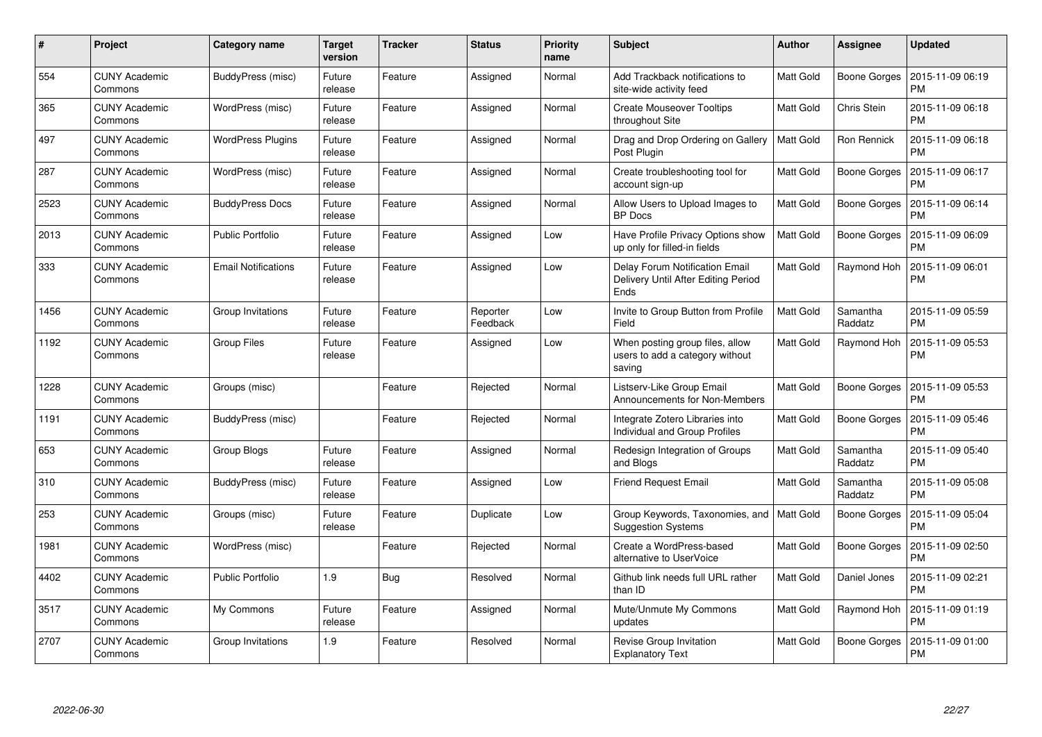| #    | Project                         | Category name              | Target<br>version | <b>Tracker</b> | <b>Status</b>        | <b>Priority</b><br>name | <b>Subject</b>                                                                | <b>Author</b> | Assignee            | <b>Updated</b>                |
|------|---------------------------------|----------------------------|-------------------|----------------|----------------------|-------------------------|-------------------------------------------------------------------------------|---------------|---------------------|-------------------------------|
| 554  | <b>CUNY Academic</b><br>Commons | BuddyPress (misc)          | Future<br>release | Feature        | Assigned             | Normal                  | Add Trackback notifications to<br>site-wide activity feed                     | Matt Gold     | Boone Gorges        | 2015-11-09 06:19<br><b>PM</b> |
| 365  | <b>CUNY Academic</b><br>Commons | WordPress (misc)           | Future<br>release | Feature        | Assigned             | Normal                  | <b>Create Mouseover Tooltips</b><br>throughout Site                           | Matt Gold     | Chris Stein         | 2015-11-09 06:18<br><b>PM</b> |
| 497  | <b>CUNY Academic</b><br>Commons | <b>WordPress Plugins</b>   | Future<br>release | Feature        | Assigned             | Normal                  | Drag and Drop Ordering on Gallery<br>Post Plugin                              | Matt Gold     | Ron Rennick         | 2015-11-09 06:18<br><b>PM</b> |
| 287  | <b>CUNY Academic</b><br>Commons | WordPress (misc)           | Future<br>release | Feature        | Assigned             | Normal                  | Create troubleshooting tool for<br>account sign-up                            | Matt Gold     | <b>Boone Gorges</b> | 2015-11-09 06:17<br><b>PM</b> |
| 2523 | <b>CUNY Academic</b><br>Commons | <b>BuddyPress Docs</b>     | Future<br>release | Feature        | Assigned             | Normal                  | Allow Users to Upload Images to<br><b>BP</b> Docs                             | Matt Gold     | Boone Gorges        | 2015-11-09 06:14<br><b>PM</b> |
| 2013 | <b>CUNY Academic</b><br>Commons | <b>Public Portfolio</b>    | Future<br>release | Feature        | Assigned             | Low                     | Have Profile Privacy Options show<br>up only for filled-in fields             | Matt Gold     | <b>Boone Gorges</b> | 2015-11-09 06:09<br><b>PM</b> |
| 333  | <b>CUNY Academic</b><br>Commons | <b>Email Notifications</b> | Future<br>release | Feature        | Assigned             | Low                     | Delay Forum Notification Email<br>Delivery Until After Editing Period<br>Ends | Matt Gold     | Raymond Hoh         | 2015-11-09 06:01<br><b>PM</b> |
| 1456 | <b>CUNY Academic</b><br>Commons | Group Invitations          | Future<br>release | Feature        | Reporter<br>Feedback | Low                     | Invite to Group Button from Profile<br>Field                                  | Matt Gold     | Samantha<br>Raddatz | 2015-11-09 05:59<br><b>PM</b> |
| 1192 | <b>CUNY Academic</b><br>Commons | <b>Group Files</b>         | Future<br>release | Feature        | Assigned             | Low                     | When posting group files, allow<br>users to add a category without<br>saving  | Matt Gold     | Raymond Hoh         | 2015-11-09 05:53<br><b>PM</b> |
| 1228 | <b>CUNY Academic</b><br>Commons | Groups (misc)              |                   | Feature        | Rejected             | Normal                  | Listserv-Like Group Email<br>Announcements for Non-Members                    | Matt Gold     | Boone Gorges        | 2015-11-09 05:53<br><b>PM</b> |
| 1191 | <b>CUNY Academic</b><br>Commons | BuddyPress (misc)          |                   | Feature        | Rejected             | Normal                  | Integrate Zotero Libraries into<br>Individual and Group Profiles              | Matt Gold     | Boone Gorges        | 2015-11-09 05:46<br><b>PM</b> |
| 653  | <b>CUNY Academic</b><br>Commons | Group Blogs                | Future<br>release | Feature        | Assigned             | Normal                  | Redesign Integration of Groups<br>and Blogs                                   | Matt Gold     | Samantha<br>Raddatz | 2015-11-09 05:40<br><b>PM</b> |
| 310  | <b>CUNY Academic</b><br>Commons | BuddyPress (misc)          | Future<br>release | Feature        | Assigned             | Low                     | <b>Friend Request Email</b>                                                   | Matt Gold     | Samantha<br>Raddatz | 2015-11-09 05:08<br><b>PM</b> |
| 253  | <b>CUNY Academic</b><br>Commons | Groups (misc)              | Future<br>release | Feature        | Duplicate            | Low                     | Group Keywords, Taxonomies, and<br><b>Suggestion Systems</b>                  | Matt Gold     | <b>Boone Gorges</b> | 2015-11-09 05:04<br><b>PM</b> |
| 1981 | <b>CUNY Academic</b><br>Commons | WordPress (misc)           |                   | Feature        | Rejected             | Normal                  | Create a WordPress-based<br>alternative to UserVoice                          | Matt Gold     | Boone Gorges        | 2015-11-09 02:50<br><b>PM</b> |
| 4402 | <b>CUNY Academic</b><br>Commons | <b>Public Portfolio</b>    | 1.9               | Bug            | Resolved             | Normal                  | Github link needs full URL rather<br>than ID                                  | Matt Gold     | Daniel Jones        | 2015-11-09 02:21<br><b>PM</b> |
| 3517 | <b>CUNY Academic</b><br>Commons | My Commons                 | Future<br>release | Feature        | Assigned             | Normal                  | Mute/Unmute My Commons<br>updates                                             | Matt Gold     | Raymond Hoh         | 2015-11-09 01:19<br><b>PM</b> |
| 2707 | <b>CUNY Academic</b><br>Commons | Group Invitations          | 1.9               | Feature        | Resolved             | Normal                  | Revise Group Invitation<br><b>Explanatory Text</b>                            | Matt Gold     | Boone Gorges        | 2015-11-09 01:00<br><b>PM</b> |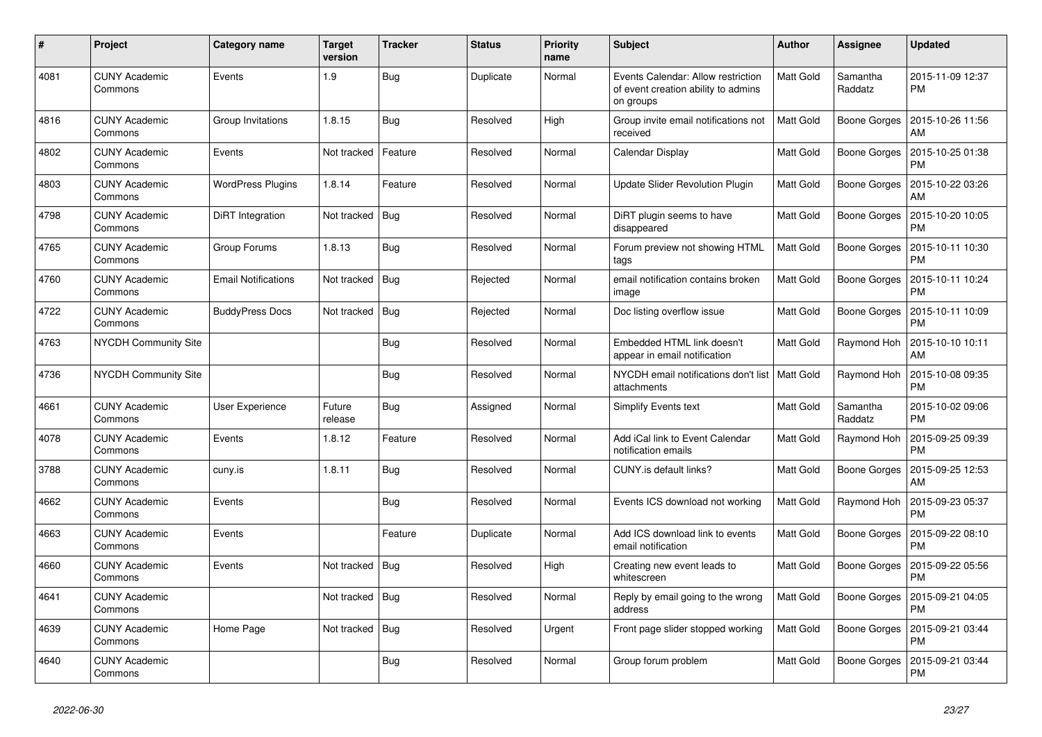| #    | Project                         | Category name              | <b>Target</b><br>version | <b>Tracker</b> | <b>Status</b> | <b>Priority</b><br>name | <b>Subject</b>                                                                         | <b>Author</b>    | Assignee            | <b>Updated</b>                |
|------|---------------------------------|----------------------------|--------------------------|----------------|---------------|-------------------------|----------------------------------------------------------------------------------------|------------------|---------------------|-------------------------------|
| 4081 | <b>CUNY Academic</b><br>Commons | Events                     | 1.9                      | <b>Bug</b>     | Duplicate     | Normal                  | Events Calendar: Allow restriction<br>of event creation ability to admins<br>on groups | Matt Gold        | Samantha<br>Raddatz | 2015-11-09 12:37<br><b>PM</b> |
| 4816 | <b>CUNY Academic</b><br>Commons | Group Invitations          | 1.8.15                   | <b>Bug</b>     | Resolved      | High                    | Group invite email notifications not<br>received                                       | Matt Gold        | Boone Gorges        | 2015-10-26 11:56<br>AM        |
| 4802 | <b>CUNY Academic</b><br>Commons | Events                     | Not tracked              | Feature        | Resolved      | Normal                  | Calendar Display                                                                       | Matt Gold        | Boone Gorges        | 2015-10-25 01:38<br><b>PM</b> |
| 4803 | <b>CUNY Academic</b><br>Commons | <b>WordPress Plugins</b>   | 1.8.14                   | Feature        | Resolved      | Normal                  | Update Slider Revolution Plugin                                                        | Matt Gold        | Boone Gorges        | 2015-10-22 03:26<br>AM        |
| 4798 | <b>CUNY Academic</b><br>Commons | DiRT Integration           | Not tracked              | Bug            | Resolved      | Normal                  | DiRT plugin seems to have<br>disappeared                                               | Matt Gold        | Boone Gorges        | 2015-10-20 10:05<br><b>PM</b> |
| 4765 | <b>CUNY Academic</b><br>Commons | Group Forums               | 1.8.13                   | Bug            | Resolved      | Normal                  | Forum preview not showing HTML<br>tags                                                 | Matt Gold        | Boone Gorges        | 2015-10-11 10:30<br><b>PM</b> |
| 4760 | <b>CUNY Academic</b><br>Commons | <b>Email Notifications</b> | Not tracked              | Bug            | Rejected      | Normal                  | email notification contains broken<br>image                                            | Matt Gold        | Boone Gorges        | 2015-10-11 10:24<br><b>PM</b> |
| 4722 | <b>CUNY Academic</b><br>Commons | <b>BuddyPress Docs</b>     | Not tracked              | Bug            | Rejected      | Normal                  | Doc listing overflow issue                                                             | Matt Gold        | Boone Gorges        | 2015-10-11 10:09<br><b>PM</b> |
| 4763 | <b>NYCDH Community Site</b>     |                            |                          | <b>Bug</b>     | Resolved      | Normal                  | Embedded HTML link doesn't<br>appear in email notification                             | Matt Gold        | Raymond Hoh         | 2015-10-10 10:11<br>AM        |
| 4736 | <b>NYCDH Community Site</b>     |                            |                          | Bug            | Resolved      | Normal                  | NYCDH email notifications don't list<br>attachments                                    | l Matt Gold      | Raymond Hoh         | 2015-10-08 09:35<br><b>PM</b> |
| 4661 | <b>CUNY Academic</b><br>Commons | User Experience            | Future<br>release        | Bug            | Assigned      | Normal                  | <b>Simplify Events text</b>                                                            | Matt Gold        | Samantha<br>Raddatz | 2015-10-02 09:06<br><b>PM</b> |
| 4078 | <b>CUNY Academic</b><br>Commons | Events                     | 1.8.12                   | Feature        | Resolved      | Normal                  | Add iCal link to Event Calendar<br>notification emails                                 | Matt Gold        | Raymond Hoh         | 2015-09-25 09:39<br><b>PM</b> |
| 3788 | <b>CUNY Academic</b><br>Commons | cuny.is                    | 1.8.11                   | <b>Bug</b>     | Resolved      | Normal                  | CUNY.is default links?                                                                 | <b>Matt Gold</b> | Boone Gorges        | 2015-09-25 12:53<br>AM        |
| 4662 | <b>CUNY Academic</b><br>Commons | Events                     |                          | Bug            | Resolved      | Normal                  | Events ICS download not working                                                        | Matt Gold        | Raymond Hoh         | 2015-09-23 05:37<br><b>PM</b> |
| 4663 | <b>CUNY Academic</b><br>Commons | Events                     |                          | Feature        | Duplicate     | Normal                  | Add ICS download link to events<br>email notification                                  | <b>Matt Gold</b> | Boone Gorges        | 2015-09-22 08:10<br><b>PM</b> |
| 4660 | <b>CUNY Academic</b><br>Commons | Events                     | Not tracked              | <b>Bug</b>     | Resolved      | High                    | Creating new event leads to<br>whitescreen                                             | Matt Gold        | <b>Boone Gorges</b> | 2015-09-22 05:56<br><b>PM</b> |
| 4641 | <b>CUNY Academic</b><br>Commons |                            | Not tracked              | Bug            | Resolved      | Normal                  | Reply by email going to the wrong<br>address                                           | <b>Matt Gold</b> | Boone Gorges        | 2015-09-21 04:05<br><b>PM</b> |
| 4639 | <b>CUNY Academic</b><br>Commons | Home Page                  | Not tracked              | <b>Bug</b>     | Resolved      | Urgent                  | Front page slider stopped working                                                      | Matt Gold        | Boone Gorges        | 2015-09-21 03:44<br><b>PM</b> |
| 4640 | <b>CUNY Academic</b><br>Commons |                            |                          | <b>Bug</b>     | Resolved      | Normal                  | Group forum problem                                                                    | Matt Gold        | Boone Gorges        | 2015-09-21 03:44<br><b>PM</b> |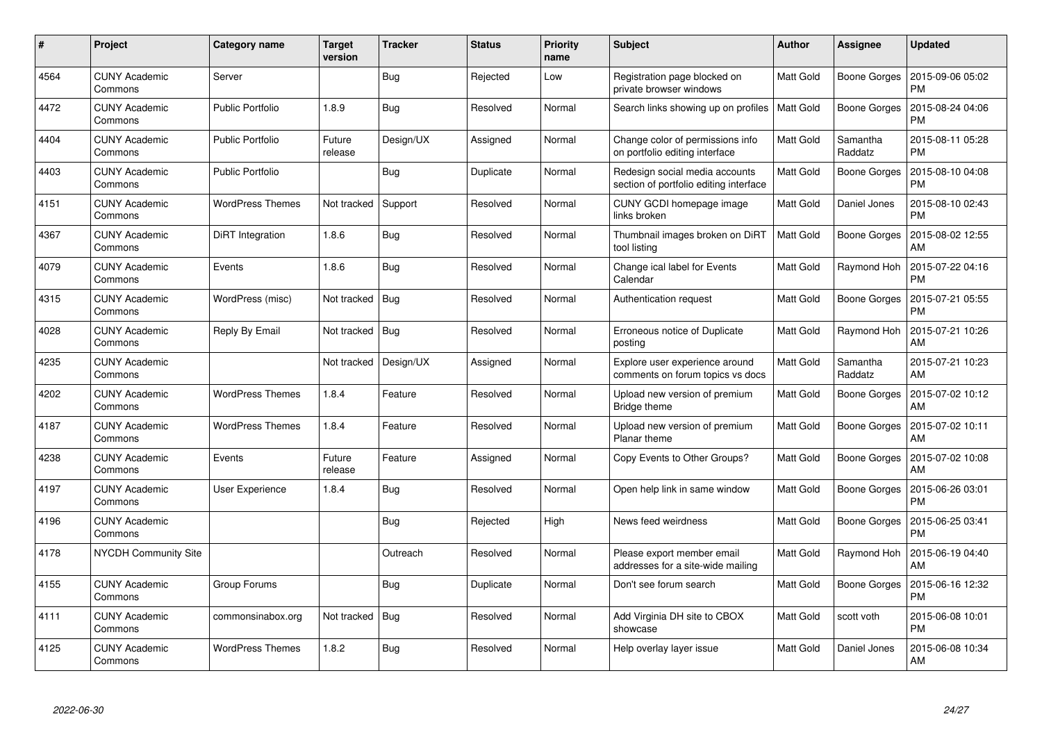| $\#$ | Project                         | Category name           | <b>Target</b><br>version | <b>Tracker</b> | <b>Status</b> | <b>Priority</b><br>name | <b>Subject</b>                                                           | <b>Author</b>    | <b>Assignee</b>     | <b>Updated</b>                |
|------|---------------------------------|-------------------------|--------------------------|----------------|---------------|-------------------------|--------------------------------------------------------------------------|------------------|---------------------|-------------------------------|
| 4564 | <b>CUNY Academic</b><br>Commons | Server                  |                          | <b>Bug</b>     | Rejected      | Low                     | Registration page blocked on<br>private browser windows                  | Matt Gold        | Boone Gorges        | 2015-09-06 05:02<br><b>PM</b> |
| 4472 | <b>CUNY Academic</b><br>Commons | <b>Public Portfolio</b> | 1.8.9                    | <b>Bug</b>     | Resolved      | Normal                  | Search links showing up on profiles                                      | Matt Gold        | Boone Gorges        | 2015-08-24 04:06<br>PM        |
| 4404 | <b>CUNY Academic</b><br>Commons | <b>Public Portfolio</b> | Future<br>release        | Design/UX      | Assigned      | Normal                  | Change color of permissions info<br>on portfolio editing interface       | Matt Gold        | Samantha<br>Raddatz | 2015-08-11 05:28<br><b>PM</b> |
| 4403 | <b>CUNY Academic</b><br>Commons | <b>Public Portfolio</b> |                          | <b>Bug</b>     | Duplicate     | Normal                  | Redesign social media accounts<br>section of portfolio editing interface | Matt Gold        | Boone Gorges        | 2015-08-10 04:08<br><b>PM</b> |
| 4151 | <b>CUNY Academic</b><br>Commons | <b>WordPress Themes</b> | Not tracked              | Support        | Resolved      | Normal                  | CUNY GCDI homepage image<br>links broken                                 | Matt Gold        | Daniel Jones        | 2015-08-10 02:43<br><b>PM</b> |
| 4367 | <b>CUNY Academic</b><br>Commons | DiRT Integration        | 1.8.6                    | <b>Bug</b>     | Resolved      | Normal                  | Thumbnail images broken on DiRT<br>tool listing                          | <b>Matt Gold</b> | Boone Gorges        | 2015-08-02 12:55<br>AM        |
| 4079 | <b>CUNY Academic</b><br>Commons | Events                  | 1.8.6                    | Bug            | Resolved      | Normal                  | Change ical label for Events<br>Calendar                                 | Matt Gold        | Raymond Hoh         | 2015-07-22 04:16<br><b>PM</b> |
| 4315 | <b>CUNY Academic</b><br>Commons | WordPress (misc)        | Not tracked              | Bug            | Resolved      | Normal                  | Authentication request                                                   | Matt Gold        | Boone Gorges        | 2015-07-21 05:55<br><b>PM</b> |
| 4028 | <b>CUNY Academic</b><br>Commons | Reply By Email          | Not tracked              | Bug            | Resolved      | Normal                  | Erroneous notice of Duplicate<br>posting                                 | Matt Gold        | Raymond Hoh         | 2015-07-21 10:26<br>AM        |
| 4235 | <b>CUNY Academic</b><br>Commons |                         | Not tracked              | Design/UX      | Assigned      | Normal                  | Explore user experience around<br>comments on forum topics vs docs       | Matt Gold        | Samantha<br>Raddatz | 2015-07-21 10:23<br>AM        |
| 4202 | <b>CUNY Academic</b><br>Commons | <b>WordPress Themes</b> | 1.8.4                    | Feature        | Resolved      | Normal                  | Upload new version of premium<br>Bridge theme                            | Matt Gold        | Boone Gorges        | 2015-07-02 10:12<br>AM        |
| 4187 | <b>CUNY Academic</b><br>Commons | <b>WordPress Themes</b> | 1.8.4                    | Feature        | Resolved      | Normal                  | Upload new version of premium<br>Planar theme                            | Matt Gold        | Boone Gorges        | 2015-07-02 10:11<br>AM        |
| 4238 | <b>CUNY Academic</b><br>Commons | Events                  | Future<br>release        | Feature        | Assigned      | Normal                  | Copy Events to Other Groups?                                             | Matt Gold        | Boone Gorges        | 2015-07-02 10:08<br>AM        |
| 4197 | <b>CUNY Academic</b><br>Commons | User Experience         | 1.8.4                    | <b>Bug</b>     | Resolved      | Normal                  | Open help link in same window                                            | Matt Gold        | Boone Gorges        | 2015-06-26 03:01<br><b>PM</b> |
| 4196 | <b>CUNY Academic</b><br>Commons |                         |                          | <b>Bug</b>     | Rejected      | High                    | News feed weirdness                                                      | Matt Gold        | Boone Gorges        | 2015-06-25 03:41<br><b>PM</b> |
| 4178 | <b>NYCDH Community Site</b>     |                         |                          | Outreach       | Resolved      | Normal                  | Please export member email<br>addresses for a site-wide mailing          | Matt Gold        | Raymond Hoh         | 2015-06-19 04:40<br>AM        |
| 4155 | <b>CUNY Academic</b><br>Commons | Group Forums            |                          | Bug            | Duplicate     | Normal                  | Don't see forum search                                                   | Matt Gold        | Boone Gorges        | 2015-06-16 12:32<br><b>PM</b> |
| 4111 | <b>CUNY Academic</b><br>Commons | commonsinabox.org       | Not tracked              | <b>Bug</b>     | Resolved      | Normal                  | Add Virginia DH site to CBOX<br>showcase                                 | Matt Gold        | scott voth          | 2015-06-08 10:01<br><b>PM</b> |
| 4125 | <b>CUNY Academic</b><br>Commons | <b>WordPress Themes</b> | 1.8.2                    | <b>Bug</b>     | Resolved      | Normal                  | Help overlay layer issue                                                 | Matt Gold        | Daniel Jones        | 2015-06-08 10:34<br>AM        |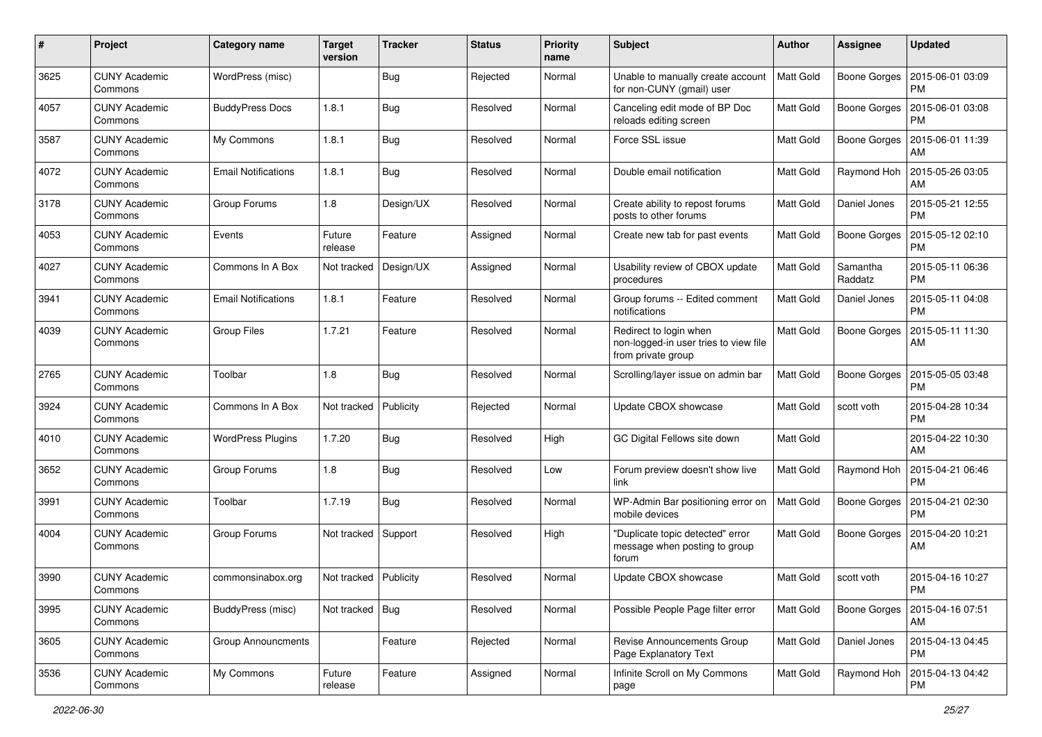| #    | Project                         | <b>Category name</b>       | <b>Target</b><br>version | <b>Tracker</b> | <b>Status</b> | <b>Priority</b><br>name | <b>Subject</b>                                                                        | Author           | <b>Assignee</b>     | <b>Updated</b>                |
|------|---------------------------------|----------------------------|--------------------------|----------------|---------------|-------------------------|---------------------------------------------------------------------------------------|------------------|---------------------|-------------------------------|
| 3625 | <b>CUNY Academic</b><br>Commons | WordPress (misc)           |                          | Bug            | Rejected      | Normal                  | Unable to manually create account<br>for non-CUNY (gmail) user                        | Matt Gold        | <b>Boone Gorges</b> | 2015-06-01 03:09<br><b>PM</b> |
| 4057 | <b>CUNY Academic</b><br>Commons | <b>BuddyPress Docs</b>     | 1.8.1                    | <b>Bug</b>     | Resolved      | Normal                  | Canceling edit mode of BP Doc<br>reloads editing screen                               | Matt Gold        | <b>Boone Gorges</b> | 2015-06-01 03:08<br><b>PM</b> |
| 3587 | CUNY Academic<br>Commons        | My Commons                 | 1.8.1                    | Bug            | Resolved      | Normal                  | Force SSL issue                                                                       | Matt Gold        | <b>Boone Gorges</b> | 2015-06-01 11:39<br>AM        |
| 4072 | <b>CUNY Academic</b><br>Commons | <b>Email Notifications</b> | 1.8.1                    | Bug            | Resolved      | Normal                  | Double email notification                                                             | <b>Matt Gold</b> | Raymond Hoh         | 2015-05-26 03:05<br>AM        |
| 3178 | <b>CUNY Academic</b><br>Commons | Group Forums               | 1.8                      | Design/UX      | Resolved      | Normal                  | Create ability to repost forums<br>posts to other forums                              | Matt Gold        | Daniel Jones        | 2015-05-21 12:55<br><b>PM</b> |
| 4053 | <b>CUNY Academic</b><br>Commons | Events                     | Future<br>release        | Feature        | Assigned      | Normal                  | Create new tab for past events                                                        | Matt Gold        | <b>Boone Gorges</b> | 2015-05-12 02:10<br><b>PM</b> |
| 4027 | <b>CUNY Academic</b><br>Commons | Commons In A Box           | Not tracked              | Design/UX      | Assigned      | Normal                  | Usability review of CBOX update<br>procedures                                         | Matt Gold        | Samantha<br>Raddatz | 2015-05-11 06:36<br><b>PM</b> |
| 3941 | <b>CUNY Academic</b><br>Commons | <b>Email Notifications</b> | 1.8.1                    | Feature        | Resolved      | Normal                  | Group forums -- Edited comment<br>notifications                                       | Matt Gold        | Daniel Jones        | 2015-05-11 04:08<br><b>PM</b> |
| 4039 | <b>CUNY Academic</b><br>Commons | <b>Group Files</b>         | 1.7.21                   | Feature        | Resolved      | Normal                  | Redirect to login when<br>non-logged-in user tries to view file<br>from private group | Matt Gold        | Boone Gorges        | 2015-05-11 11:30<br>AM        |
| 2765 | <b>CUNY Academic</b><br>Commons | Toolbar                    | 1.8                      | Bug            | Resolved      | Normal                  | Scrolling/layer issue on admin bar                                                    | <b>Matt Gold</b> | <b>Boone Gorges</b> | 2015-05-05 03:48<br><b>PM</b> |
| 3924 | <b>CUNY Academic</b><br>Commons | Commons In A Box           | Not tracked              | Publicity      | Rejected      | Normal                  | Update CBOX showcase                                                                  | Matt Gold        | scott voth          | 2015-04-28 10:34<br><b>PM</b> |
| 4010 | <b>CUNY Academic</b><br>Commons | <b>WordPress Plugins</b>   | 1.7.20                   | Bug            | Resolved      | High                    | GC Digital Fellows site down                                                          | Matt Gold        |                     | 2015-04-22 10:30<br>AM        |
| 3652 | <b>CUNY Academic</b><br>Commons | Group Forums               | 1.8                      | Bug            | Resolved      | Low                     | Forum preview doesn't show live<br>link                                               | Matt Gold        | Raymond Hoh         | 2015-04-21 06:46<br><b>PM</b> |
| 3991 | <b>CUNY Academic</b><br>Commons | Toolbar                    | 1.7.19                   | Bug            | Resolved      | Normal                  | WP-Admin Bar positioning error on<br>mobile devices                                   | Matt Gold        | Boone Gorges        | 2015-04-21 02:30<br><b>PM</b> |
| 4004 | CUNY Academic<br>Commons        | Group Forums               | Not tracked              | Support        | Resolved      | High                    | "Duplicate topic detected" error<br>message when posting to group<br>forum            | Matt Gold        | <b>Boone Gorges</b> | 2015-04-20 10:21<br>AM        |
| 3990 | <b>CUNY Academic</b><br>Commons | commonsinabox.org          | Not tracked   Publicity  |                | Resolved      | Normal                  | Update CBOX showcase                                                                  | Matt Gold        | scott voth          | 2015-04-16 10:27<br>PM        |
| 3995 | <b>CUNY Academic</b><br>Commons | BuddyPress (misc)          | Not tracked              | Bug            | Resolved      | Normal                  | Possible People Page filter error                                                     | Matt Gold        | Boone Gorges        | 2015-04-16 07:51<br>AM        |
| 3605 | <b>CUNY Academic</b><br>Commons | <b>Group Announcments</b>  |                          | Feature        | Rejected      | Normal                  | Revise Announcements Group<br>Page Explanatory Text                                   | Matt Gold        | Daniel Jones        | 2015-04-13 04:45<br><b>PM</b> |
| 3536 | <b>CUNY Academic</b><br>Commons | My Commons                 | Future<br>release        | Feature        | Assigned      | Normal                  | Infinite Scroll on My Commons<br>page                                                 | Matt Gold        | Raymond Hoh         | 2015-04-13 04:42<br><b>PM</b> |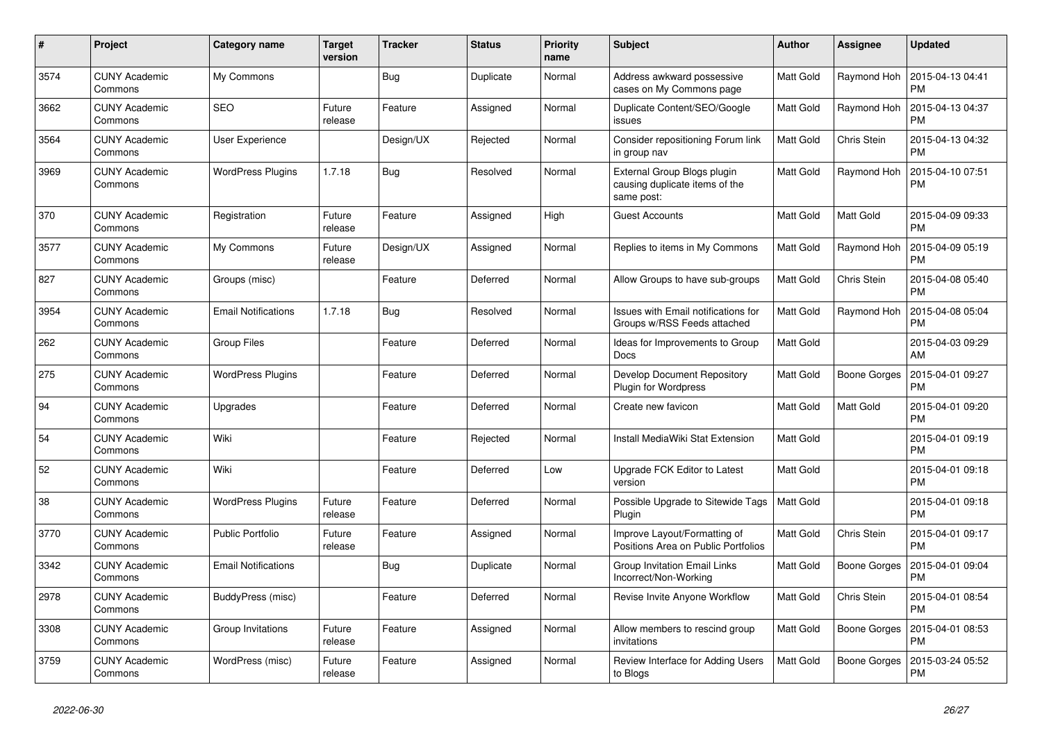| $\#$ | Project                         | Category name              | <b>Target</b><br>version | <b>Tracker</b> | <b>Status</b> | <b>Priority</b><br>name | <b>Subject</b>                                                              | <b>Author</b> | Assignee            | <b>Updated</b>                |
|------|---------------------------------|----------------------------|--------------------------|----------------|---------------|-------------------------|-----------------------------------------------------------------------------|---------------|---------------------|-------------------------------|
| 3574 | <b>CUNY Academic</b><br>Commons | My Commons                 |                          | Bug            | Duplicate     | Normal                  | Address awkward possessive<br>cases on My Commons page                      | Matt Gold     | Raymond Hoh         | 2015-04-13 04:41<br><b>PM</b> |
| 3662 | <b>CUNY Academic</b><br>Commons | <b>SEO</b>                 | Future<br>release        | Feature        | Assigned      | Normal                  | Duplicate Content/SEO/Google<br>issues                                      | Matt Gold     | Raymond Hoh         | 2015-04-13 04:37<br><b>PM</b> |
| 3564 | <b>CUNY Academic</b><br>Commons | User Experience            |                          | Design/UX      | Rejected      | Normal                  | Consider repositioning Forum link<br>in group nav                           | Matt Gold     | Chris Stein         | 2015-04-13 04:32<br><b>PM</b> |
| 3969 | <b>CUNY Academic</b><br>Commons | <b>WordPress Plugins</b>   | 1.7.18                   | Bug            | Resolved      | Normal                  | External Group Blogs plugin<br>causing duplicate items of the<br>same post: | Matt Gold     | Raymond Hoh         | 2015-04-10 07:51<br><b>PM</b> |
| 370  | <b>CUNY Academic</b><br>Commons | Registration               | Future<br>release        | Feature        | Assigned      | High                    | <b>Guest Accounts</b>                                                       | Matt Gold     | Matt Gold           | 2015-04-09 09:33<br><b>PM</b> |
| 3577 | CUNY Academic<br>Commons        | My Commons                 | Future<br>release        | Design/UX      | Assigned      | Normal                  | Replies to items in My Commons                                              | Matt Gold     | Raymond Hoh         | 2015-04-09 05:19<br><b>PM</b> |
| 827  | <b>CUNY Academic</b><br>Commons | Groups (misc)              |                          | Feature        | Deferred      | Normal                  | Allow Groups to have sub-groups                                             | Matt Gold     | Chris Stein         | 2015-04-08 05:40<br><b>PM</b> |
| 3954 | <b>CUNY Academic</b><br>Commons | <b>Email Notifications</b> | 1.7.18                   | Bug            | Resolved      | Normal                  | Issues with Email notifications for<br>Groups w/RSS Feeds attached          | Matt Gold     | Raymond Hoh         | 2015-04-08 05:04<br><b>PM</b> |
| 262  | <b>CUNY Academic</b><br>Commons | <b>Group Files</b>         |                          | Feature        | Deferred      | Normal                  | Ideas for Improvements to Group<br>Docs                                     | Matt Gold     |                     | 2015-04-03 09:29<br>AM        |
| 275  | <b>CUNY Academic</b><br>Commons | <b>WordPress Plugins</b>   |                          | Feature        | Deferred      | Normal                  | Develop Document Repository<br><b>Plugin for Wordpress</b>                  | Matt Gold     | <b>Boone Gorges</b> | 2015-04-01 09:27<br><b>PM</b> |
| 94   | <b>CUNY Academic</b><br>Commons | Upgrades                   |                          | Feature        | Deferred      | Normal                  | Create new favicon                                                          | Matt Gold     | Matt Gold           | 2015-04-01 09:20<br><b>PM</b> |
| 54   | <b>CUNY Academic</b><br>Commons | Wiki                       |                          | Feature        | Rejected      | Normal                  | Install MediaWiki Stat Extension                                            | Matt Gold     |                     | 2015-04-01 09:19<br><b>PM</b> |
| 52   | <b>CUNY Academic</b><br>Commons | Wiki                       |                          | Feature        | Deferred      | Low                     | Upgrade FCK Editor to Latest<br>version                                     | Matt Gold     |                     | 2015-04-01 09:18<br><b>PM</b> |
| 38   | <b>CUNY Academic</b><br>Commons | <b>WordPress Plugins</b>   | Future<br>release        | Feature        | Deferred      | Normal                  | Possible Upgrade to Sitewide Tags<br>Plugin                                 | Matt Gold     |                     | 2015-04-01 09:18<br><b>PM</b> |
| 3770 | <b>CUNY Academic</b><br>Commons | <b>Public Portfolio</b>    | Future<br>release        | Feature        | Assigned      | Normal                  | Improve Layout/Formatting of<br>Positions Area on Public Portfolios         | Matt Gold     | Chris Stein         | 2015-04-01 09:17<br><b>PM</b> |
| 3342 | <b>CUNY Academic</b><br>Commons | <b>Email Notifications</b> |                          | Bug            | Duplicate     | Normal                  | Group Invitation Email Links<br>Incorrect/Non-Working                       | Matt Gold     | <b>Boone Gorges</b> | 2015-04-01 09:04<br><b>PM</b> |
| 2978 | <b>CUNY Academic</b><br>Commons | BuddyPress (misc)          |                          | Feature        | Deferred      | Normal                  | Revise Invite Anyone Workflow                                               | Matt Gold     | Chris Stein         | 2015-04-01 08:54<br><b>PM</b> |
| 3308 | <b>CUNY Academic</b><br>Commons | Group Invitations          | Future<br>release        | Feature        | Assigned      | Normal                  | Allow members to rescind group<br>invitations                               | Matt Gold     | <b>Boone Gorges</b> | 2015-04-01 08:53<br><b>PM</b> |
| 3759 | <b>CUNY Academic</b><br>Commons | WordPress (misc)           | Future<br>release        | Feature        | Assigned      | Normal                  | Review Interface for Adding Users<br>to Blogs                               | Matt Gold     | <b>Boone Gorges</b> | 2015-03-24 05:52<br><b>PM</b> |